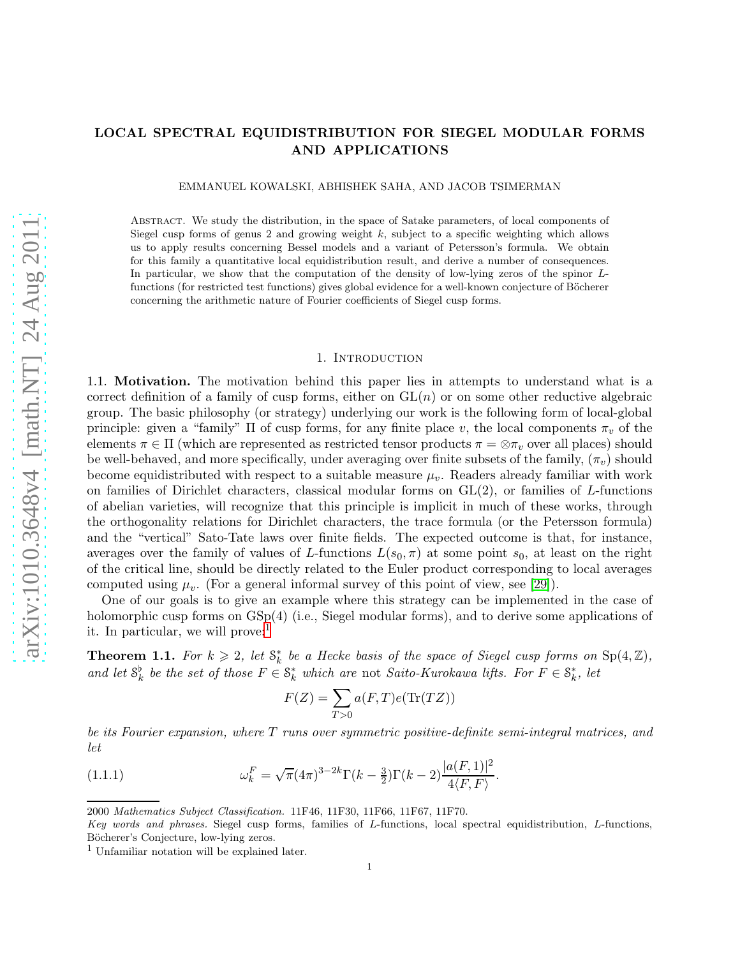# LOCAL SPECTRAL EQUIDISTRIBUTION FOR SIEGEL MODULAR FORMS AND APPLICATIONS

EMMANUEL KOWALSKI, ABHISHEK SAHA, AND JACOB TSIMERMAN

Abstract. We study the distribution, in the space of Satake parameters, of local components of Siegel cusp forms of genus 2 and growing weight k, subject to a specific weighting which allows us to apply results concerning Bessel models and a variant of Petersson's formula. We obtain for this family a quantitative local equidistribution result, and derive a number of consequences. In particular, we show that the computation of the density of low-lying zeros of the spinor  $L$ functions (for restricted test functions) gives global evidence for a well-known conjecture of Böcherer concerning the arithmetic nature of Fourier coefficients of Siegel cusp forms.

#### 1. INTRODUCTION

1.1. Motivation. The motivation behind this paper lies in attempts to understand what is a correct definition of a family of cusp forms, either on  $GL(n)$  or on some other reductive algebraic group. The basic philosophy (or strategy) underlying our work is the following form of local-global principle: given a "family"  $\Pi$  of cusp forms, for any finite place v, the local components  $\pi_v$  of the elements  $\pi \in \Pi$  (which are represented as restricted tensor products  $\pi = \otimes \pi_v$  over all places) should be well-behaved, and more specifically, under averaging over finite subsets of the family,  $(\pi_v)$  should become equidistributed with respect to a suitable measure  $\mu_v$ . Readers already familiar with work on families of Dirichlet characters, classical modular forms on  $GL(2)$ , or families of L-functions of abelian varieties, will recognize that this principle is implicit in much of these works, through the orthogonality relations for Dirichlet characters, the trace formula (or the Petersson formula) and the "vertical" Sato-Tate laws over finite fields. The expected outcome is that, for instance, averages over the family of values of L-functions  $L(s_0, \pi)$  at some point  $s_0$ , at least on the right of the critical line, should be directly related to the Euler product corresponding to local averages computed using  $\mu_v$ . (For a general informal survey of this point of view, see [\[29\]](#page-44-0)).

One of our goals is to give an example where this strategy can be implemented in the case of holomorphic cusp forms on  $GSp(4)$  (i.e., Siegel modular forms), and to derive some applications of it. In particular, we will prove:

<span id="page-0-1"></span>**Theorem 1.1.** For  $k \geq 2$ , let  $\mathcal{S}_k^*$  be a Hecke basis of the space of Siegel cusp forms on  $\text{Sp}(4,\mathbb{Z})$ , and let  $\mathcal{S}_k^{\flat}$  be the set of those  $F \in \mathcal{S}_k^*$  which are not Saito-Kurokawa lifts. For  $F \in \mathcal{S}_k^*$ , let

<span id="page-0-2"></span>
$$
F(Z) = \sum_{T>0} a(F,T)e(\text{Tr}(TZ))
$$

be its Fourier expansion, where T runs over symmetric positive-definite semi-integral matrices, and let

(1.1.1) 
$$
\omega_k^F = \sqrt{\pi} (4\pi)^{3-2k} \Gamma(k-\frac{3}{2}) \Gamma(k-2) \frac{|a(F,1)|^2}{4\langle F, F \rangle}.
$$

<sup>2000</sup> Mathematics Subject Classification. 11F46, 11F30, 11F66, 11F67, 11F70.

Key words and phrases. Siegel cusp forms, families of L-functions, local spectral equidistribution, L-functions, Böcherer's Conjecture, low-lying zeros.

<span id="page-0-0"></span><sup>1</sup> Unfamiliar notation will be explained later.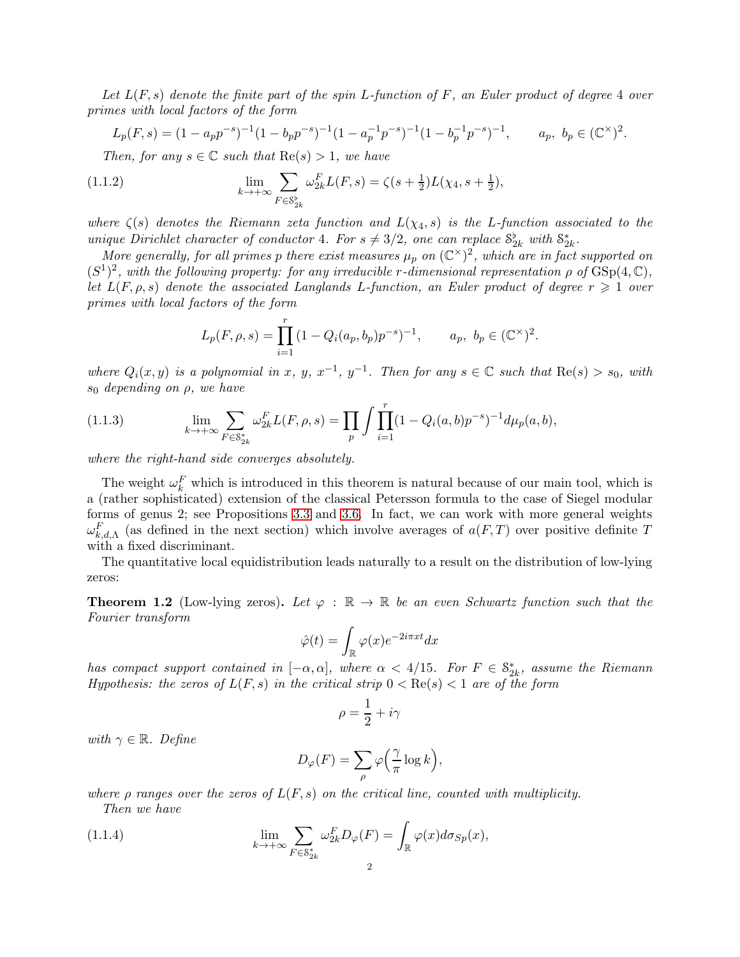Let  $L(F, s)$  denote the finite part of the spin L-function of F, an Euler product of degree 4 over primes with local factors of the form

$$
L_p(F,s) = (1 - a_p p^{-s})^{-1} (1 - b_p p^{-s})^{-1} (1 - a_p^{-1} p^{-s})^{-1} (1 - b_p^{-1} p^{-s})^{-1}, \qquad a_p, \ b_p \in (\mathbb{C}^\times)^2.
$$

<span id="page-1-2"></span>Then, for any  $s \in \mathbb{C}$  such that  $\text{Re}(s) > 1$ , we have

(1.1.2) 
$$
\lim_{k \to +\infty} \sum_{F \in S_{2k}^{\flat}} \omega_{2k}^{F} L(F, s) = \zeta(s + \frac{1}{2}) L(\chi_4, s + \frac{1}{2}),
$$

where  $\zeta(s)$  denotes the Riemann zeta function and  $L(\chi_4, s)$  is the L-function associated to the unique Dirichlet character of conductor 4. For  $s \neq 3/2$ , one can replace  $S_{2k}^{\flat}$  with  $S_{2k}^{\ast}$ .

More generally, for all primes p there exist measures  $\mu_p$  on  $(\mathbb{C}^{\times})^2$ , which are in fact supported on  $(S^1)^2$ , with the following property: for any irreducible r-dimensional representation  $\rho$  of  $GSp(4,\mathbb{C})$ , let  $L(F, \rho, s)$  denote the associated Langlands L-function, an Euler product of degree  $r \geqslant 1$  over primes with local factors of the form

$$
L_p(F, \rho, s) = \prod_{i=1}^r (1 - Q_i(a_p, b_p) p^{-s})^{-1}, \qquad a_p, \ b_p \in (\mathbb{C}^\times)^2.
$$

where  $Q_i(x, y)$  is a polynomial in x, y,  $x^{-1}$ ,  $y^{-1}$ . Then for any  $s \in \mathbb{C}$  such that  $\text{Re}(s) > s_0$ , with  $s_0$  depending on  $\rho$ , we have

<span id="page-1-1"></span>(1.1.3) 
$$
\lim_{k \to +\infty} \sum_{F \in S_{2k}^*} \omega_{2k}^F L(F, \rho, s) = \prod_p \int \prod_{i=1}^r (1 - Q_i(a, b) p^{-s})^{-1} d\mu_p(a, b),
$$

where the right-hand side converges absolutely.

The weight  $\omega_k^F$  which is introduced in this theorem is natural because of our main tool, which is a (rather sophisticated) extension of the classical Petersson formula to the case of Siegel modular forms of genus 2; see Propositions [3.3](#page-17-0) and [3.6.](#page-25-0) In fact, we can work with more general weights  $\omega_{k,d,\Lambda}^F$  (as defined in the next section) which involve averages of  $a(F,T)$  over positive definite T with a fixed discriminant.

The quantitative local equidistribution leads naturally to a result on the distribution of low-lying zeros:

<span id="page-1-0"></span>**Theorem 1.2** (Low-lying zeros). Let  $\varphi : \mathbb{R} \to \mathbb{R}$  be an even Schwartz function such that the Fourier transform

$$
\hat{\varphi}(t) = \int_{\mathbb{R}} \varphi(x) e^{-2i\pi xt} dx
$$

has compact support contained in  $[-\alpha, \alpha]$ , where  $\alpha < 4/15$ . For  $F \in \mathcal{S}_{2k}^*$ , assume the Riemann Hypothesis: the zeros of  $L(F, s)$  in the critical strip  $0 < \text{Re}(s) < 1$  are of the form

$$
\rho=\frac{1}{2}+i\gamma
$$

with  $\gamma \in \mathbb{R}$ . Define

$$
D_{\varphi}(F) = \sum_{\rho} \varphi\left(\frac{\gamma}{\pi} \log k\right),\,
$$

where  $\rho$  ranges over the zeros of  $L(F, s)$  on the critical line, counted with multiplicity.

Then we have

(1.1.4) 
$$
\lim_{k \to +\infty} \sum_{F \in \mathcal{S}_{2k}^*} \omega_{2k}^F D_{\varphi}(F) = \int_{\mathbb{R}} \varphi(x) d\sigma_{Sp}(x),
$$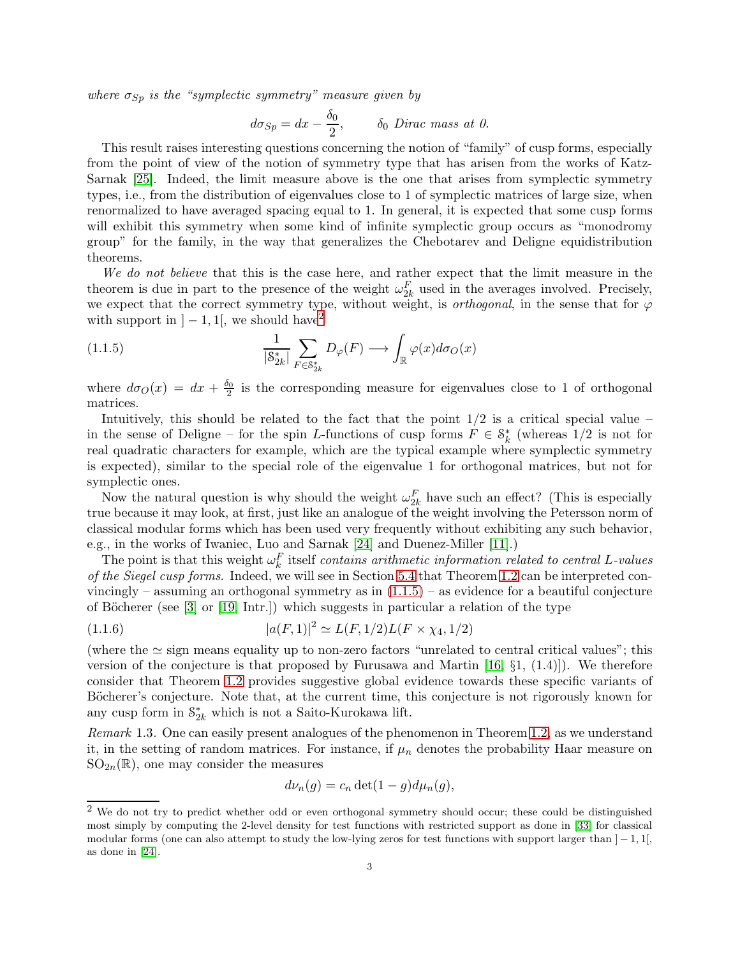where  $\sigma_{Sp}$  is the "symplectic symmetry" measure given by

$$
d\sigma_{Sp} = dx - \frac{\delta_0}{2}, \qquad \delta_0 \text{ Dirac mass at } 0.
$$

This result raises interesting questions concerning the notion of "family" of cusp forms, especially from the point of view of the notion of symmetry type that has arisen from the works of Katz-Sarnak [\[25\]](#page-44-1). Indeed, the limit measure above is the one that arises from symplectic symmetry types, i.e., from the distribution of eigenvalues close to 1 of symplectic matrices of large size, when renormalized to have averaged spacing equal to 1. In general, it is expected that some cusp forms will exhibit this symmetry when some kind of infinite symplectic group occurs as "monodromy" group" for the family, in the way that generalizes the Chebotarev and Deligne equidistribution theorems.

We do not believe that this is the case here, and rather expect that the limit measure in the theorem is due in part to the presence of the weight  $\omega_{2k}^F$  used in the averages involved. Precisely, we expect that the correct symmetry type, without weight, is *orthogonal*, in the sense that for  $\varphi$ with support in  $]-1,1[$ , we should have<sup>[2](#page-2-0)</sup>

<span id="page-2-1"></span>(1.1.5) 
$$
\frac{1}{|\mathcal{S}_{2k}^*|} \sum_{F \in \mathcal{S}_{2k}^*} D_{\varphi}(F) \longrightarrow \int_{\mathbb{R}} \varphi(x) d\sigma_O(x)
$$

where  $d\sigma_O(x) = dx + \frac{\delta_0}{2}$  $\frac{20}{2}$  is the corresponding measure for eigenvalues close to 1 of orthogonal matrices.

Intuitively, this should be related to the fact that the point  $1/2$  is a critical special value – in the sense of Deligne – for the spin L-functions of cusp forms  $F \in \mathcal{S}_k^*$  (whereas 1/2 is not for real quadratic characters for example, which are the typical example where symplectic symmetry is expected), similar to the special role of the eigenvalue 1 for orthogonal matrices, but not for symplectic ones.

Now the natural question is why should the weight  $\omega_{2k}^F$  have such an effect? (This is especially true because it may look, at first, just like an analogue of the weight involving the Petersson norm of classical modular forms which has been used very frequently without exhibiting any such behavior, e.g., in the works of Iwaniec, Luo and Sarnak [\[24\]](#page-44-2) and Duenez-Miller [\[11\]](#page-43-0).)

The point is that this weight  $\omega_k^F$  itself contains arithmetic information related to central L-values of the Siegel cusp forms. Indeed, we will see in Section [5.4](#page-36-0) that Theorem [1.2](#page-1-0) can be interpreted convincingly – assuming an orthogonal symmetry as in  $(1.1.5)$  – as evidence for a beautiful conjecture of Böcherer (see  $[3]$  or  $[19, \text{Intr.}]$ ) which suggests in particular a relation of the type

(1.1.6) 
$$
|a(F,1)|^2 \simeq L(F,1/2)L(F \times \chi_4,1/2)
$$

(where the  $\simeq$  sign means equality up to non-zero factors "unrelated to central critical values"; this version of the conjecture is that proposed by Furusawa and Martin  $[16, \S1, (1.4)]$ . We therefore consider that Theorem [1.2](#page-1-0) provides suggestive global evidence towards these specific variants of Böcherer's conjecture. Note that, at the current time, this conjecture is not rigorously known for any cusp form in  $\mathcal{S}^*_{2k}$  which is not a Saito-Kurokawa lift.

Remark 1.3. One can easily present analogues of the phenomenon in Theorem [1.2,](#page-1-0) as we understand it, in the setting of random matrices. For instance, if  $\mu_n$  denotes the probability Haar measure on  $SO_{2n}(\mathbb{R})$ , one may consider the measures

<span id="page-2-2"></span>
$$
d\nu_n(g) = c_n \det(1 - g) d\mu_n(g),
$$

<span id="page-2-0"></span><sup>&</sup>lt;sup>2</sup> We do not try to predict whether odd or even orthogonal symmetry should occur; these could be distinguished most simply by computing the 2-level density for test functions with restricted support as done in [\[33\]](#page-44-3) for classical modular forms (one can also attempt to study the low-lying zeros for test functions with support larger than  $]-1,1[$ , as done in [\[24\]](#page-44-2).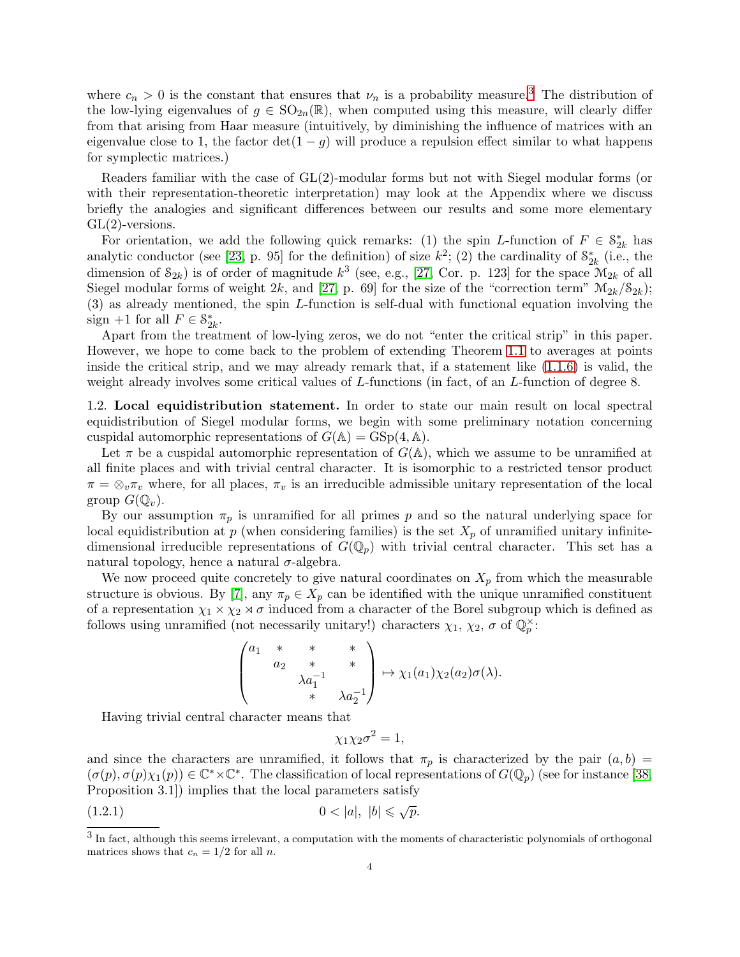where  $c_n > 0$  is the constant that ensures that  $\nu_n$  is a probability measure.<sup>[3](#page-3-0)</sup> The distribution of the low-lying eigenvalues of  $g \in SO_{2n}(\mathbb{R})$ , when computed using this measure, will clearly differ from that arising from Haar measure (intuitively, by diminishing the influence of matrices with an eigenvalue close to 1, the factor  $det(1-q)$  will produce a repulsion effect similar to what happens for symplectic matrices.)

Readers familiar with the case of GL(2)-modular forms but not with Siegel modular forms (or with their representation-theoretic interpretation) may look at the Appendix where we discuss briefly the analogies and significant differences between our results and some more elementary  $GL(2)$ -versions.

For orientation, we add the following quick remarks: (1) the spin L-function of  $F \in \mathcal{S}_{2k}^*$  has analytic conductor (see [\[23,](#page-44-4) p. 95] for the definition) of size  $k^2$ ; (2) the cardinality of  $S^*_{2k}$  (i.e., the dimension of  $S_{2k}$ ) is of order of magnitude  $k^3$  (see, e.g., [\[27,](#page-44-5) Cor. p. 123] for the space  $\mathcal{M}_{2k}$  of all Siegel modular forms of weight 2k, and [\[27,](#page-44-5) p. 69] for the size of the "correction term"  $\mathcal{M}_{2k}/\mathcal{S}_{2k}$ ); (3) as already mentioned, the spin L-function is self-dual with functional equation involving the sign +1 for all  $F \in \mathcal{S}_{2k}^*$ .

Apart from the treatment of low-lying zeros, we do not "enter the critical strip" in this paper. However, we hope to come back to the problem of extending Theorem [1.1](#page-0-1) to averages at points inside the critical strip, and we may already remark that, if a statement like  $(1.1.6)$  is valid, the weight already involves some critical values of L-functions (in fact, of an L-function of degree 8.

<span id="page-3-2"></span>1.2. Local equidistribution statement. In order to state our main result on local spectral equidistribution of Siegel modular forms, we begin with some preliminary notation concerning cuspidal automorphic representations of  $G(\mathbb{A}) = GSp(4, \mathbb{A})$ .

Let  $\pi$  be a cuspidal automorphic representation of  $G(\mathbb{A})$ , which we assume to be unramified at all finite places and with trivial central character. It is isomorphic to a restricted tensor product  $\pi = \otimes_v \pi_v$  where, for all places,  $\pi_v$  is an irreducible admissible unitary representation of the local group  $G(\mathbb{Q}_n)$ .

By our assumption  $\pi_p$  is unramified for all primes p and so the natural underlying space for local equidistribution at p (when considering families) is the set  $X_p$  of unramified unitary infinitedimensional irreducible representations of  $G(\mathbb{Q}_p)$  with trivial central character. This set has a natural topology, hence a natural  $\sigma$ -algebra.

We now proceed quite concretely to give natural coordinates on  $X_p$  from which the measurable structure is obvious. By [\[7\]](#page-43-4), any  $\pi_p \in X_p$  can be identified with the unique unramified constituent of a representation  $\chi_1 \times \chi_2 \times \sigma$  induced from a character of the Borel subgroup which is defined as follows using unramified (not necessarily unitary!) characters  $\chi_1$ ,  $\chi_2$ ,  $\sigma$  of  $\mathbb{Q}_p^{\times}$ :

$$
\begin{pmatrix} a_1 & * & * & * \\ & a_2 & * & * \\ & & \lambda a_1^{-1} & * \\ & & & * & \lambda a_2^{-1} \end{pmatrix} \mapsto \chi_1(a_1) \chi_2(a_2) \sigma(\lambda).
$$

Having trivial central character means that

<span id="page-3-1"></span>
$$
\chi_1 \chi_2 \sigma^2 = 1,
$$

and since the characters are unramified, it follows that  $\pi_p$  is characterized by the pair  $(a, b)$  =  $(\sigma(p), \sigma(p)\chi_1(p)) \in \mathbb{C}^* \times \mathbb{C}^*$ . The classification of local representations of  $G(\mathbb{Q}_p)$  (see for instance [\[38,](#page-44-6) Proposition 3.1]) implies that the local parameters satisfy

$$
(1.2.1) \t\t 0 < |a|, |b| \leq \sqrt{p}.
$$

<span id="page-3-0"></span> $3$  In fact, although this seems irrelevant, a computation with the moments of characteristic polynomials of orthogonal matrices shows that  $c_n = 1/2$  for all n.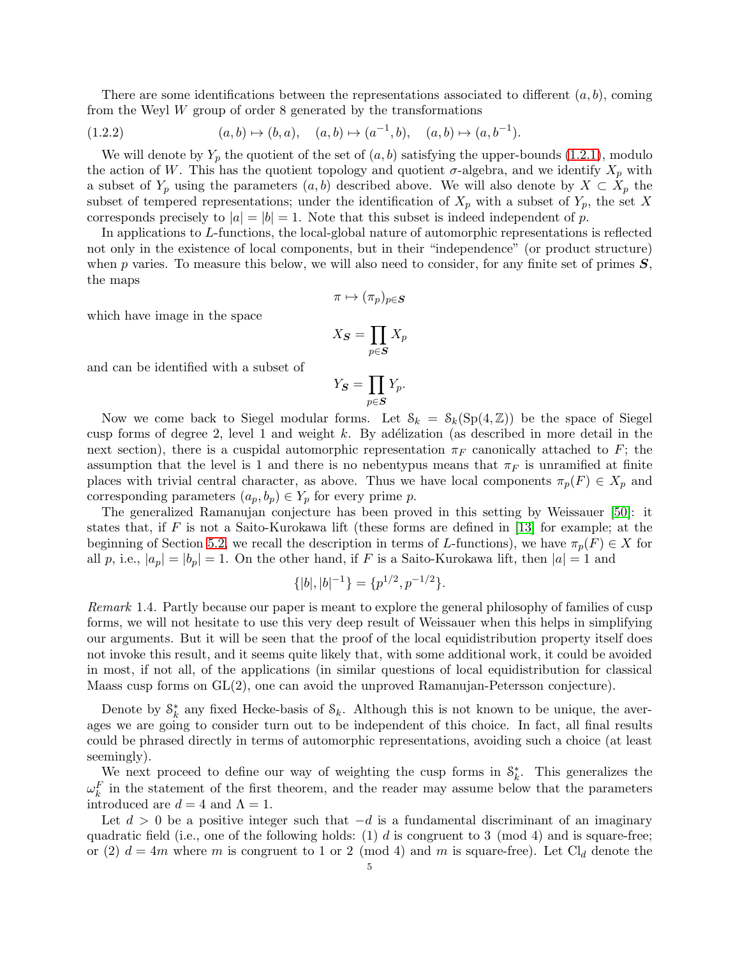There are some identifications between the representations associated to different  $(a, b)$ , coming from the Weyl  $W$  group of order 8 generated by the transformations

<span id="page-4-0"></span>
$$
(1.2.2) \t(a, b) \mapsto (b, a), \t(a, b) \mapsto (a^{-1}, b), \t(a, b) \mapsto (a, b^{-1}).
$$

We will denote by  $Y_p$  the quotient of the set of  $(a, b)$  satisfying the upper-bounds [\(1.2.1\)](#page-3-1), modulo the action of W. This has the quotient topology and quotient  $\sigma$ -algebra, and we identify  $X_p$  with a subset of  $Y_p$  using the parameters  $(a, b)$  described above. We will also denote by  $X \subset X_p$  the subset of tempered representations; under the identification of  $X_p$  with a subset of  $Y_p$ , the set X corresponds precisely to  $|a| = |b| = 1$ . Note that this subset is indeed independent of p.

In applications to L-functions, the local-global nature of automorphic representations is reflected not only in the existence of local components, but in their "independence" (or product structure) when p varies. To measure this below, we will also need to consider, for any finite set of primes  $S$ , the maps

$$
\pi\mapsto (\pi_p)_{p\in \boldsymbol{S}}
$$

which have image in the space

$$
X_{\boldsymbol{S}}=\prod_{p\in \boldsymbol{S}}X_p
$$

and can be identified with a subset of

$$
Y_{\boldsymbol{S}} = \prod_{p \in \boldsymbol{S}} Y_p.
$$

Now we come back to Siegel modular forms. Let  $S_k = S_k(Sp(4,\mathbb{Z}))$  be the space of Siegel cusp forms of degree 2, level 1 and weight k. By adélization (as described in more detail in the next section), there is a cuspidal automorphic representation  $\pi_F$  canonically attached to F; the assumption that the level is 1 and there is no nebentypus means that  $\pi_F$  is unramified at finite places with trivial central character, as above. Thus we have local components  $\pi_p(F) \in X_p$  and corresponding parameters  $(a_p, b_p) \in Y_p$  for every prime p.

The generalized Ramanujan conjecture has been proved in this setting by Weissauer [\[50\]](#page-44-7): it states that, if F is not a Saito-Kurokawa lift (these forms are defined in  $[13]$  for example; at the beginning of Section [5.2,](#page-31-0) we recall the description in terms of L-functions), we have  $\pi_p(F) \in X$  for all p, i.e.,  $|a_p| = |b_p| = 1$ . On the other hand, if F is a Saito-Kurokawa lift, then  $|a| = 1$  and

$$
\{|b|, |b|^{-1}\} = \{p^{1/2}, p^{-1/2}\}.
$$

Remark 1.4. Partly because our paper is meant to explore the general philosophy of families of cusp forms, we will not hesitate to use this very deep result of Weissauer when this helps in simplifying our arguments. But it will be seen that the proof of the local equidistribution property itself does not invoke this result, and it seems quite likely that, with some additional work, it could be avoided in most, if not all, of the applications (in similar questions of local equidistribution for classical Maass cusp forms on GL(2), one can avoid the unproved Ramanujan-Petersson conjecture).

Denote by  $S_k^*$  any fixed Hecke-basis of  $S_k$ . Although this is not known to be unique, the averages we are going to consider turn out to be independent of this choice. In fact, all final results could be phrased directly in terms of automorphic representations, avoiding such a choice (at least seemingly).

We next proceed to define our way of weighting the cusp forms in  $\mathcal{S}_k^*$ . This generalizes the  $\omega_k^F$  in the statement of the first theorem, and the reader may assume below that the parameters introduced are  $d = 4$  and  $\Lambda = 1$ .

Let  $d > 0$  be a positive integer such that  $-d$  is a fundamental discriminant of an imaginary quadratic field (i.e., one of the following holds:  $(1)$  d is congruent to 3 (mod 4) and is square-free; or (2)  $d = 4m$  where m is congruent to 1 or 2 (mod 4) and m is square-free). Let Cl<sub>d</sub> denote the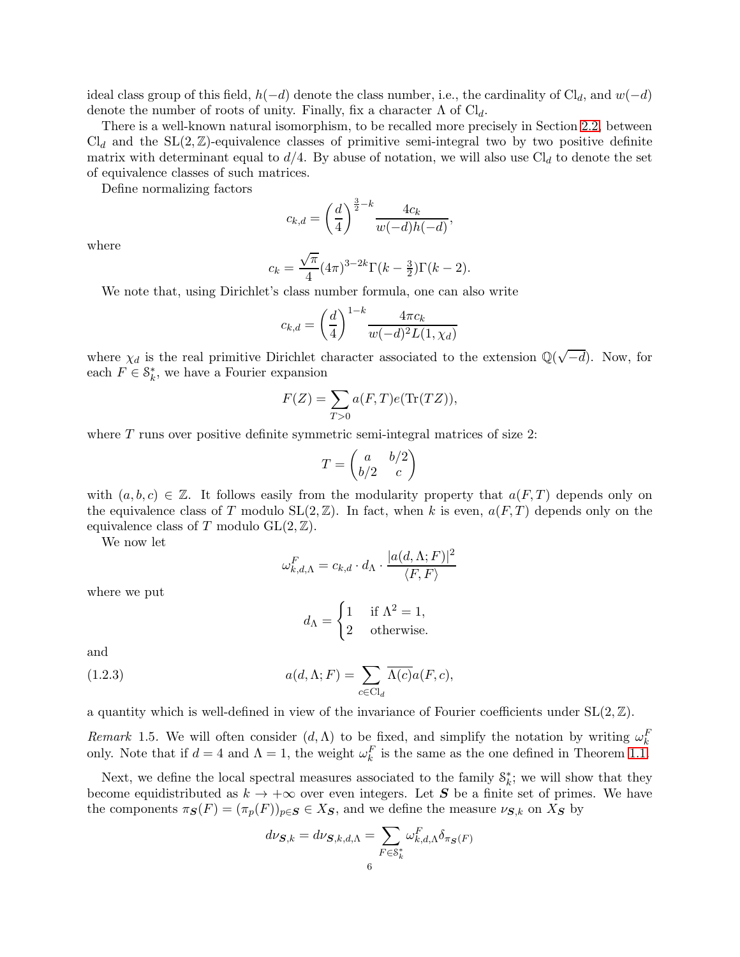ideal class group of this field,  $h(-d)$  denote the class number, i.e., the cardinality of Cl<sub>d</sub>, and w(-d) denote the number of roots of unity. Finally, fix a character  $\Lambda$  of Cl<sub>d</sub>.

There is a well-known natural isomorphism, to be recalled more precisely in Section [2.2,](#page-10-0) between  $\text{Cl}_d$  and the  $\text{SL}(2,\mathbb{Z})$ -equivalence classes of primitive semi-integral two by two positive definite matrix with determinant equal to  $d/4$ . By abuse of notation, we will also use  $Cl_d$  to denote the set of equivalence classes of such matrices.

Define normalizing factors

$$
c_{k,d} = \left(\frac{d}{4}\right)^{\frac{3}{2}-k} \frac{4c_k}{w(-d)h(-d)},
$$

where

$$
c_k = \frac{\sqrt{\pi}}{4} (4\pi)^{3-2k} \Gamma(k - \frac{3}{2}) \Gamma(k - 2).
$$

We note that, using Dirichlet's class number formula, one can also write

$$
c_{k,d} = \left(\frac{d}{4}\right)^{1-k} \frac{4\pi c_k}{w(-d)^2 L(1, \chi_d)}
$$

where  $\chi_d$  is the real primitive Dirichlet character associated to the extension  $\mathbb{Q}(\sqrt{-d})$ . Now, for each  $F \in \mathcal{S}_k^*$ , we have a Fourier expansion

$$
F(Z) = \sum_{T>0} a(F,T)e(\text{Tr}(TZ)),
$$

where T runs over positive definite symmetric semi-integral matrices of size 2:

$$
T = \begin{pmatrix} a & b/2 \\ b/2 & c \end{pmatrix}
$$

with  $(a, b, c) \in \mathbb{Z}$ . It follows easily from the modularity property that  $a(F, T)$  depends only on the equivalence class of T modulo  $SL(2, \mathbb{Z})$ . In fact, when k is even,  $a(F, T)$  depends only on the equivalence class of T modulo  $GL(2, \mathbb{Z})$ .

We now let

$$
\omega_{k,d,\Lambda}^F = c_{k,d} \cdot d_{\Lambda} \cdot \frac{|a(d,\Lambda;F)|^2}{\langle F, F \rangle}
$$

where we put

<span id="page-5-0"></span>
$$
d_{\Lambda} = \begin{cases} 1 & \text{if } \Lambda^2 = 1, \\ 2 & \text{otherwise.} \end{cases}
$$

and

(1.2.3) 
$$
a(d, \Lambda; F) = \sum_{c \in \text{Cl}_d} \overline{\Lambda(c)} a(F, c),
$$

a quantity which is well-defined in view of the invariance of Fourier coefficients under  $SL(2, \mathbb{Z})$ .

Remark 1.5. We will often consider  $(d, \Lambda)$  to be fixed, and simplify the notation by writing  $\omega_k^F$ only. Note that if  $d = 4$  and  $\Lambda = 1$ , the weight  $\omega_k^F$  is the same as the one defined in Theorem [1.1.](#page-0-1)

Next, we define the local spectral measures associated to the family  $S_k^*$ ; we will show that they become equidistributed as  $k \to +\infty$  over even integers. Let S be a finite set of primes. We have the components  $\pi_{\mathbf{S}}(F) = (\pi_p(F))_{p \in \mathbf{S}} \in X_{\mathbf{S}}$ , and we define the measure  $\nu_{\mathbf{S},k}$  on  $X_{\mathbf{S}}$  by

$$
d\nu_{\mathbf{S},k} = d\nu_{\mathbf{S},k,d,\Lambda} = \sum_{F \in \mathcal{S}^*_{k}} \omega_{k,d,\Lambda}^F \delta_{\pi_{\mathbf{S}}(F)}
$$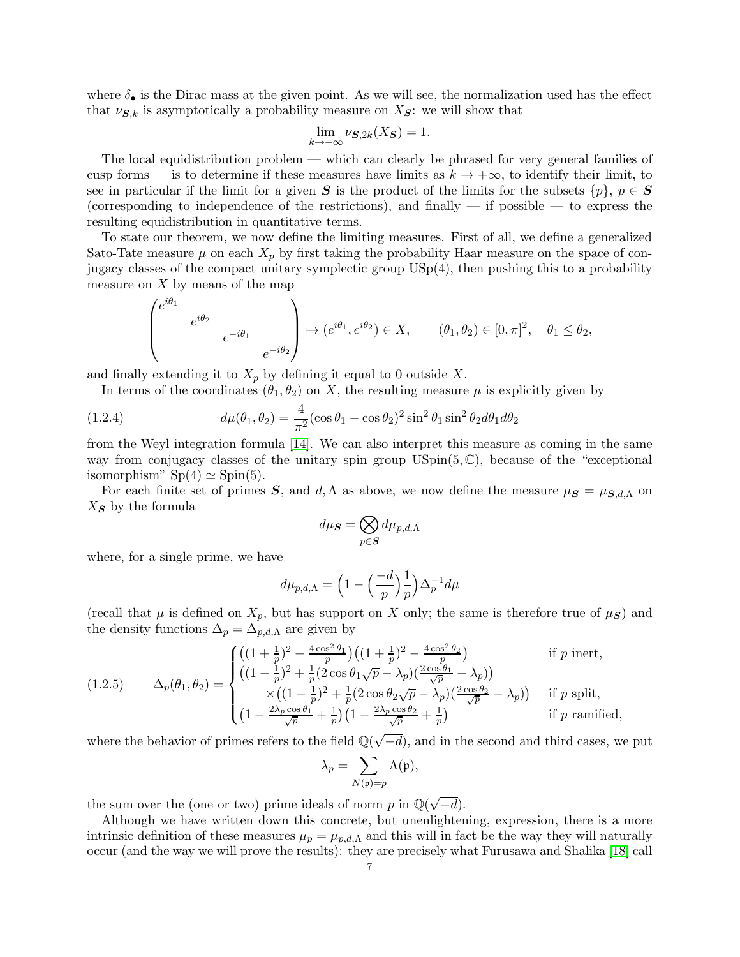where  $\delta_{\bullet}$  is the Dirac mass at the given point. As we will see, the normalization used has the effect that  $\nu_{\mathbf{S},k}$  is asymptotically a probability measure on  $X_{\mathbf{S}}$ : we will show that

$$
\lim_{k \to +\infty} \nu_{\mathbf{S},2k}(X_{\mathbf{S}}) = 1.
$$

The local equidistribution problem — which can clearly be phrased for very general families of cusp forms — is to determine if these measures have limits as  $k \to +\infty$ , to identify their limit, to see in particular if the limit for a given S is the product of the limits for the subsets  $\{p\}, p \in S$ (corresponding to independence of the restrictions), and finally  $-$  if possible  $-$  to express the resulting equidistribution in quantitative terms.

To state our theorem, we now define the limiting measures. First of all, we define a generalized Sato-Tate measure  $\mu$  on each  $X_p$  by first taking the probability Haar measure on the space of conjugacy classes of the compact unitary symplectic group USp(4), then pushing this to a probability measure on  $X$  by means of the map

$$
\begin{pmatrix} e^{i\theta_1} & & & \\ & e^{i\theta_2} & & \\ & & & e^{-i\theta_1} & \\ & & & & e^{-i\theta_2} \end{pmatrix} \mapsto (e^{i\theta_1}, e^{i\theta_2}) \in X, \qquad (\theta_1, \theta_2) \in [0, \pi]^2, \quad \theta_1 \le \theta_2,
$$

and finally extending it to  $X_p$  by defining it equal to 0 outside X.

<span id="page-6-0"></span>In terms of the coordinates  $(\theta_1, \theta_2)$  on X, the resulting measure  $\mu$  is explicitly given by

(1.2.4) 
$$
d\mu(\theta_1, \theta_2) = \frac{4}{\pi^2} (\cos \theta_1 - \cos \theta_2)^2 \sin^2 \theta_1 \sin^2 \theta_2 d\theta_1 d\theta_2
$$

from the Weyl integration formula [\[14\]](#page-43-6). We can also interpret this measure as coming in the same way from conjugacy classes of the unitary spin group  $\mathrm{USpin}(5, \mathbb{C})$ , because of the "exceptional" isomorphism"  $Sp(4) \simeq Spin(5)$ .

For each finite set of primes S, and d,  $\Lambda$  as above, we now define the measure  $\mu_S = \mu_{S,d,\Lambda}$  on  $X_{\mathbf{S}}$  by the formula

$$
d\mu_{\boldsymbol{S}} = \bigotimes_{p \in \boldsymbol{S}} d\mu_{p,d,\Lambda}
$$

where, for a single prime, we have

$$
d\mu_{p,d,\Lambda} = \left(1 - \left(\frac{-d}{p}\right)\frac{1}{p}\right)\Delta_p^{-1}d\mu
$$

(recall that  $\mu$  is defined on  $X_p$ , but has support on X only; the same is therefore true of  $\mu_S$ ) and the density functions  $\Delta_p = \Delta_{p,d,\Lambda}$  are given by

<span id="page-6-1"></span>(1.2.5) 
$$
\Delta_p(\theta_1, \theta_2) = \begin{cases} \left( (1 + \frac{1}{p})^2 - \frac{4 \cos^2 \theta_1}{p} \right) \left( (1 + \frac{1}{p})^2 - \frac{4 \cos^2 \theta_2}{p} \right) & \text{if } p \text{ inert,} \\ \left( (1 - \frac{1}{p})^2 + \frac{1}{p} (2 \cos \theta_1 \sqrt{p} - \lambda_p) \right) \frac{2 \cos \theta_1}{\sqrt{p}} - \lambda_p \right) & \text{if } p \text{ split,} \\ \times \left( (1 - \frac{1}{p})^2 + \frac{1}{p} (2 \cos \theta_2 \sqrt{p} - \lambda_p) \right) \frac{2 \cos \theta_2}{\sqrt{p}} - \lambda_p \right) & \text{if } p \text{ split,} \\ \left( 1 - \frac{2 \lambda_p \cos \theta_1}{\sqrt{p}} + \frac{1}{p} \right) \left( 1 - \frac{2 \lambda_p \cos \theta_2}{\sqrt{p}} + \frac{1}{p} \right) & \text{if } p \text{ ramified,} \end{cases}
$$

where the behavior of primes refers to the field  $\mathbb{Q}(\sqrt{-d})$ , and in the second and third cases, we put

$$
\lambda_p = \sum_{N(\mathfrak{p})=p} \Lambda(\mathfrak{p}),
$$

the sum over the (one or two) prime ideals of norm  $p$  in  $\mathbb{Q}(\sqrt{-d})$ .

Although we have written down this concrete, but unenlightening, expression, there is a more intrinsic definition of these measures  $\mu_p = \mu_{p,d,\Lambda}$  and this will in fact be the way they will naturally occur (and the way we will prove the results): they are precisely what Furusawa and Shalika [\[18\]](#page-43-7) call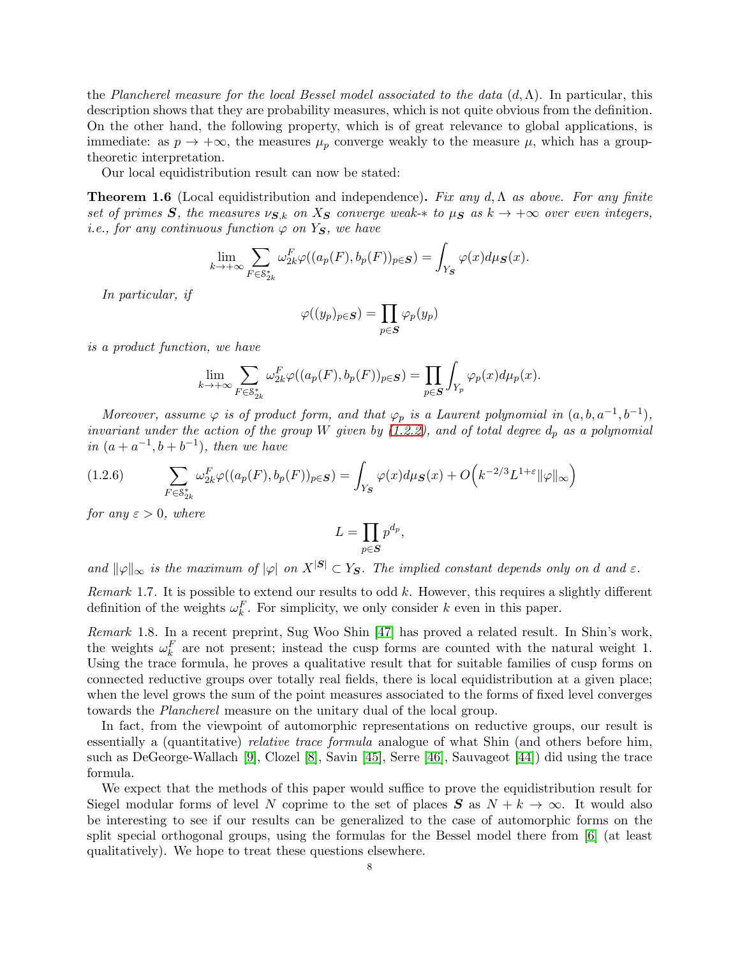the Plancherel measure for the local Bessel model associated to the data  $(d, \Lambda)$ . In particular, this description shows that they are probability measures, which is not quite obvious from the definition. On the other hand, the following property, which is of great relevance to global applications, is immediate: as  $p \to +\infty$ , the measures  $\mu_p$  converge weakly to the measure  $\mu$ , which has a grouptheoretic interpretation.

Our local equidistribution result can now be stated:

<span id="page-7-0"></span>**Theorem 1.6** (Local equidistribution and independence). Fix any d,  $\Lambda$  as above. For any finite set of primes S, the measures  $\nu_{S,k}$  on  $X_S$  converge weak- $*$  to  $\mu_S$  as  $k \to +\infty$  over even integers, *i.e.*, for any continuous function  $\varphi$  on Y<sub>S</sub>, we have

$$
\lim_{k \to +\infty} \sum_{F \in \mathcal{S}_{2k}^*} \omega_{2k}^F \varphi((a_p(F), b_p(F))_{p \in S}) = \int_{Y_S} \varphi(x) d\mu_S(x).
$$

In particular, if

$$
\varphi((y_p)_{p \in \mathcal{S}}) = \prod_{p \in \mathcal{S}} \varphi_p(y_p)
$$

is a product function, we have

$$
\lim_{k \to +\infty} \sum_{F \in \mathcal{S}_{2k}^*} \omega_{2k}^F \varphi((a_p(F), b_p(F))_{p \in S}) = \prod_{p \in S} \int_{Y_p} \varphi_p(x) d\mu_p(x).
$$

Moreover, assume  $\varphi$  is of product form, and that  $\varphi_p$  is a Laurent polynomial in  $(a, b, a^{-1}, b^{-1})$ , invariant under the action of the group W given by  $(1.2.2)$ , and of total degree  $d_p$  as a polynomial in  $(a + a^{-1}, b + b^{-1})$ , then we have

<span id="page-7-1"></span>
$$
(1.2.6)\qquad \sum_{F\in\mathcal{S}_{2k}^*}\omega_{2k}^F\varphi((a_p(F),b_p(F))_{p\in\mathcal{S}})=\int_{Y_{\mathcal{S}}}\varphi(x)d\mu_{\mathcal{S}}(x)+O\Big(k^{-2/3}L^{1+\varepsilon}\|\varphi\|_{\infty}\Big)
$$

for any  $\varepsilon > 0$ , where

$$
L = \prod_{p \in S} p^{d_p},
$$

and  $\|\varphi\|_{\infty}$  is the maximum of  $|\varphi|$  on  $X^{|\mathcal{S}|} \subset Y_{\mathcal{S}}$ . The implied constant depends only on d and  $\varepsilon$ .

Remark 1.7. It is possible to extend our results to odd  $k$ . However, this requires a slightly different definition of the weights  $\omega_k^F$ . For simplicity, we only consider k even in this paper.

Remark 1.8. In a recent preprint, Sug Woo Shin [\[47\]](#page-44-8) has proved a related result. In Shin's work, the weights  $\omega_k^F$  are not present; instead the cusp forms are counted with the natural weight 1. Using the trace formula, he proves a qualitative result that for suitable families of cusp forms on connected reductive groups over totally real fields, there is local equidistribution at a given place; when the level grows the sum of the point measures associated to the forms of fixed level converges towards the Plancherel measure on the unitary dual of the local group.

In fact, from the viewpoint of automorphic representations on reductive groups, our result is essentially a (quantitative) *relative trace formula* analogue of what Shin (and others before him, such as DeGeorge-Wallach [\[9\]](#page-43-8), Clozel [\[8\]](#page-43-9), Savin [\[45\]](#page-44-9), Serre [\[46\]](#page-44-10), Sauvageot [\[44\]](#page-44-11)) did using the trace formula.

We expect that the methods of this paper would suffice to prove the equidistribution result for Siegel modular forms of level N coprime to the set of places  $S$  as  $N + k \to \infty$ . It would also be interesting to see if our results can be generalized to the case of automorphic forms on the split special orthogonal groups, using the formulas for the Bessel model there from [\[6\]](#page-43-10) (at least qualitatively). We hope to treat these questions elsewhere.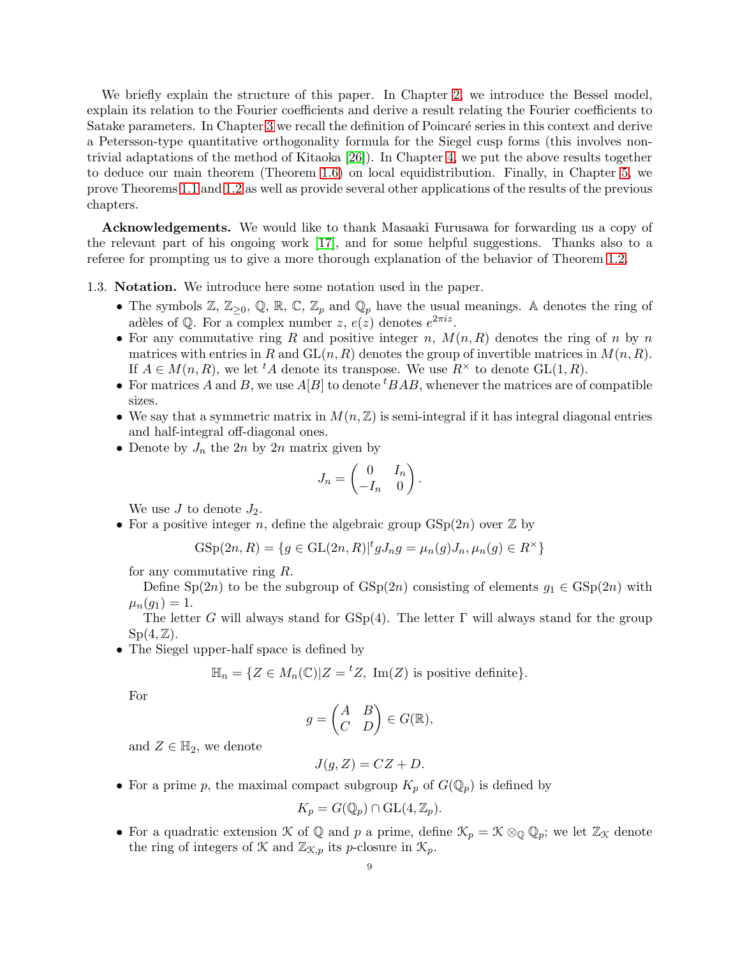We briefly explain the structure of this paper. In Chapter [2,](#page-9-0) we introduce the Bessel model, explain its relation to the Fourier coefficients and derive a result relating the Fourier coefficients to Satake parameters. In Chapter [3](#page-16-0) we recall the definition of Poincaré series in this context and derive a Petersson-type quantitative orthogonality formula for the Siegel cusp forms (this involves nontrivial adaptations of the method of Kitaoka [\[26\]](#page-44-12)). In Chapter [4,](#page-28-0) we put the above results together to deduce our main theorem (Theorem [1.6\)](#page-7-0) on local equidistribution. Finally, in Chapter [5,](#page-30-0) we prove Theorems [1.1](#page-0-1) and [1.2](#page-1-0) as well as provide several other applications of the results of the previous chapters.

Acknowledgements. We would like to thank Masaaki Furusawa for forwarding us a copy of the relevant part of his ongoing work [\[17\]](#page-43-11), and for some helpful suggestions. Thanks also to a referee for prompting us to give a more thorough explanation of the behavior of Theorem [1.2.](#page-1-0)

1.3. Notation. We introduce here some notation used in the paper.

- The symbols  $\mathbb{Z}, \mathbb{Z}_{\geq 0}, \mathbb{Q}, \mathbb{R}, \mathbb{C}, \mathbb{Z}_p$  and  $\mathbb{Q}_p$  have the usual meanings. A denotes the ring of adèles of Q. For a complex number  $z, e(z)$  denotes  $e^{2\pi i z}$ .
- For any commutative ring R and positive integer n,  $M(n, R)$  denotes the ring of n by n matrices with entries in R and  $GL(n, R)$  denotes the group of invertible matrices in  $M(n, R)$ . If  $A \in M(n, R)$ , we let <sup>t</sup>A denote its transpose. We use  $R^{\times}$  to denote  $GL(1, R)$ .
- For matrices A and B, we use  $A[B]$  to denote  ${}^{t}BAB$ , whenever the matrices are of compatible sizes.
- We say that a symmetric matrix in  $M(n,\mathbb{Z})$  is semi-integral if it has integral diagonal entries and half-integral off-diagonal ones.
- Denote by  $J_n$  the  $2n$  by  $2n$  matrix given by

$$
J_n = \begin{pmatrix} 0 & I_n \\ -I_n & 0 \end{pmatrix}.
$$

We use  $J$  to denote  $J_2$ .

• For a positive integer n, define the algebraic group  $GSp(2n)$  over  $\mathbb Z$  by

$$
GSp(2n, R) = \{ g \in GL(2n, R) | {}^t g J_n g = \mu_n(g) J_n, \mu_n(g) \in R^\times \}
$$

for any commutative ring R.

Define Sp(2n) to be the subgroup of  $GSp(2n)$  consisting of elements  $g_1 \in GSp(2n)$  with  $\mu_n(g_1) = 1.$ 

The letter G will always stand for  $GSp(4)$ . The letter Γ will always stand for the group  $Sp(4,\mathbb{Z})$ .

• The Siegel upper-half space is defined by

 $\mathbb{H}_n = \{ Z \in M_n(\mathbb{C}) | Z = {}^t Z, \text{ Im}(Z) \text{ is positive definite} \}.$ 

For

$$
g = \begin{pmatrix} A & B \\ C & D \end{pmatrix} \in G(\mathbb{R}),
$$

and  $Z \in \mathbb{H}_2$ , we denote

$$
J(g, Z) = CZ + D.
$$

• For a prime p, the maximal compact subgroup  $K_p$  of  $G(\mathbb{Q}_p)$  is defined by

$$
K_p = G(\mathbb{Q}_p) \cap \mathrm{GL}(4,\mathbb{Z}_p).
$$

• For a quadratic extension  $\mathcal K$  of  $\mathbb Q$  and  $p$  a prime, define  $\mathcal K_p = \mathcal K \otimes_{\mathbb Q} \mathbb Q_p$ ; we let  $\mathbb Z_{\mathcal K}$  denote the ring of integers of  $\mathcal K$  and  $\mathbb{Z}_{\mathcal K,p}$  its p-closure in  $\mathcal K_p$ .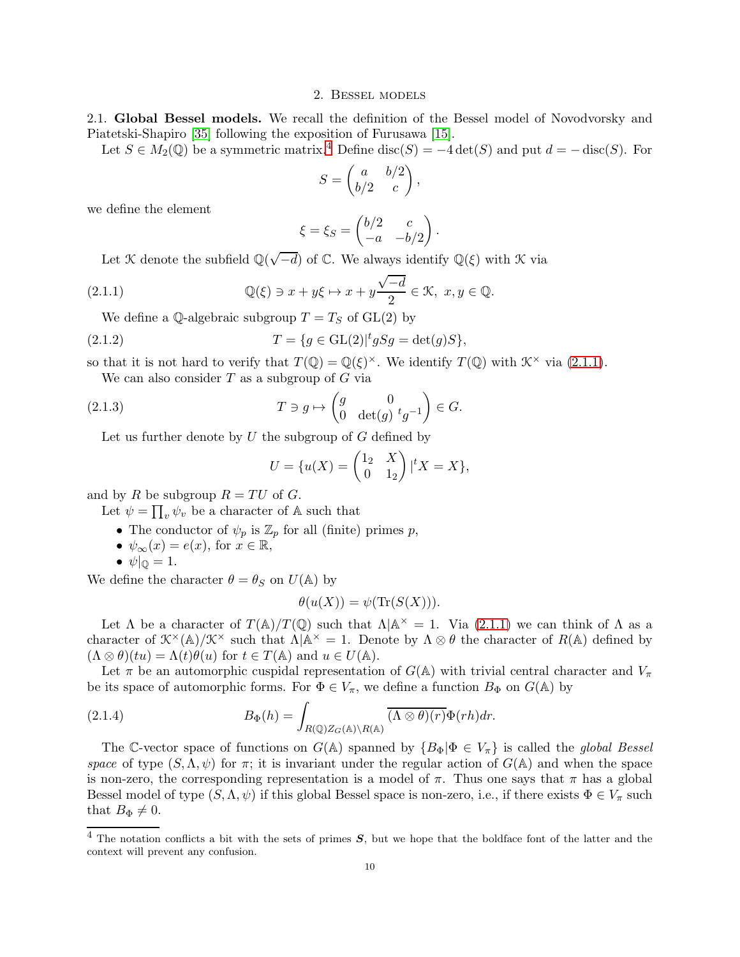## 2. Bessel models

<span id="page-9-0"></span>2.1. Global Bessel models. We recall the definition of the Bessel model of Novodvorsky and Piatetski-Shapiro [\[35\]](#page-44-13) following the exposition of Furusawa [\[15\]](#page-43-12).

Let  $S \in M_2(\mathbb{Q})$  be a symmetric matrix.<sup>[4](#page-9-1)</sup> Define disc(S) =  $-4 \det(S)$  and put  $d = - \operatorname{disc}(S)$ . For

$$
S = \begin{pmatrix} a & b/2 \\ b/2 & c \end{pmatrix},
$$

we define the element

<span id="page-9-2"></span>
$$
\xi = \xi_S = \begin{pmatrix} b/2 & c \\ -a & -b/2 \end{pmatrix}.
$$

Let  $\mathcal K$  denote the subfield  $\mathbb Q(\sqrt{-d})$  of  $\mathbb C$ . We always identify  $\mathbb Q(\xi)$  with  $\mathcal K$  via

(2.1.1) 
$$
\mathbb{Q}(\xi) \ni x + y\xi \mapsto x + y\frac{\sqrt{-d}}{2} \in \mathcal{K}, \ x, y \in \mathbb{Q}.
$$

We define a Q-algebraic subgroup  $T = T_S$  of  $GL(2)$  by

(2.1.2) 
$$
T = \{g \in GL(2)|^{t} gSg = det(g)S\},\
$$

so that it is not hard to verify that  $T(\mathbb{Q}) = \mathbb{Q}(\xi)^{\times}$ . We identify  $T(\mathbb{Q})$  with  $\mathcal{K}^{\times}$  via [\(2.1.1\)](#page-9-2). We can also consider  $T$  as a subgroup of  $G$  via

(2.1.3)  $T \ni g \mapsto \begin{pmatrix} g & 0 \\ 0 & \det(g) \end{pmatrix}$ 0 det(g)  ${}^{t}g^{-1}$  $\Big) \in G.$ 

Let us further denote by  $U$  the subgroup of  $G$  defined by

<span id="page-9-3"></span>
$$
U = \{u(X) = \begin{pmatrix} 1_2 & X \\ 0 & 1_2 \end{pmatrix} | {}^t X = X \},
$$

and by R be subgroup  $R = TU$  of G.

Let  $\psi = \prod_v \psi_v$  be a character of A such that

- The conductor of  $\psi_p$  is  $\mathbb{Z}_p$  for all (finite) primes p,
- $\psi_{\infty}(x) = e(x)$ , for  $x \in \mathbb{R}$ ,
- $\bullet \ \psi|_{\mathbb{Q}} = 1.$

We define the character  $\theta = \theta_S$  on  $U(\mathbb{A})$  by

<span id="page-9-4"></span>
$$
\theta(u(X)) = \psi(\text{Tr}(S(X))).
$$

Let  $\Lambda$  be a character of  $T(\mathbb{A})/T(\mathbb{Q})$  such that  $\Lambda | \mathbb{A}^{\times} = 1$ . Via  $(2.1.1)$  we can think of  $\Lambda$  as a character of  $\mathcal{K}^{\times}(\mathbb{A})/\mathcal{K}^{\times}$  such that  $\Lambda|\mathbb{A}^{\times} = 1$ . Denote by  $\Lambda \otimes \theta$  the character of  $R(\mathbb{A})$  defined by  $(\Lambda \otimes \theta)(tu) = \Lambda(t)\theta(u)$  for  $t \in T(\mathbb{A})$  and  $u \in U(\mathbb{A})$ .

Let  $\pi$  be an automorphic cuspidal representation of  $G(\mathbb{A})$  with trivial central character and  $V_{\pi}$ be its space of automorphic forms. For  $\Phi \in V_{\pi}$ , we define a function  $B_{\Phi}$  on  $G(\mathbb{A})$  by

(2.1.4) 
$$
B_{\Phi}(h) = \int_{R(\mathbb{Q})Z_G(\mathbb{A})\backslash R(\mathbb{A})} \overline{(\Lambda \otimes \theta)(r)} \Phi(rh) dr.
$$

The C-vector space of functions on  $G(\mathbb{A})$  spanned by  $\{B_{\Phi}|\Phi \in V_{\pi}\}\$  is called the *global Bessel* space of type  $(S, \Lambda, \psi)$  for  $\pi$ ; it is invariant under the regular action of  $G(\mathbb{A})$  and when the space is non-zero, the corresponding representation is a model of  $\pi$ . Thus one says that  $\pi$  has a global Bessel model of type  $(S, \Lambda, \psi)$  if this global Bessel space is non-zero, i.e., if there exists  $\Phi \in V_\pi$  such that  $B_{\Phi} \neq 0$ .

<span id="page-9-1"></span><sup>&</sup>lt;sup>4</sup> The notation conflicts a bit with the sets of primes  $S$ , but we hope that the boldface font of the latter and the context will prevent any confusion.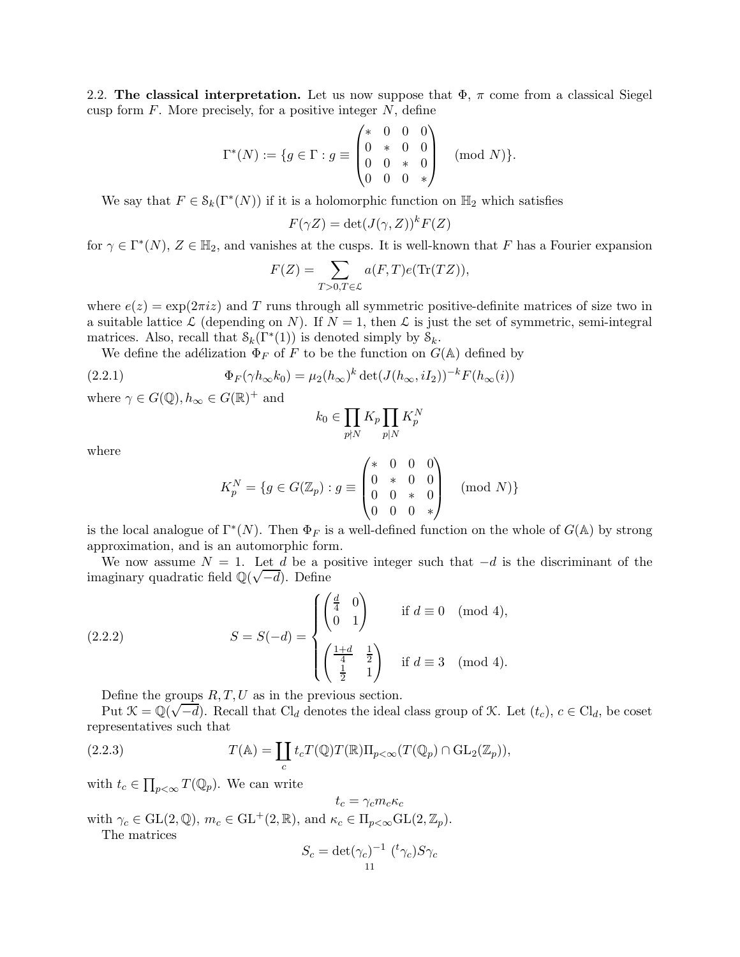<span id="page-10-0"></span>2.2. The classical interpretation. Let us now suppose that  $\Phi$ ,  $\pi$  come from a classical Siegel cusp form  $F$ . More precisely, for a positive integer  $N$ , define

$$
\Gamma^*(N) := \{ g \in \Gamma : g \equiv \begin{pmatrix} * & 0 & 0 & 0 \\ 0 & * & 0 & 0 \\ 0 & 0 & * & 0 \\ 0 & 0 & 0 & * \end{pmatrix} \pmod{N} \}.
$$

We say that  $F \in \mathcal{S}_k(\Gamma^*(N))$  if it is a holomorphic function on  $\mathbb{H}_2$  which satisfies

$$
F(\gamma Z) = \det(J(\gamma, Z))^k F(Z)
$$

for  $\gamma \in \Gamma^*(N)$ ,  $Z \in \mathbb{H}_2$ , and vanishes at the cusps. It is well-known that F has a Fourier expansion

$$
F(Z) = \sum_{T>0, T \in \mathcal{L}} a(F, T) e(\text{Tr}(TZ)),
$$

where  $e(z) = \exp(2\pi i z)$  and T runs through all symmetric positive-definite matrices of size two in a suitable lattice L (depending on N). If  $N = 1$ , then L is just the set of symmetric, semi-integral matrices. Also, recall that  $\mathcal{S}_k(\Gamma^*(1))$  is denoted simply by  $\mathcal{S}_k$ .

We define the adélization  $\Phi_F$  of F to be the function on  $G(\mathbb{A})$  defined by

(2.2.1) 
$$
\Phi_F(\gamma h_\infty k_0) = \mu_2(h_\infty)^k \det(J(h_\infty, iI_2))^{-k} F(h_\infty(i))
$$

where  $\gamma \in G(\mathbb{Q}), h_{\infty} \in G(\mathbb{R})^+$  and

$$
k_0\in \prod_{p\nmid N}K_p\prod_{p\mid N}K_p^N
$$

where

<span id="page-10-1"></span>
$$
K_p^N = \{ g \in G(\mathbb{Z}_p) : g \equiv \begin{pmatrix} * & 0 & 0 & 0 \\ 0 & * & 0 & 0 \\ 0 & 0 & * & 0 \\ 0 & 0 & 0 & * \end{pmatrix} \pmod{N} \}
$$

is the local analogue of  $\Gamma^*(N)$ . Then  $\Phi_F$  is a well-defined function on the whole of  $G(\mathbb{A})$  by strong approximation, and is an automorphic form.

We now assume  $N = 1$ . Let d be a positive integer such that  $-d$  is the discriminant of the imaginary quadratic field  $\mathbb{Q}(\sqrt{-d})$ . Define

(2.2.2) 
$$
S = S(-d) = \begin{cases} \begin{pmatrix} \frac{d}{4} & 0 \\ 0 & 1 \end{pmatrix} & \text{if } d \equiv 0 \pmod{4}, \\ \begin{pmatrix} \frac{1+d}{4} & \frac{1}{2} \\ \frac{1}{2} & 1 \end{pmatrix} & \text{if } d \equiv 3 \pmod{4}. \end{cases}
$$

<span id="page-10-2"></span>Define the groups  $R, T, U$  as in the previous section.

Put  $\mathcal{K} = \mathbb{Q}(\sqrt{-d})$ . Recall that Cl<sub>d</sub> denotes the ideal class group of  $\mathcal{K}$ . Let  $(t_c)$ ,  $c \in Cl_d$ , be coset representatives such that

(2.2.3) 
$$
T(\mathbb{A}) = \coprod_c t_c T(\mathbb{Q}) T(\mathbb{R}) \Pi_{p < \infty} (T(\mathbb{Q}_p) \cap \text{GL}_2(\mathbb{Z}_p)),
$$

with  $t_c \in \prod_{p<\infty} T(\mathbb{Q}_p)$ . We can write

$$
t_c = \gamma_c m_c \kappa_c
$$

with  $\gamma_c \in \text{GL}(2,\mathbb{Q}), m_c \in \text{GL}^+(2,\mathbb{R}), \text{ and } \kappa_c \in \Pi_{p<\infty} \text{GL}(2,\mathbb{Z}_p).$ The matrices

$$
S_c = \det(\gamma_c)^{-1} \, \left( \,^t \gamma_c \right) S \gamma_c
$$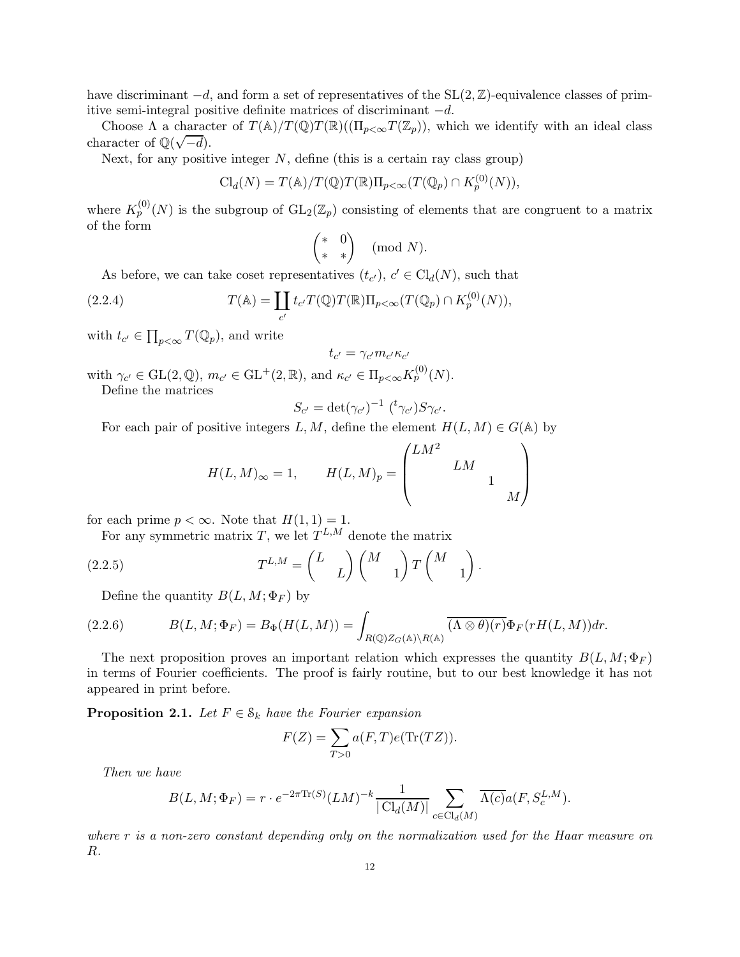have discriminant  $-d$ , and form a set of representatives of the  $SL(2,\mathbb{Z})$ -equivalence classes of primitive semi-integral positive definite matrices of discriminant  $-d$ .

Choose  $\Lambda$  a character of  $T(\mathbb{A})/T(\mathbb{Q})T(\mathbb{R})((\Pi_{p<\infty}T(\mathbb{Z}_p)),$  which we identify with an ideal class character of  $\mathbb{Q}(\sqrt{-d})$ .

Next, for any positive integer  $N$ , define (this is a certain ray class group)

$$
\mathrm{Cl}_d(N) = T(\mathbb{A})/T(\mathbb{Q})T(\mathbb{R})\Pi_{p<\infty}(T(\mathbb{Q}_p) \cap K_p^{(0)}(N)),
$$

where  $K_p^{(0)}(N)$  is the subgroup of  $GL_2(\mathbb{Z}_p)$  consisting of elements that are congruent to a matrix of the form

<span id="page-11-0"></span>
$$
\begin{pmatrix} * & 0 \\ * & * \end{pmatrix} \pmod{N}.
$$

As before, we can take coset representatives  $(t_{c'})$ ,  $c' \in \text{Cl}_d(N)$ , such that

(2.2.4) 
$$
T(\mathbb{A}) = \coprod_{c'} t_{c'} T(\mathbb{Q}) T(\mathbb{R}) \Pi_{p < \infty} (T(\mathbb{Q}_p) \cap K_p^{(0)}(N)),
$$

with  $t_{c'} \in \prod_{p<\infty} T(\mathbb{Q}_p)$ , and write

$$
t_{c'}=\gamma_{c'}m_{c'}\kappa_{c'}
$$

with  $\gamma_{c'} \in \text{GL}(2, \mathbb{Q}), m_{c'} \in \text{GL}^+(2, \mathbb{R}), \text{ and } \kappa_{c'} \in \Pi_{p<\infty} K_p^{(0)}(N).$ 

Define the matrices

$$
S_{c'} = \det(\gamma_{c'})^{-1} (t' \gamma_{c'}) S \gamma_{c'}.
$$

For each pair of positive integers L, M, define the element  $H(L, M) \in G(\mathbb{A})$  by

<span id="page-11-3"></span>
$$
H(L,M)_{\infty} = 1, \qquad H(L,M)_p = \begin{pmatrix} LM^2 & & & \\ & LM & & \\ & & 1 & \\ & & & M \end{pmatrix}
$$

for each prime  $p < \infty$ . Note that  $H(1, 1) = 1$ .

For any symmetric matrix T, we let  $T^{L,M}$  denote the matrix

(2.2.5) 
$$
T^{L,M} = \begin{pmatrix} L & \\ & L \end{pmatrix} \begin{pmatrix} M & \\ & 1 \end{pmatrix} T \begin{pmatrix} M & \\ & 1 \end{pmatrix}.
$$

<span id="page-11-1"></span>Define the quantity  $B(L, M; \Phi_F)$  by

$$
(2.2.6) \tB(L,M; \Phi_F) = B_{\Phi}(H(L,M)) = \int_{R(\mathbb{Q})Z_G(\mathbb{A})\backslash R(\mathbb{A})} \overline{(\Lambda \otimes \theta)(r)} \Phi_F(rH(L,M)) dr.
$$

The next proposition proves an important relation which expresses the quantity  $B(L, M; \Phi_F)$ in terms of Fourier coefficients. The proof is fairly routine, but to our best knowledge it has not appeared in print before.

<span id="page-11-2"></span>**Proposition 2.1.** Let  $F \in \mathcal{S}_k$  have the Fourier expansion

$$
F(Z) = \sum_{T>0} a(F,T)e(\text{Tr}(TZ)).
$$

Then we have

$$
B(L, M; \Phi_F) = r \cdot e^{-2\pi \text{Tr}(S)} (LM)^{-k} \frac{1}{|\text{Cl}_d(M)|} \sum_{c \in \text{Cl}_d(M)} \overline{\Lambda(c)} a(F, S_c^{L,M}).
$$

where r is a non-zero constant depending only on the normalization used for the Haar measure on R.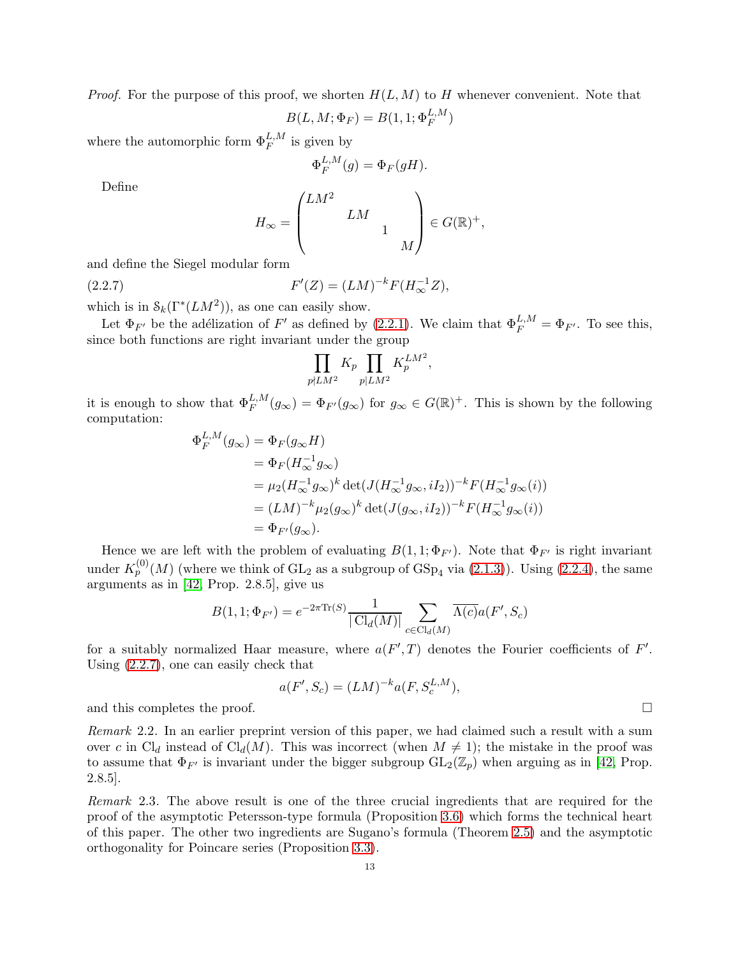*Proof.* For the purpose of this proof, we shorten  $H(L, M)$  to H whenever convenient. Note that

$$
B(L, M; \Phi_F) = B(1, 1; \Phi_F^{L, M})
$$

where the automorphic form  $\Phi_F^{L,M}$  is given by

$$
\Phi_F^{L,M}(g) = \Phi_F(gH).
$$

Define

$$
H_{\infty} = \begin{pmatrix} LM^2 & & \\ & LM & \\ & & 1 & \\ & & & M \end{pmatrix} \in G(\mathbb{R})^+,
$$

and define the Siegel modular form

(2.2.7) 
$$
F'(Z) = (LM)^{-k} F(H_{\infty}^{-1}Z),
$$

which is in  $\mathcal{S}_k(\Gamma^*(LM^2))$ , as one can easily show.

Let  $\Phi_{F'}$  be the adélization of F' as defined by [\(2.2.1\)](#page-10-1). We claim that  $\Phi_F^{L,M} = \Phi_{F'}$ . To see this, since both functions are right invariant under the group

<span id="page-12-0"></span>
$$
\prod_{p\nmid LM^2} K_p \prod_{p|LM^2} K_p^{LM^2},
$$

it is enough to show that  $\Phi_F^{L,M}(g_\infty) = \Phi_{F'}(g_\infty)$  for  $g_\infty \in G(\mathbb{R})^+$ . This is shown by the following computation:

$$
\Phi_F^{L,M}(g_{\infty}) = \Phi_F(g_{\infty}H)
$$
  
=  $\Phi_F(H_{\infty}^{-1}g_{\infty})$   
=  $\mu_2(H_{\infty}^{-1}g_{\infty})^k \det(J(H_{\infty}^{-1}g_{\infty}, iI_2))^{-k}F(H_{\infty}^{-1}g_{\infty}(i))$   
=  $(LM)^{-k}\mu_2(g_{\infty})^k \det(J(g_{\infty}, iI_2))^{-k}F(H_{\infty}^{-1}g_{\infty}(i))$   
=  $\Phi_{F'}(g_{\infty}).$ 

Hence we are left with the problem of evaluating  $B(1, 1; \Phi_{F'})$ . Note that  $\Phi_{F'}$  is right invariant under  $K_p^{(0)}(M)$  (where we think of  $GL_2$  as a subgroup of  $GSp_4$  via  $(2.1.3)$ ). Using  $(2.2.4)$ , the same arguments as in [\[42,](#page-44-14) Prop. 2.8.5], give us

$$
B(1,1; \Phi_{F'}) = e^{-2\pi \text{Tr}(S)} \frac{1}{|\text{Cl}_d(M)|} \sum_{c \in \text{Cl}_d(M)} \overline{\Lambda(c)} a(F', S_c)
$$

for a suitably normalized Haar measure, where  $a(F',T)$  denotes the Fourier coefficients of F'. Using [\(2.2.7\)](#page-12-0), one can easily check that

$$
a(F', S_c) = (LM)^{-k} a(F, S_c^{L,M}),
$$

and this completes the proof.

Remark 2.2. In an earlier preprint version of this paper, we had claimed such a result with a sum over c in Cl<sub>d</sub> instead of Cl<sub>d</sub>(M). This was incorrect (when  $M \neq 1$ ); the mistake in the proof was to assume that  $\Phi_{F'}$  is invariant under the bigger subgroup  $GL_2(\mathbb{Z}_p)$  when arguing as in [\[42,](#page-44-14) Prop. 2.8.5].

Remark 2.3. The above result is one of the three crucial ingredients that are required for the proof of the asymptotic Petersson-type formula (Proposition [3.6\)](#page-25-0) which forms the technical heart of this paper. The other two ingredients are Sugano's formula (Theorem [2.5\)](#page-14-0) and the asymptotic orthogonality for Poincare series (Proposition [3.3\)](#page-17-0).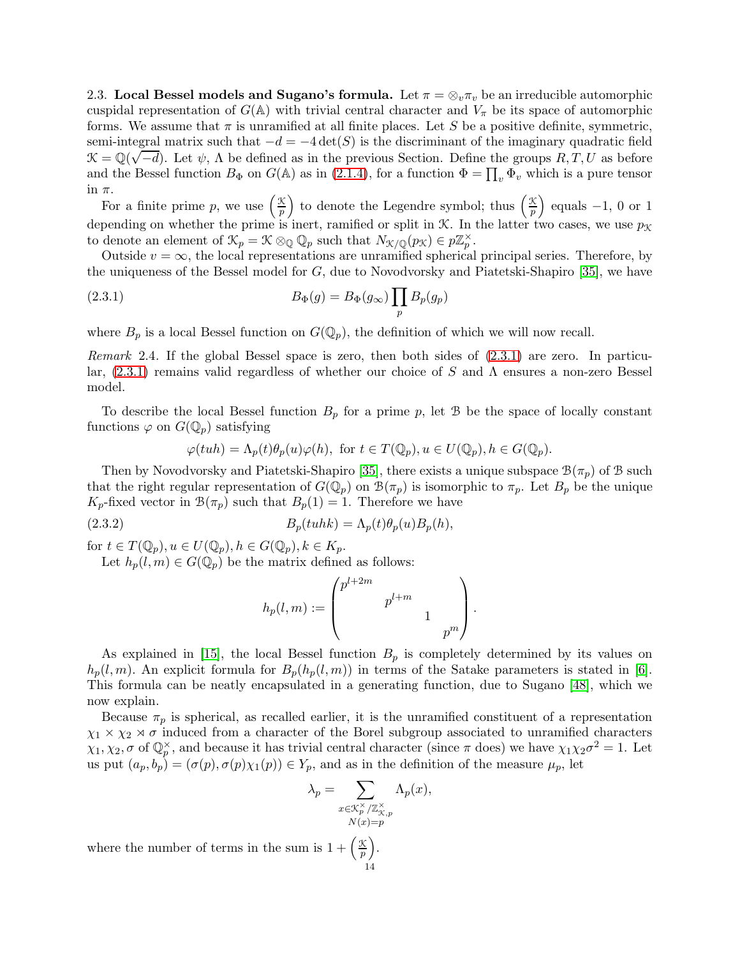2.3. Local Bessel models and Sugano's formula. Let  $\pi = \otimes_v \pi_v$  be an irreducible automorphic cuspidal representation of  $G(A)$  with trivial central character and  $V_{\pi}$  be its space of automorphic forms. We assume that  $\pi$  is unramified at all finite places. Let S be a positive definite, symmetric, semi-integral matrix such that  $-d = -4 \det(S)$  is the discriminant of the imaginary quadratic field  $\mathcal{K} = \mathbb{Q}(\sqrt{-d})$ . Let  $\psi$ ,  $\Lambda$  be defined as in the previous Section. Define the groups  $R, T, U$  as before and the Bessel function  $B_{\Phi}$  on  $G(\mathbb{A})$  as in [\(2.1.4\)](#page-9-4), for a function  $\Phi = \prod_{v} \Phi_{v}$  which is a pure tensor in  $\pi$ .

For a finite prime p, we use  $\left(\frac{\mathcal{K}}{n}\right)$  $\left(\frac{X}{p}\right)$  to denote the Legendre symbol; thus  $\left(\frac{X}{p}\right)$  $\frac{\mathcal{K}}{p}$  equals -1, 0 or 1 depending on whether the prime is inert, ramified or split in  $K$ . In the latter two cases, we use  $p_K$ to denote an element of  $\mathcal{K}_p = \mathcal{K} \otimes_{\mathbb{Q}} \mathbb{Q}_p$  such that  $N_{\mathcal{K}/\mathbb{Q}}(p_{\mathcal{K}}) \in p\mathbb{Z}_p^{\times}$ .

Outside  $v = \infty$ , the local representations are unramified spherical principal series. Therefore, by the uniqueness of the Bessel model for  $G$ , due to Novodvorsky and Piatetski-Shapiro [\[35\]](#page-44-13), we have

(2.3.1) 
$$
B_{\Phi}(g) = B_{\Phi}(g_{\infty}) \prod_{p} B_{p}(g_{p})
$$

where  $B_p$  is a local Bessel function on  $G(\mathbb{Q}_p)$ , the definition of which we will now recall.

*Remark* 2.4. If the global Bessel space is zero, then both sides of  $(2.3.1)$  are zero. In particular,  $(2.3.1)$  remains valid regardless of whether our choice of S and  $\Lambda$  ensures a non-zero Bessel model.

To describe the local Bessel function  $B_p$  for a prime p, let B be the space of locally constant functions  $\varphi$  on  $G(\mathbb{Q}_p)$  satisfying

<span id="page-13-0"></span>
$$
\varphi(tuh) = \Lambda_p(t)\theta_p(u)\varphi(h), \text{ for } t \in T(\mathbb{Q}_p), u \in U(\mathbb{Q}_p), h \in G(\mathbb{Q}_p).
$$

Then by Novodvorsky and Piatetski-Shapiro [\[35\]](#page-44-13), there exists a unique subspace  $\mathcal{B}(\pi_p)$  of B such that the right regular representation of  $G(\mathbb{Q}_p)$  on  $\mathcal{B}(\pi_p)$  is isomorphic to  $\pi_p$ . Let  $B_p$  be the unique  $K_p$ -fixed vector in  $\mathcal{B}(\pi_p)$  such that  $B_p(1) = 1$ . Therefore we have

(2.3.2) 
$$
B_p(tuhk) = \Lambda_p(t)\theta_p(u)B_p(h),
$$

for  $t \in T(\mathbb{Q}_p), u \in U(\mathbb{Q}_p), h \in G(\mathbb{Q}_p), k \in K_p$ .

Let  $h_p(l,m) \in G(\mathbb{Q}_p)$  be the matrix defined as follows:

$$
h_p(l,m):=\begin{pmatrix}p^{l+2m}&&\\&p^{l+m}&&\\&&1&\\&&&p^m\end{pmatrix}.
$$

As explained in [\[15\]](#page-43-12), the local Bessel function  $B_p$  is completely determined by its values on  $h_p(l,m)$ . An explicit formula for  $B_p(h_p(l,m))$  in terms of the Satake parameters is stated in [\[6\]](#page-43-10). This formula can be neatly encapsulated in a generating function, due to Sugano [\[48\]](#page-44-15), which we now explain.

Because  $\pi_p$  is spherical, as recalled earlier, it is the unramified constituent of a representation  $\chi_1 \times \chi_2 \times \sigma$  induced from a character of the Borel subgroup associated to unramified characters  $\chi_1, \chi_2, \sigma$  of  $\mathbb{Q}_p^{\times}$ , and because it has trivial central character (since  $\pi$  does) we have  $\chi_1 \chi_2 \sigma^2 = 1$ . Let us put  $(a_p, b_p) = (\sigma(p), \sigma(p)\chi_1(p)) \in Y_p$ , and as in the definition of the measure  $\mu_p$ , let

$$
\lambda_p = \sum_{\substack{x \in \mathcal{K}_p^{\times}/\mathbb{Z}_{\mathcal{X},p}^{\times} \\ N(x) = p}} \Lambda_p(x),
$$

where the number of terms in the sum is  $1 + \left(\frac{\mathcal{K}}{n}\right)^2$  $\frac{\mathcal{K}}{p}$ . 14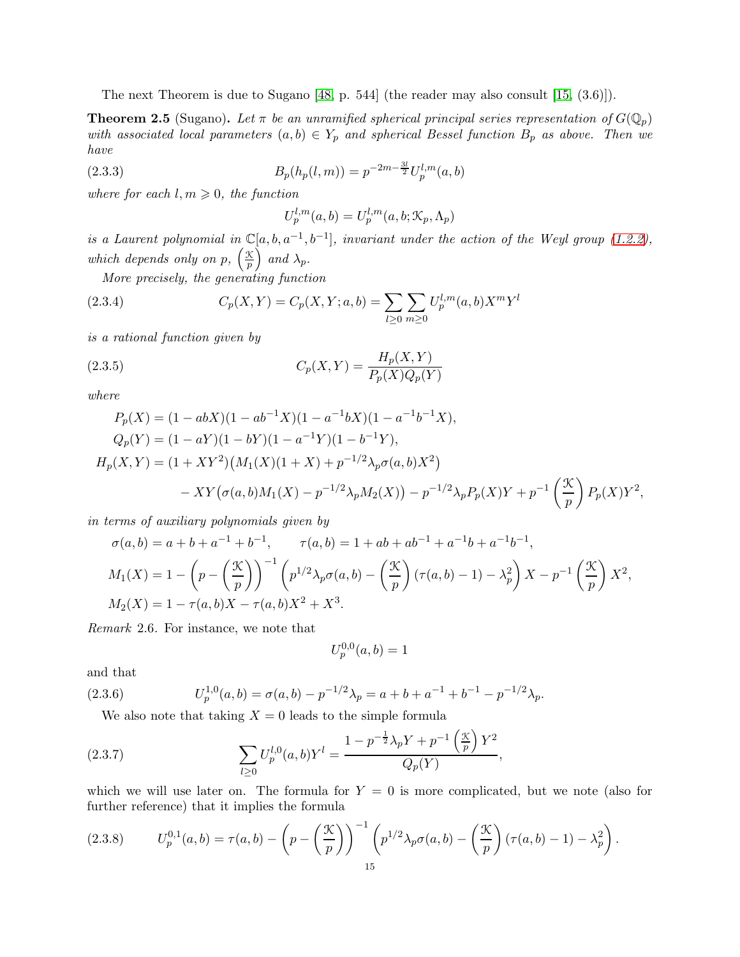The next Theorem is due to Sugano [\[48,](#page-44-15) p. 544] (the reader may also consult [\[15,](#page-43-12) (3.6)]).

<span id="page-14-0"></span>**Theorem 2.5** (Sugano). Let  $\pi$  be an unramified spherical principal series representation of  $G(\mathbb{Q}_p)$ with associated local parameters  $(a, b) \in Y_p$  and spherical Bessel function  $B_p$  as above. Then we have

(2.3.3) 
$$
B_p(h_p(l,m)) = p^{-2m - \frac{3l}{2}} U_p^{l,m}(a,b)
$$

where for each  $l, m \geq 0$ , the function

<span id="page-14-1"></span>
$$
U_p^{l,m}(a,b) = U_p^{l,m}(a,b; \mathcal{K}_p, \Lambda_p)
$$

is a Laurent polynomial in  $\mathbb{C}[a, b, a^{-1}, b^{-1}]$ , invariant under the action of the Weyl group [\(1.2.2\)](#page-4-0), which depends only on p,  $\left(\frac{\mathcal{K}}{n}\right)$  $\frac{\mathcal{K}}{p}$  and  $\lambda_p$ .

More precisely, the generating function

(2.3.4) 
$$
C_p(X,Y) = C_p(X,Y;a,b) = \sum_{l \ge 0} \sum_{m \ge 0} U_p^{l,m}(a,b) X^m Y^l
$$

is a rational function given by

(2.3.5) 
$$
C_p(X,Y) = \frac{H_p(X,Y)}{P_p(X)Q_p(Y)}
$$

where

$$
P_p(X) = (1 - abX)(1 - ab^{-1}X)(1 - a^{-1}bX)(1 - a^{-1}b^{-1}X),
$$
  
\n
$$
Q_p(Y) = (1 - aY)(1 - bY)(1 - a^{-1}Y)(1 - b^{-1}Y),
$$
  
\n
$$
H_p(X, Y) = (1 + XY^2)(M_1(X)(1 + X) + p^{-1/2}\lambda_p\sigma(a, b)X^2)
$$
  
\n
$$
- XY(\sigma(a, b)M_1(X) - p^{-1/2}\lambda_pM_2(X)) - p^{-1/2}\lambda_pP_p(X)Y + p^{-1}\left(\frac{\mathcal{K}}{p}\right)P_p(X)Y^2,
$$

in terms of auxiliary polynomials given by

$$
\sigma(a,b) = a + b + a^{-1} + b^{-1}, \qquad \tau(a,b) = 1 + ab + ab^{-1} + a^{-1}b + a^{-1}b^{-1},
$$
  
\n
$$
M_1(X) = 1 - \left(p - \left(\frac{\mathcal{K}}{p}\right)\right)^{-1} \left(p^{1/2}\lambda_p\sigma(a,b) - \left(\frac{\mathcal{K}}{p}\right)\left(\tau(a,b) - 1\right) - \lambda_p^2\right)X - p^{-1}\left(\frac{\mathcal{K}}{p}\right)X^2,
$$
  
\n
$$
M_2(X) = 1 - \tau(a,b)X - \tau(a,b)X^2 + X^3.
$$

Remark 2.6. For instance, we note that

<span id="page-14-2"></span>
$$
U_{p}^{0,0}(\boldsymbol{a},\boldsymbol{b})=1
$$

and that

(2.3.6) 
$$
U_p^{1,0}(a,b) = \sigma(a,b) - p^{-1/2}\lambda_p = a + b + a^{-1} + b^{-1} - p^{-1/2}\lambda_p.
$$

<span id="page-14-3"></span>We also note that taking  $X = 0$  leads to the simple formula

(2.3.7) 
$$
\sum_{l\geq 0} U_p^{l,0}(a,b)Y^l = \frac{1 - p^{-\frac{1}{2}}\lambda_p Y + p^{-1}\left(\frac{\mathcal{K}}{p}\right)Y^2}{Q_p(Y)},
$$

which we will use later on. The formula for  $Y = 0$  is more complicated, but we note (also for further reference) that it implies the formula

<span id="page-14-4"></span>
$$
(2.3.8) \tU_p^{0,1}(a,b) = \tau(a,b) - \left(p - \left(\frac{\mathcal{K}}{p}\right)\right)^{-1} \left(p^{1/2}\lambda_p \sigma(a,b) - \left(\frac{\mathcal{K}}{p}\right)(\tau(a,b) - 1) - \lambda_p^2\right).
$$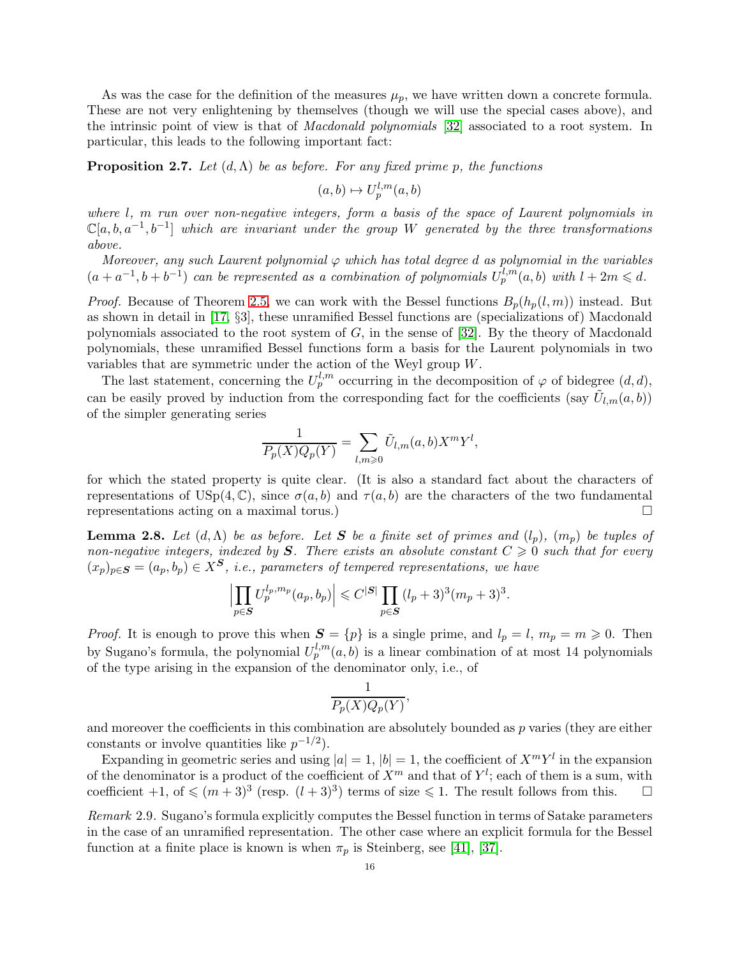As was the case for the definition of the measures  $\mu_p$ , we have written down a concrete formula. These are not very enlightening by themselves (though we will use the special cases above), and the intrinsic point of view is that of Macdonald polynomials [\[32\]](#page-44-16) associated to a root system. In particular, this leads to the following important fact:

<span id="page-15-0"></span>**Proposition 2.7.** Let  $(d, \Lambda)$  be as before. For any fixed prime p, the functions

$$
(a,b)\mapsto U_p^{l,m}(a,b)
$$

where l, m run over non-negative integers, form a basis of the space of Laurent polynomials in  $\mathbb{C}[a, b, a^{-1}, b^{-1}]$  which are invariant under the group W generated by the three transformations above.

Moreover, any such Laurent polynomial  $\varphi$  which has total degree d as polynomial in the variables  $(a+a^{-1},b+b^{-1})$  can be represented as a combination of polynomials  $U_p^{l,m}(a,b)$  with  $l+2m \leqslant d$ .

*Proof.* Because of Theorem [2.5,](#page-14-0) we can work with the Bessel functions  $B_p(h_p(l,m))$  instead. But as shown in detail in [\[17,](#page-43-11) §3], these unramified Bessel functions are (specializations of) Macdonald polynomials associated to the root system of  $G$ , in the sense of [\[32\]](#page-44-16). By the theory of Macdonald polynomials, these unramified Bessel functions form a basis for the Laurent polynomials in two variables that are symmetric under the action of the Weyl group W.

The last statement, concerning the  $U_p^{l,m}$  occurring in the decomposition of  $\varphi$  of bidegree  $(d,d)$ , can be easily proved by induction from the corresponding fact for the coefficients (say  $\tilde{U}_{l,m}(a, b)$ ) of the simpler generating series

$$
\frac{1}{P_p(X)Q_p(Y)} = \sum_{l,m \geq 0} \tilde{U}_{l,m}(a,b)X^mY^l,
$$

for which the stated property is quite clear. (It is also a standard fact about the characters of representations of USp(4, C), since  $\sigma(a, b)$  and  $\tau(a, b)$  are the characters of the two fundamental representations acting on a maximal torus.)

<span id="page-15-1"></span>**Lemma 2.8.** Let  $(d, \Lambda)$  be as before. Let S be a finite set of primes and  $(l_p)$ ,  $(m_p)$  be tuples of non-negative integers, indexed by S. There exists an absolute constant  $C \geq 0$  such that for every  $(x_p)_{p \in \mathbf{S}} = (a_p, b_p) \in X^{\mathbf{S}}$ , i.e., parameters of tempered representations, we have

$$
\left| \prod_{p \in S} U_p^{l_p, m_p}(a_p, b_p) \right| \leq C^{|S|} \prod_{p \in S} (l_p + 3)^3 (m_p + 3)^3.
$$

*Proof.* It is enough to prove this when  $S = \{p\}$  is a single prime, and  $l_p = l$ ,  $m_p = m \ge 0$ . Then by Sugano's formula, the polynomial  $U_p^{l,m}(a, b)$  is a linear combination of at most 14 polynomials of the type arising in the expansion of the denominator only, i.e., of

$$
\frac{1}{P_p(X)Q_p(Y)},
$$

and moreover the coefficients in this combination are absolutely bounded as  $p$  varies (they are either constants or involve quantities like  $p^{-1/2}$ ).

Expanding in geometric series and using  $|a| = 1$ ,  $|b| = 1$ , the coefficient of  $X^m Y^l$  in the expansion of the denominator is a product of the coefficient of  $X^m$  and that of  $Y^l$ ; each of them is a sum, with coefficient  $+1$ , of  $\leq (m+3)^3$  (resp.  $(l+3)^3$ ) terms of size  $\leq 1$ . The result follows from this.  $\square$ 

Remark 2.9. Sugano's formula explicitly computes the Bessel function in terms of Satake parameters in the case of an unramified representation. The other case where an explicit formula for the Bessel function at a finite place is known is when  $\pi_p$  is Steinberg, see [\[41\]](#page-44-17), [\[37\]](#page-44-18).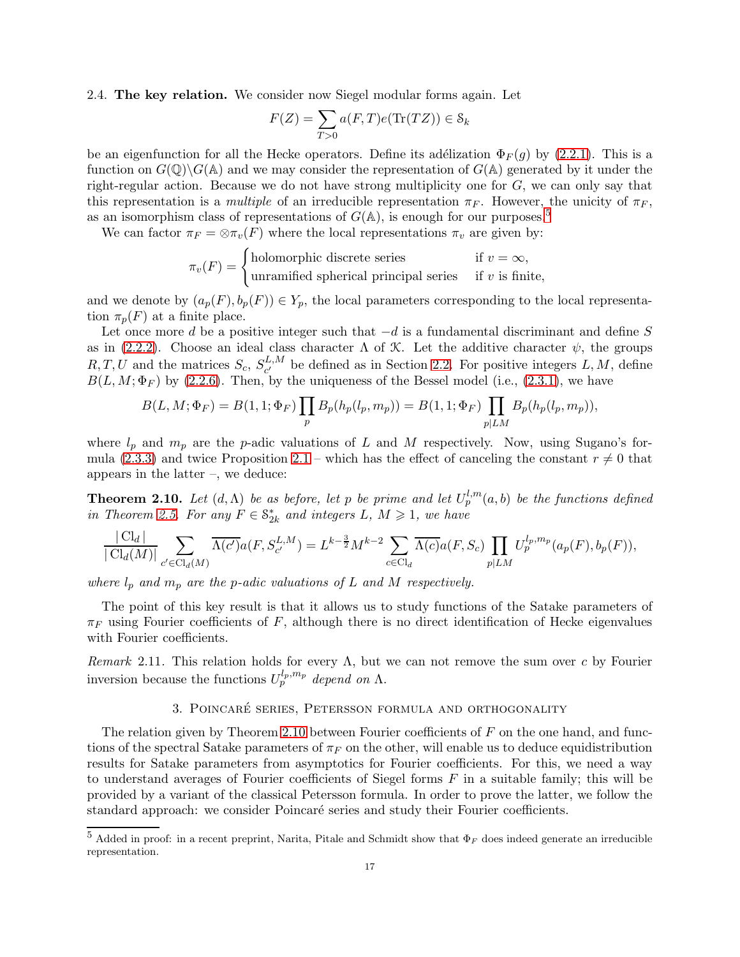2.4. The key relation. We consider now Siegel modular forms again. Let

$$
F(Z) = \sum_{T>0} a(F,T)e(\text{Tr}(TZ)) \in \mathcal{S}_k
$$

be an eigenfunction for all the Hecke operators. Define its adélization  $\Phi_F(q)$  by [\(2.2.1\)](#page-10-1). This is a function on  $G(\mathbb{Q})\backslash G(\mathbb{A})$  and we may consider the representation of  $G(\mathbb{A})$  generated by it under the right-regular action. Because we do not have strong multiplicity one for  $G$ , we can only say that this representation is a multiple of an irreducible representation  $\pi_F$ . However, the unicity of  $\pi_F$ , as an isomorphism class of representations of  $G(\mathbb{A})$ , is enough for our purposes.<sup>[5](#page-16-1)</sup>

We can factor  $\pi_F = \otimes \pi_v(F)$  where the local representations  $\pi_v$  are given by:

$$
\pi_v(F) = \begin{cases} \text{holomorphic discrete series} & \text{if } v = \infty, \\ \text{unramified spherical principal series} & \text{if } v \text{ is finite,} \end{cases}
$$

and we denote by  $(a_p(F), b_p(F)) \in Y_p$ , the local parameters corresponding to the local representation  $\pi_p(F)$  at a finite place.

Let once more d be a positive integer such that  $-d$  is a fundamental discriminant and define S as in [\(2.2.2\)](#page-10-2). Choose an ideal class character  $\Lambda$  of  $\mathcal K$ . Let the additive character  $\psi$ , the groups  $R, T, U$  and the matrices  $S_c, S_{c'}^{L,M}$  be defined as in Section [2.2.](#page-10-0) For positive integers  $L, M$ , define  $B(L, M; \Phi_F)$  by [\(2.2.6\)](#page-11-1). Then, by the uniqueness of the Bessel model (i.e., [\(2.3.1\)](#page-13-0), we have

$$
B(L, M; \Phi_F) = B(1, 1; \Phi_F) \prod_p B_p(h_p(l_p, m_p)) = B(1, 1; \Phi_F) \prod_{p | LM} B_p(h_p(l_p, m_p)),
$$

where  $l_p$  and  $m_p$  are the p-adic valuations of L and M respectively. Now, using Sugano's for-mula [\(2.3.3\)](#page-14-1) and twice Proposition [2.1](#page-11-2) – which has the effect of canceling the constant  $r \neq 0$  that appears in the latter –, we deduce:

<span id="page-16-2"></span>**Theorem 2.10.** Let  $(d, \Lambda)$  be as before, let p be prime and let  $U_p^{l,m}(a, b)$  be the functions defined in Theorem [2.5.](#page-14-0) For any  $F \in \mathbb{S}_{2k}^*$  and integers  $L, M \geq 1$ , we have

$$
\frac{|\mathrm{Cl}_d|}{|\mathrm{Cl}_d(M)|} \sum_{c' \in \mathrm{Cl}_d(M)} \overline{\Lambda(c')} a(F, S_{c'}^{L,M}) = L^{k-\frac{3}{2}} M^{k-2} \sum_{c \in \mathrm{Cl}_d} \overline{\Lambda(c)} a(F, S_c) \prod_{p | LM} U_p^{l_p, m_p}(a_p(F), b_p(F)),
$$

where  $l_p$  and  $m_p$  are the p-adic valuations of L and M respectively.

The point of this key result is that it allows us to study functions of the Satake parameters of  $\pi_F$  using Fourier coefficients of F, although there is no direct identification of Hecke eigenvalues with Fourier coefficients.

<span id="page-16-0"></span>Remark 2.11. This relation holds for every  $\Lambda$ , but we can not remove the sum over c by Fourier inversion because the functions  $U_p^{l_p,m_p}$  depend on  $\Lambda$ .

## 3. POINCARÉ SERIES, PETERSSON FORMULA AND ORTHOGONALITY

The relation given by Theorem [2.10](#page-16-2) between Fourier coefficients of  $F$  on the one hand, and functions of the spectral Satake parameters of  $\pi_F$  on the other, will enable us to deduce equidistribution results for Satake parameters from asymptotics for Fourier coefficients. For this, we need a way to understand averages of Fourier coefficients of Siegel forms  $F$  in a suitable family; this will be provided by a variant of the classical Petersson formula. In order to prove the latter, we follow the standard approach: we consider Poincaré series and study their Fourier coefficients.

<span id="page-16-1"></span><sup>&</sup>lt;sup>5</sup> Added in proof: in a recent preprint, Narita, Pitale and Schmidt show that  $\Phi_F$  does indeed generate an irreducible representation.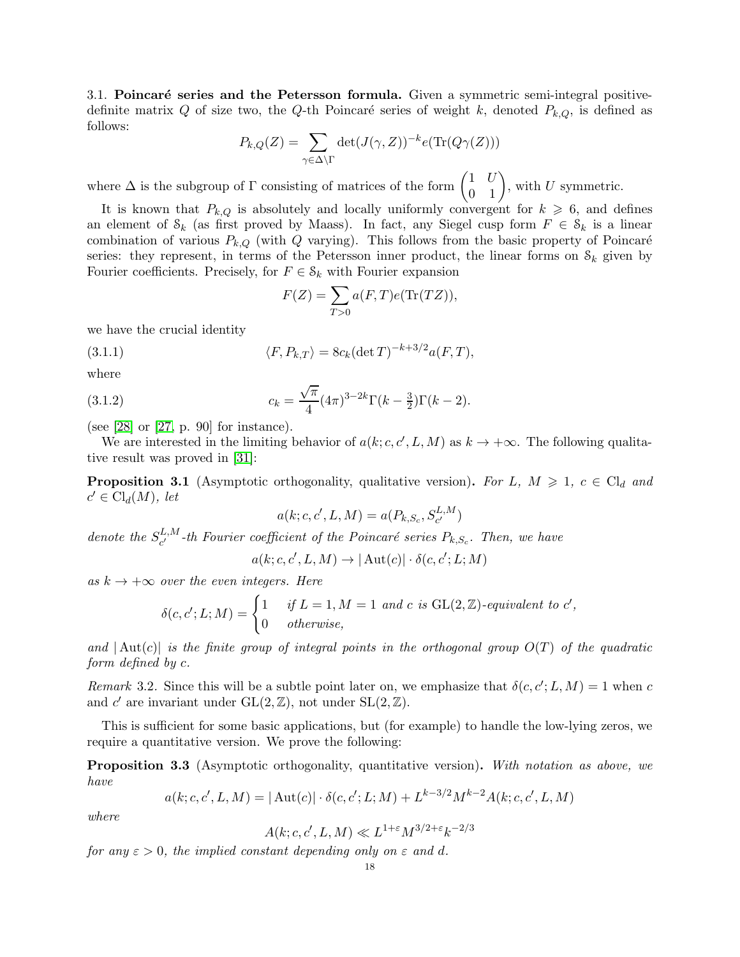3.1. Poincaré series and the Petersson formula. Given a symmetric semi-integral positivedefinite matrix Q of size two, the Q-th Poincaré series of weight k, denoted  $P_{k,Q}$ , is defined as follows:

$$
P_{k,Q}(Z) = \sum_{\gamma \in \Delta \backslash \Gamma} \det(J(\gamma, Z))^{-k} e(\text{Tr}(Q\gamma(Z)))
$$

where  $\Delta$  is the subgroup of  $\Gamma$  consisting of matrices of the form  $\begin{pmatrix} 1 & U \\ 0 & 1 \end{pmatrix}$ , with U symmetric.

It is known that  $P_{k,Q}$  is absolutely and locally uniformly convergent for  $k \geq 6$ , and defines an element of  $\mathcal{S}_k$  (as first proved by Maass). In fact, any Siegel cusp form  $F \in \mathcal{S}_k$  is a linear combination of various  $P_{k,Q}$  (with Q varying). This follows from the basic property of Poincaré series: they represent, in terms of the Petersson inner product, the linear forms on  $\mathcal{S}_k$  given by Fourier coefficients. Precisely, for  $F \in \mathcal{S}_k$  with Fourier expansion

<span id="page-17-1"></span>
$$
F(Z) = \sum_{T>0} a(F,T)e(\text{Tr}(TZ)),
$$

we have the crucial identity

(3.1.1) 
$$
\langle F, P_{k,T} \rangle = 8c_k(\det T)^{-k+3/2}a(F,T),
$$

where

(3.1.2) 
$$
c_k = \frac{\sqrt{\pi}}{4} (4\pi)^{3-2k} \Gamma(k-\frac{3}{2}) \Gamma(k-2).
$$

(see [\[28\]](#page-44-19) or [\[27,](#page-44-5) p. 90] for instance).

We are interested in the limiting behavior of  $a(k; c, c', L, M)$  as  $k \to +\infty$ . The following qualitative result was proved in [\[31\]](#page-44-20):

<span id="page-17-2"></span>**Proposition 3.1** (Asymptotic orthogonality, qualitative version). For L,  $M \geq 1$ ,  $c \in Cl_d$  and  $c' \in \mathrm{Cl}_d(M)$ , let

$$
a(k; c, c', L, M) = a(P_{k,S_c}, S_{c'}^{L, M})
$$

denote the  $S_{c'}^{L,M}$ <sup>L,M</sup>-th Fourier coefficient of the Poincaré series  $P_{k,S_c}$ . Then, we have

$$
a(k;c,c',L,M) \to |\operatorname{Aut}(c)| \cdot \delta(c,c';L;M)
$$

as  $k \to +\infty$  over the even integers. Here

$$
\delta(c, c'; L; M) = \begin{cases} 1 & \text{if } L = 1, M = 1 \text{ and } c \text{ is GL}(2, \mathbb{Z})\text{-}equivalent to } c', \\ 0 & \text{otherwise,} \end{cases}
$$

and  $\vert \text{Aut}(c) \vert$  is the finite group of integral points in the orthogonal group  $O(T)$  of the quadratic form defined by c.

Remark 3.2. Since this will be a subtle point later on, we emphasize that  $\delta(c, c'; L, M) = 1$  when c and c' are invariant under  $GL(2, \mathbb{Z})$ , not under  $SL(2, \mathbb{Z})$ .

This is sufficient for some basic applications, but (for example) to handle the low-lying zeros, we require a quantitative version. We prove the following:

<span id="page-17-0"></span>**Proposition 3.3** (Asymptotic orthogonality, quantitative version). With notation as above, we have

$$
a(k; c, c', L, M) = |\operatorname{Aut}(c)| \cdot \delta(c, c'; L; M) + L^{k-3/2} M^{k-2} A(k; c, c', L, M)
$$

where

$$
A(k;c,c',L,M) \ll L^{1+\varepsilon} M^{3/2+\varepsilon} k^{-2/3}
$$

for any  $\varepsilon > 0$ , the implied constant depending only on  $\varepsilon$  and d.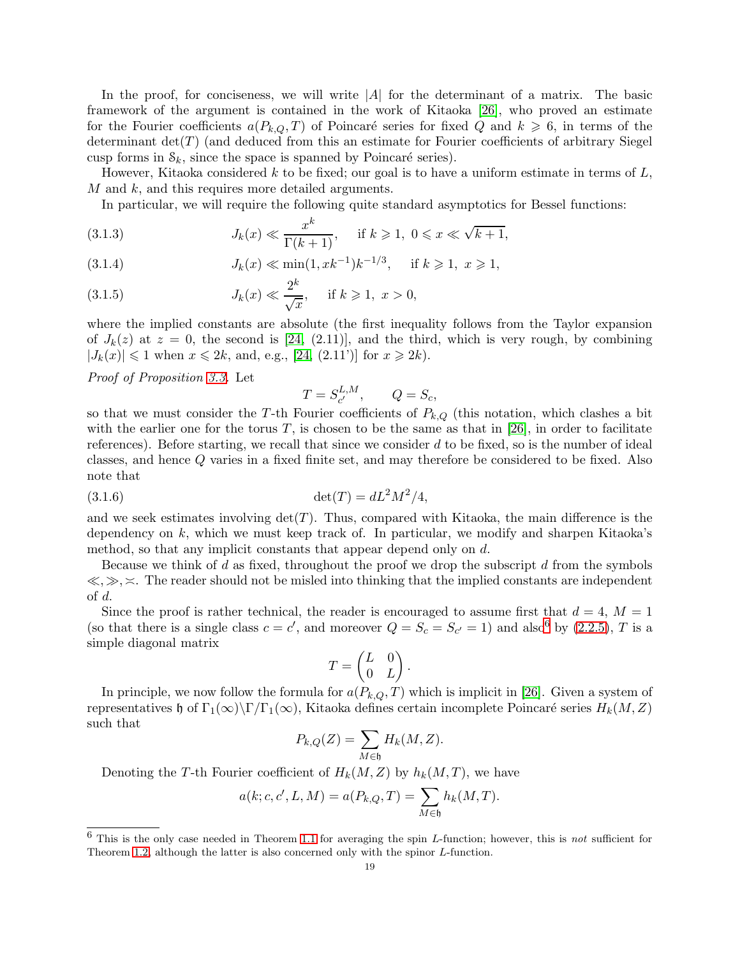In the proof, for conciseness, we will write  $|A|$  for the determinant of a matrix. The basic framework of the argument is contained in the work of Kitaoka [\[26\]](#page-44-12), who proved an estimate for the Fourier coefficients  $a(P_{k,Q},T)$  of Poincaré series for fixed Q and  $k \geq 6$ , in terms of the determinant  $\det(T)$  (and deduced from this an estimate for Fourier coefficients of arbitrary Siegel cusp forms in  $\mathcal{S}_k$ , since the space is spanned by Poincaré series).

However, Kitaoka considered k to be fixed; our goal is to have a uniform estimate in terms of  $L$ , M and k, and this requires more detailed arguments.

In particular, we will require the following quite standard asymptotics for Bessel functions:

<span id="page-18-1"></span>(3.1.3) 
$$
J_k(x) \ll \frac{x^k}{\Gamma(k+1)}, \quad \text{if } k \geq 1, \ 0 \leq x \leq \sqrt{k+1},
$$

<span id="page-18-2"></span>(3.1.4) 
$$
J_k(x) \ll \min(1, xk^{-1})k^{-1/3}
$$
, if  $k \ge 1, x \ge 1$ ,

<span id="page-18-3"></span>(3.1.5) 
$$
J_k(x) \ll \frac{2^k}{\sqrt{x}}, \quad \text{if } k \geq 1, \ x > 0,
$$

where the implied constants are absolute (the first inequality follows from the Taylor expansion of  $J_k(z)$  at  $z = 0$ , the second is [\[24,](#page-44-2) (2.11)], and the third, which is very rough, by combining  $|J_k(x)| \leq 1$  when  $x \leq 2k$ , and, e.g., [\[24,](#page-44-2) (2.11')] for  $x \geq 2k$ .

Proof of Proposition [3.3.](#page-17-0) Let

$$
T = S_{c'}^{L,M}, \qquad Q = S_c,
$$

so that we must consider the T-th Fourier coefficients of  $P_{k,Q}$  (this notation, which clashes a bit with the earlier one for the torus  $T$ , is chosen to be the same as that in [\[26\]](#page-44-12), in order to facilitate references). Before starting, we recall that since we consider  $d$  to be fixed, so is the number of ideal classes, and hence Q varies in a fixed finite set, and may therefore be considered to be fixed. Also note that

(3.1.6) 
$$
\det(T) = dL^2 M^2 / 4,
$$

and we seek estimates involving  $det(T)$ . Thus, compared with Kitaoka, the main difference is the dependency on  $k$ , which we must keep track of. In particular, we modify and sharpen Kitaoka's method, so that any implicit constants that appear depend only on d.

Because we think of  $d$  as fixed, throughout the proof we drop the subscript  $d$  from the symbols  $\langle \xi, \gg, \times \rangle$ . The reader should not be misled into thinking that the implied constants are independent of d.

Since the proof is rather technical, the reader is encouraged to assume first that  $d = 4$ ,  $M = 1$ (so that there is a single class  $c = c'$ , and moreover  $Q = S_c = S_{c'} = 1$ ) and also<sup>[6](#page-18-0)</sup> by [\(2.2.5\)](#page-11-3), T is a simple diagonal matrix

$$
T = \begin{pmatrix} L & 0 \\ 0 & L \end{pmatrix}.
$$

In principle, we now follow the formula for  $a(P_{k,Q}, T)$  which is implicit in [\[26\]](#page-44-12). Given a system of representatives h of Γ<sub>1</sub>(∞)\Γ/Γ<sub>1</sub>(∞), Kitaoka defines certain incomplete Poincaré series  $H_k(M, Z)$ such that

$$
P_{k,Q}(Z) = \sum_{M \in \mathfrak{h}} H_k(M, Z).
$$

Denoting the T-th Fourier coefficient of  $H_k(M, Z)$  by  $h_k(M, T)$ , we have

$$
a(k; c, c', L, M) = a(P_{k,Q}, T) = \sum_{M \in \mathfrak{h}} h_k(M, T).
$$

<span id="page-18-0"></span> $6$  This is the only case needed in Theorem [1.1](#page-0-1) for averaging the spin L-function; however, this is not sufficient for Theorem [1.2,](#page-1-0) although the latter is also concerned only with the spinor L-function.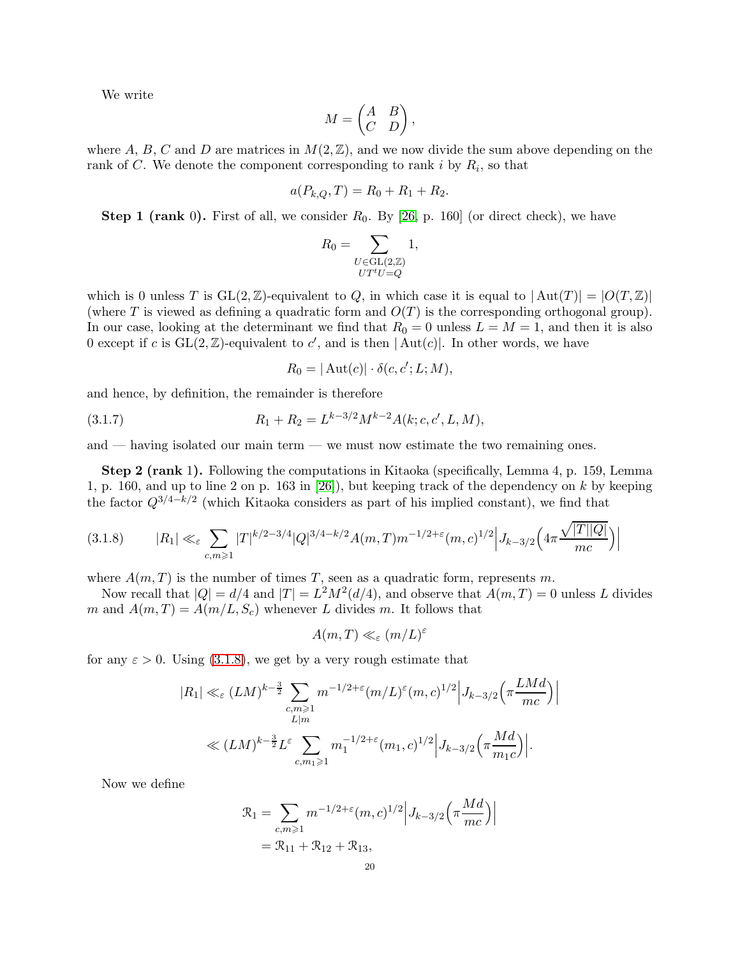We write

$$
M = \begin{pmatrix} A & B \\ C & D \end{pmatrix},
$$

where A, B, C and D are matrices in  $M(2,\mathbb{Z})$ , and we now divide the sum above depending on the rank of C. We denote the component corresponding to rank  $i$  by  $R_i$ , so that

$$
a(P_{k,Q},T) = R_0 + R_1 + R_2.
$$

**Step 1 (rank** 0). First of all, we consider  $R_0$ . By [\[26,](#page-44-12) p. 160] (or direct check), we have

$$
R_0 = \sum_{\substack{U \in \text{GL}(2,\mathbb{Z})\\ UT^tU = Q}} 1,
$$

which is 0 unless T is  $GL(2,\mathbb{Z})$ -equivalent to Q, in which case it is equal to  $|Aut(T)| = |O(T,\mathbb{Z})|$ (where T is viewed as defining a quadratic form and  $O(T)$  is the corresponding orthogonal group). In our case, looking at the determinant we find that  $R_0 = 0$  unless  $L = M = 1$ , and then it is also 0 except if c is  $GL(2, \mathbb{Z})$ -equivalent to c', and is then  $|Aut(c)|$ . In other words, we have

$$
R_0 = |\operatorname{Aut}(c)| \cdot \delta(c, c'; L; M),
$$

and hence, by definition, the remainder is therefore

(3.1.7) 
$$
R_1 + R_2 = L^{k-3/2} M^{k-2} A(k; c, c', L, M),
$$

and — having isolated our main term — we must now estimate the two remaining ones.

Step 2 (rank 1). Following the computations in Kitaoka (specifically, Lemma 4, p. 159, Lemma 1, p. 160, and up to line 2 on p. 163 in  $[26]$ , but keeping track of the dependency on k by keeping the factor  $Q^{3/4-k/2}$  (which Kitaoka considers as part of his implied constant), we find that

<span id="page-19-0"></span>
$$
(3.1.8) \t |R_1| \ll_{\varepsilon} \sum_{c,m \geqslant 1} |T|^{k/2 - 3/4} |Q|^{3/4 - k/2} A(m, T) m^{-1/2 + \varepsilon}(m, c)^{1/2} \Big| J_{k-3/2} \Big( 4\pi \frac{\sqrt{|T||Q|}}{mc} \Big) \Big|
$$

where  $A(m,T)$  is the number of times T, seen as a quadratic form, represents m.

Now recall that  $|Q| = d/4$  and  $|T| = L^2 M^2(d/4)$ , and observe that  $A(m, T) = 0$  unless L divides m and  $A(m,T) = A(m/L, S_c)$  whenever L divides m. It follows that

$$
A(m,T) \ll_{\varepsilon} (m/L)^{\varepsilon}
$$

for any  $\varepsilon > 0$ . Using [\(3.1.8\)](#page-19-0), we get by a very rough estimate that

$$
|R_1| \ll_{\varepsilon} (LM)^{k-\frac{3}{2}} \sum_{\substack{c,m \geqslant 1 \\ L|m}} m^{-1/2+\varepsilon} (m/L)^{\varepsilon} (m, c)^{1/2} \Big| J_{k-3/2} \Big( \pi \frac{LMd}{mc} \Big) \Big|
$$
  

$$
\ll (LM)^{k-\frac{3}{2}} L^{\varepsilon} \sum_{c,m_1 \geqslant 1} m_1^{-1/2+\varepsilon} (m_1, c)^{1/2} \Big| J_{k-3/2} \Big( \pi \frac{Md}{m_1c} \Big) \Big|.
$$

Now we define

$$
\mathcal{R}_1 = \sum_{c,m \ge 1} m^{-1/2 + \varepsilon} (m, c)^{1/2} \Big| J_{k-3/2} \Big( \pi \frac{Md}{mc} \Big) \Big|
$$
  
=  $\mathcal{R}_{11} + \mathcal{R}_{12} + \mathcal{R}_{13},$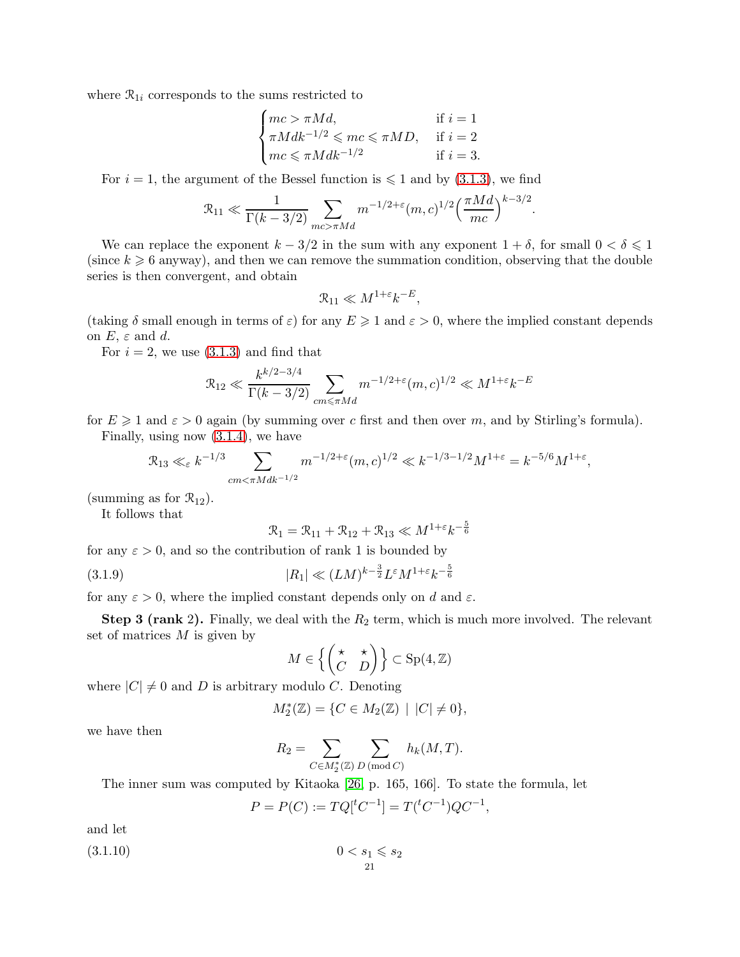where  $\mathcal{R}_{1i}$  corresponds to the sums restricted to

$$
\begin{cases} mc > \pi Md, & \text{if } i = 1\\ \pi Mdk^{-1/2} \leqslant mc \leqslant \pi MD, & \text{if } i = 2\\ mc \leqslant \pi Mdk^{-1/2} & \text{if } i = 3. \end{cases}
$$

For  $i = 1$ , the argument of the Bessel function is  $\leq 1$  and by [\(3.1.3\)](#page-18-1), we find

$$
\mathcal{R}_{11} \ll \frac{1}{\Gamma(k - 3/2)} \sum_{mc > \pi Md} m^{-1/2 + \varepsilon} (m, c)^{1/2} \left(\frac{\pi Md}{mc}\right)^{k - 3/2}.
$$

We can replace the exponent  $k - 3/2$  in the sum with any exponent  $1 + \delta$ , for small  $0 < \delta \leq 1$ (since  $k \geq 6$  anyway), and then we can remove the summation condition, observing that the double series is then convergent, and obtain

$$
\mathcal{R}_{11} \ll M^{1+\varepsilon} k^{-E},
$$

(taking  $\delta$  small enough in terms of  $\varepsilon$ ) for any  $E \geq 1$  and  $\varepsilon > 0$ , where the implied constant depends on  $E, \varepsilon$  and d.

For  $i = 2$ , we use  $(3.1.3)$  and find that

$$
\mathcal{R}_{12} \ll \frac{k^{k/2 - 3/4}}{\Gamma(k - 3/2)} \sum_{cm \le \pi M d} m^{-1/2 + \varepsilon} (m, c)^{1/2} \ll M^{1 + \varepsilon} k^{-E}
$$

for  $E \geq 1$  and  $\varepsilon > 0$  again (by summing over c first and then over m, and by Stirling's formula). Finally, using now [\(3.1.4\)](#page-18-2), we have

$$
\mathcal{R}_{13} \ll_{\varepsilon} k^{-1/3} \sum_{cm < \pi M d k^{-1/2}} m^{-1/2 + \varepsilon} (m, c)^{1/2} \ll k^{-1/3 - 1/2} M^{1 + \varepsilon} = k^{-5/6} M^{1 + \varepsilon},
$$

(summing as for  $\mathcal{R}_{12}$ ).

It follows that

<span id="page-20-0"></span>
$$
\mathcal{R}_1 = \mathcal{R}_{11} + \mathcal{R}_{12} + \mathcal{R}_{13} \ll M^{1+\epsilon} k^{-\frac{5}{6}}
$$

for any  $\varepsilon > 0$ , and so the contribution of rank 1 is bounded by

(3.1.9) 
$$
|R_1| \ll (LM)^{k-\frac{3}{2}} L^{\varepsilon} M^{1+\varepsilon} k^{-\frac{5}{6}}
$$

for any  $\varepsilon > 0$ , where the implied constant depends only on d and  $\varepsilon$ .

**Step 3 (rank 2).** Finally, we deal with the  $R_2$  term, which is much more involved. The relevant set of matrices  $M$  is given by

$$
M \in \left\{ \begin{pmatrix} \star & \star \\ C & D \end{pmatrix} \right\} \subset \text{Sp}(4, \mathbb{Z})
$$

where  $|C| \neq 0$  and D is arbitrary modulo C. Denoting

$$
M_2^*(\mathbb{Z}) = \{ C \in M_2(\mathbb{Z}) \mid |C| \neq 0 \},\
$$

we have then

$$
R_2 = \sum_{C \in M_2^*(\mathbb{Z})} \sum_{D \, (\text{mod } C)} h_k(M, T).
$$

The inner sum was computed by Kitaoka [\[26,](#page-44-12) p. 165, 166]. To state the formula, let

$$
P = P(C) := TQ[^tC^{-1}] = T(^tC^{-1})QC^{-1},
$$

21

and let

$$
(3.1.10) \t\t 0 < s_1 \leqslant s_2
$$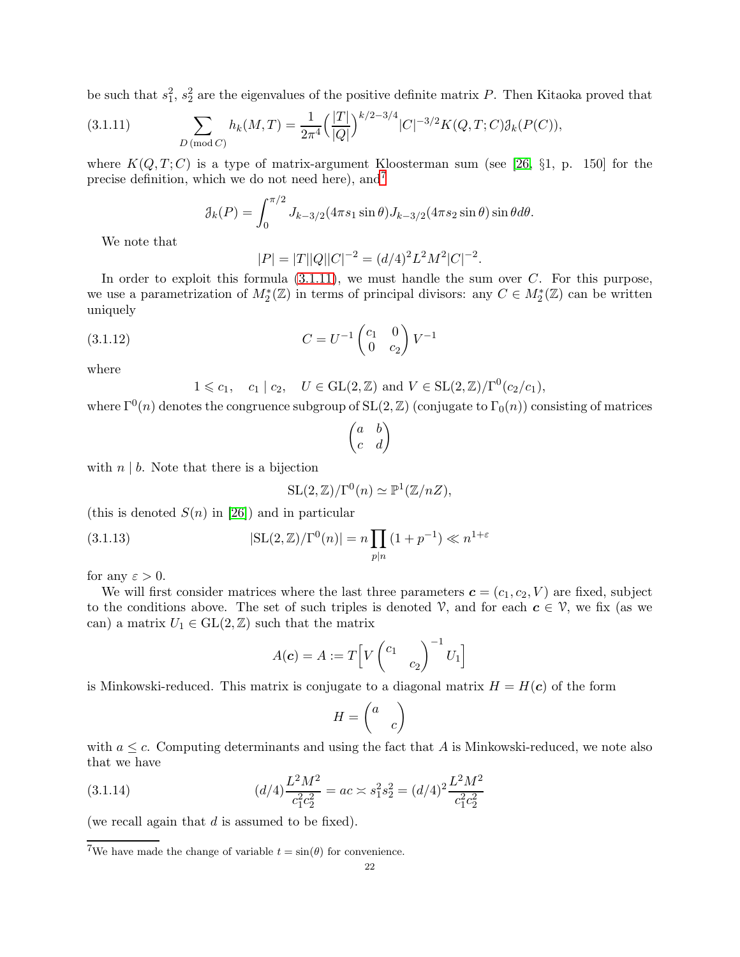be such that  $s_1^2$ ,  $s_2^2$  are the eigenvalues of the positive definite matrix P. Then Kitaoka proved that

(3.1.11) 
$$
\sum_{D \, (\text{mod } C)} h_k(M, T) = \frac{1}{2\pi^4} \left( \frac{|T|}{|Q|} \right)^{k/2 - 3/4} |C|^{-3/2} K(Q, T; C) \mathcal{J}_k(P(C)),
$$

where  $K(Q, T; C)$  is a type of matrix-argument Kloosterman sum (see [\[26,](#page-44-12) §1, p. 150] for the precise definition, which we do not need here), and<sup>[7](#page-21-0)</sup>

<span id="page-21-1"></span>
$$
\mathcal{J}_k(P) = \int_0^{\pi/2} J_{k-3/2}(4\pi s_1 \sin \theta) J_{k-3/2}(4\pi s_2 \sin \theta) \sin \theta d\theta.
$$

We note that

<span id="page-21-2"></span>
$$
|P| = |T||Q||C|^{-2} = (d/4)^2 L^2 M^2 |C|^{-2}.
$$

In order to exploit this formula  $(3.1.11)$ , we must handle the sum over C. For this purpose, we use a parametrization of  $M_2^*(\mathbb{Z})$  in terms of principal divisors: any  $C \in M_2^*(\mathbb{Z})$  can be written uniquely

(3.1.12) 
$$
C = U^{-1} \begin{pmatrix} c_1 & 0 \\ 0 & c_2 \end{pmatrix} V^{-1}
$$

where

 $1 \leq c_1, \quad c_1 \mid c_2, \quad U \in GL(2, \mathbb{Z}) \text{ and } V \in SL(2, \mathbb{Z})/\Gamma^0(c_2/c_1),$ 

where  $\Gamma^{0}(n)$  denotes the congruence subgroup of  $SL(2, \mathbb{Z})$  (conjugate to  $\Gamma_{0}(n)$ ) consisting of matrices

$$
\begin{pmatrix} a & b \\ c & d \end{pmatrix}
$$

with  $n \mid b$ . Note that there is a bijection

<span id="page-21-3"></span>
$$
SL(2,\mathbb{Z})/\Gamma^{0}(n) \simeq \mathbb{P}^{1}(\mathbb{Z}/nZ),
$$

(this is denoted  $S(n)$  in [\[26\]](#page-44-12)) and in particular

(3.1.13) 
$$
|\text{SL}(2,\mathbb{Z})/\Gamma^{0}(n)| = n \prod_{p|n} (1 + p^{-1}) \ll n^{1+\varepsilon}
$$

for any  $\varepsilon > 0$ .

We will first consider matrices where the last three parameters  $\mathbf{c} = (c_1, c_2, V)$  are fixed, subject to the conditions above. The set of such triples is denoted  $\mathcal{V}$ , and for each  $c \in \mathcal{V}$ , we fix (as we can) a matrix  $U_1 \in GL(2,\mathbb{Z})$  such that the matrix

$$
A(\boldsymbol{c}) = A := T \Big[ V \begin{pmatrix} c_1 & \\ & c_2 \end{pmatrix}^{-1} U_1 \Big]
$$

is Minkowski-reduced. This matrix is conjugate to a diagonal matrix  $H = H(c)$  of the form

<span id="page-21-4"></span>
$$
H = \begin{pmatrix} a & \\ & c \end{pmatrix}
$$

with  $a \leq c$ . Computing determinants and using the fact that A is Minkowski-reduced, we note also that we have

(3.1.14) 
$$
(d/4)\frac{L^2M^2}{c_1^2c_2^2} = ac \times s_1^2s_2^2 = (d/4)^2\frac{L^2M^2}{c_1^2c_2^2}
$$

(we recall again that  $d$  is assumed to be fixed).

<span id="page-21-0"></span><sup>7</sup>We have made the change of variable  $t = \sin(\theta)$  for convenience.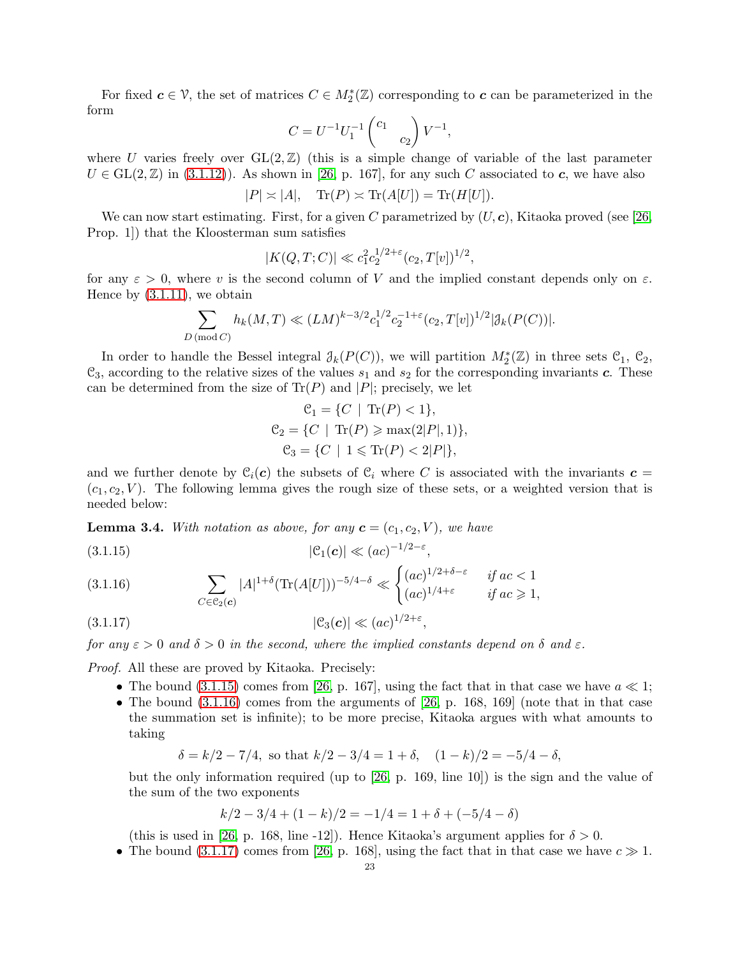For fixed  $c \in V$ , the set of matrices  $C \in M_2^*(\mathbb{Z})$  corresponding to  $c$  can be parameterized in the form

$$
C = U^{-1} U_1^{-1} \begin{pmatrix} c_1 & \\ & c_2 \end{pmatrix} V^{-1},
$$

where U varies freely over  $GL(2,\mathbb{Z})$  (this is a simple change of variable of the last parameter  $U \in GL(2,\mathbb{Z})$  in [\(3.1.12\)](#page-21-2)). As shown in [\[26,](#page-44-12) p. 167], for any such C associated to c, we have also

$$
|P| \asymp |A|, \quad \text{Tr}(P) \asymp \text{Tr}(A[U]) = \text{Tr}(H[U]).
$$

We can now start estimating. First, for a given C parametrized by  $(U, c)$ , Kitaoka proved (see [\[26,](#page-44-12) Prop. 1]) that the Kloosterman sum satisfies

$$
|K(Q, T; C)| \ll c_1^2 c_2^{1/2 + \varepsilon} (c_2, T[v])^{1/2},
$$

for any  $\varepsilon > 0$ , where v is the second column of V and the implied constant depends only on  $\varepsilon$ . Hence by  $(3.1.11)$ , we obtain

$$
\sum_{D \, (\text{mod } C)} h_k(M, T) \ll (LM)^{k - 3/2} c_1^{1/2} c_2^{-1 + \varepsilon} (c_2, T[v])^{1/2} |\mathcal{J}_k(P(C))|.
$$

In order to handle the Bessel integral  $\mathcal{J}_k(P(C))$ , we will partition  $M_2^*(\mathbb{Z})$  in three sets  $\mathcal{C}_1$ ,  $\mathcal{C}_2$ ,  $\mathcal{C}_3$ , according to the relative sizes of the values  $s_1$  and  $s_2$  for the corresponding invariants c. These can be determined from the size of  $\text{Tr}(P)$  and  $|P|$ ; precisely, we let

$$
C_1 = \{C \mid \text{Tr}(P) < 1\},
$$
\n
$$
C_2 = \{C \mid \text{Tr}(P) \ge \max(2|P|, 1)\},
$$
\n
$$
C_3 = \{C \mid 1 \le \text{Tr}(P) < 2|P|\},
$$

and we further denote by  $C_i(c)$  the subsets of  $C_i$  where C is associated with the invariants  $c =$  $(c_1, c_2, V)$ . The following lemma gives the rough size of these sets, or a weighted version that is needed below:

**Lemma 3.4.** With notation as above, for any  $\mathbf{c} = (c_1, c_2, V)$ , we have

<span id="page-22-0"></span>
$$
|\mathcal{C}_1(\boldsymbol{c})| \ll (ac)^{-1/2-\varepsilon},
$$

<span id="page-22-1"></span>(3.1.16) 
$$
\sum_{C \in \mathcal{C}_2(c)} |A|^{1+\delta} (\text{Tr}(A[U]))^{-5/4-\delta} \ll \begin{cases} (ac)^{1/2+\delta-\varepsilon} & \text{if } ac < 1\\ (ac)^{1/4+\varepsilon} & \text{if } ac \ge 1, \end{cases}
$$
  
(3.1.17) 
$$
|\mathcal{C}_3(c)| \ll (ac)^{1/2+\varepsilon},
$$

<span id="page-22-2"></span>for any  $\varepsilon > 0$  and  $\delta > 0$  in the second, where the implied constants depend on  $\delta$  and  $\varepsilon$ .

*Proof.* All these are proved by Kitaoka. Precisely:

- The bound  $(3.1.15)$  comes from [\[26,](#page-44-12) p. 167], using the fact that in that case we have  $a \ll 1$ ;
- The bound  $(3.1.16)$  comes from the arguments of [\[26,](#page-44-12) p. 168, 169] (note that in that case the summation set is infinite); to be more precise, Kitaoka argues with what amounts to taking

$$
\delta = k/2 - 7/4
$$
, so that  $k/2 - 3/4 = 1 + \delta$ ,  $(1 - k)/2 = -5/4 - \delta$ ,

but the only information required (up to [\[26,](#page-44-12) p. 169, line 10]) is the sign and the value of the sum of the two exponents

$$
k/2 - 3/4 + (1 - k)/2 = -1/4 = 1 + \delta + (-5/4 - \delta)
$$

(this is used in [\[26,](#page-44-12) p. 168, line -12]). Hence Kitaoka's argument applies for  $\delta > 0$ .

• The bound  $(3.1.17)$  comes from [\[26,](#page-44-12) p. 168], using the fact that in that case we have  $c \gg 1$ .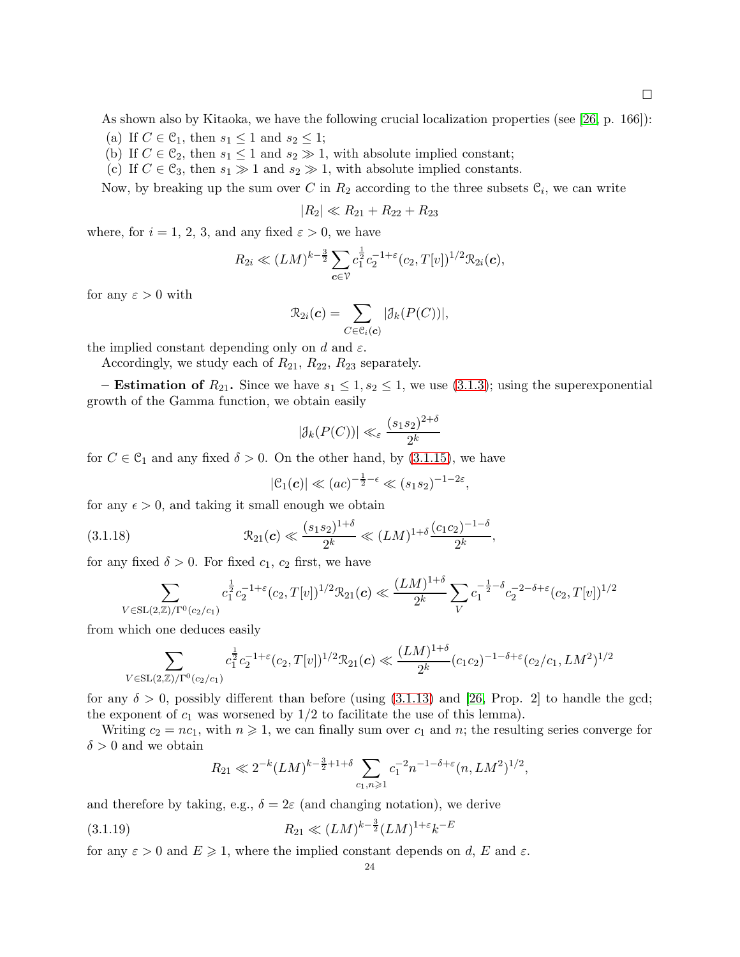As shown also by Kitaoka, we have the following crucial localization properties (see [\[26,](#page-44-12) p. 166]):

- (a) If  $C \in \mathcal{C}_1$ , then  $s_1 \leq 1$  and  $s_2 \leq 1$ ;
- (b) If  $C \in \mathcal{C}_2$ , then  $s_1 \leq 1$  and  $s_2 \gg 1$ , with absolute implied constant;
- (c) If  $C \in \mathcal{C}_3$ , then  $s_1 \gg 1$  and  $s_2 \gg 1$ , with absolute implied constants.

Now, by breaking up the sum over C in  $R_2$  according to the three subsets  $\mathcal{C}_i$ , we can write

$$
|R_2| \ll R_{21} + R_{22} + R_{23}
$$

where, for  $i = 1, 2, 3$ , and any fixed  $\varepsilon > 0$ , we have

$$
R_{2i} \ll (LM)^{k-\frac{3}{2}} \sum_{\mathbf{c} \in \mathcal{V}} c_1^{\frac{1}{2}} c_2^{-1+\varepsilon} (c_2, T[v])^{1/2} \mathcal{R}_{2i}(\mathbf{c}),
$$

for any  $\varepsilon > 0$  with

$$
\mathcal{R}_{2i}(\boldsymbol{c}) = \sum_{C \in \mathcal{C}_i(\boldsymbol{c})} |\mathcal{J}_k(P(C))|,
$$

the implied constant depending only on d and  $\varepsilon$ .

Accordingly, we study each of  $R_{21}$ ,  $R_{22}$ ,  $R_{23}$  separately.

– **Estimation of**  $R_{21}$ . Since we have  $s_1 \leq 1, s_2 \leq 1$ , we use [\(3.1.3\)](#page-18-1); using the superexponential growth of the Gamma function, we obtain easily

$$
|\mathcal{J}_k(P(C))| \ll_{\varepsilon} \frac{(s_1 s_2)^{2+\delta}}{2^k}
$$

for  $C \in \mathcal{C}_1$  and any fixed  $\delta > 0$ . On the other hand, by [\(3.1.15\)](#page-22-0), we have

<span id="page-23-0"></span>
$$
|\mathcal{C}_1(\boldsymbol{c})| \ll (ac)^{-\frac{1}{2}-\epsilon} \ll (s_1s_2)^{-1-2\epsilon},
$$

for any  $\epsilon > 0$ , and taking it small enough we obtain

$$
(3.1.18) \t\t \mathcal{R}_{21}(\mathbf{c}) \ll \frac{(s_1 s_2)^{1+\delta}}{2^k} \ll (LM)^{1+\delta} \frac{(c_1 c_2)^{-1-\delta}}{2^k},
$$

for any fixed  $\delta > 0$ . For fixed  $c_1$ ,  $c_2$  first, we have

$$
\sum_{V \in SL(2,\mathbb{Z})/\Gamma^0(c_2/c_1)} c_1^{\frac{1}{2}} c_2^{-1+\varepsilon}(c_2,T[v])^{1/2} \mathcal{R}_{21}(\mathbf{c}) \ll \frac{(LM)^{1+\delta}}{2^k} \sum_{V} c_1^{-\frac{1}{2}-\delta} c_2^{-2-\delta+\varepsilon}(c_2,T[v])^{1/2}
$$

from which one deduces easily

$$
\sum_{V \in SL(2,\mathbb{Z})/\Gamma^0(c_2/c_1)} c_1^{\frac{1}{2}} c_2^{-1+\varepsilon}(c_2,T[v])^{1/2} \mathcal{R}_{21}(\mathbf{c}) \ll \frac{(LM)^{1+\delta}}{2^k} (c_1c_2)^{-1-\delta+\varepsilon} (c_2/c_1, LM^2)^{1/2}
$$

for any  $\delta > 0$ , possibly different than before (using [\(3.1.13\)](#page-21-3) and [\[26,](#page-44-12) Prop. 2] to handle the gcd; the exponent of  $c_1$  was worsened by  $1/2$  to facilitate the use of this lemma).

Writing  $c_2 = nc_1$ , with  $n \geqslant 1$ , we can finally sum over  $c_1$  and n; the resulting series converge for  $\delta > 0$  and we obtain

<span id="page-23-1"></span>
$$
R_{21} \ll 2^{-k} (LM)^{k - \frac{3}{2} + 1 + \delta} \sum_{c_1, n \geq 1} c_1^{-2} n^{-1 - \delta + \varepsilon} (n, LM^2)^{1/2},
$$

and therefore by taking, e.g.,  $\delta = 2\varepsilon$  (and changing notation), we derive

(3.1.19) 
$$
R_{21} \ll (LM)^{k-\frac{3}{2}} (LM)^{1+\varepsilon} k^{-E}
$$

for any  $\varepsilon > 0$  and  $E \geq 1$ , where the implied constant depends on d, E and  $\varepsilon$ .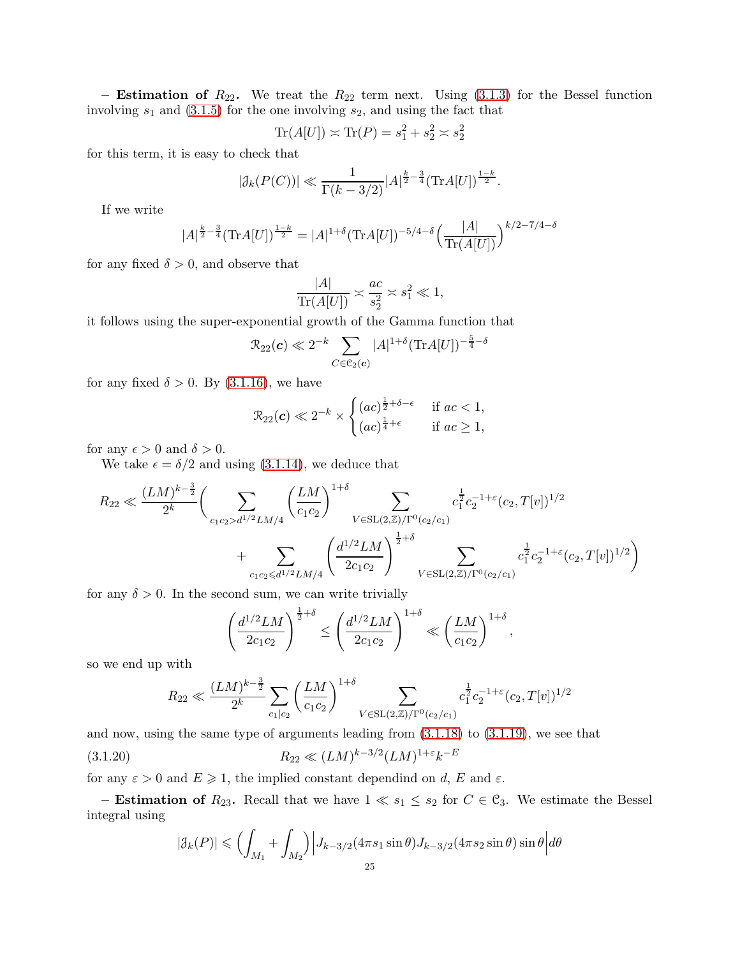– Estimation of  $R_{22}$ . We treat the  $R_{22}$  term next. Using [\(3.1.3\)](#page-18-1) for the Bessel function involving  $s_1$  and  $(3.1.5)$  for the one involving  $s_2$ , and using the fact that

$$
\operatorname{Tr}(A[U]) \asymp \operatorname{Tr}(P) = s_1^2 + s_2^2 \asymp s_2^2
$$

for this term, it is easy to check that

$$
|\mathcal{J}_k(P(C))| \ll \frac{1}{\Gamma(k-3/2)} |A|^{\frac{k}{2}-\frac{3}{4}} (\text{Tr} A[U])^{\frac{1-k}{2}}.
$$

If we write

$$
|A|^{\frac{k}{2}-\frac{3}{4}}(\text{Tr}A[U])^{\frac{1-k}{2}} = |A|^{1+\delta}(\text{Tr}A[U])^{-5/4-\delta}\left(\frac{|A|}{\text{Tr}(A[U])}\right)^{k/2-7/4-\delta}
$$

for any fixed  $\delta > 0$ , and observe that

$$
\frac{|A|}{\text{Tr}(A[U])} \asymp \frac{ac}{s_2^2} \asymp s_1^2 \ll 1,
$$

it follows using the super-exponential growth of the Gamma function that

$$
\mathcal{R}_{22}(\boldsymbol{c}) \ll 2^{-k} \sum_{C \in \mathcal{C}_2(\boldsymbol{c})} |A|^{1+\delta} (\text{Tr} A[U])^{-\frac{5}{4}-\delta}
$$

for any fixed  $\delta > 0$ . By [\(3.1.16\)](#page-22-1), we have

$$
\mathcal{R}_{22}(c) \ll 2^{-k} \times \begin{cases} (ac)^{\frac{1}{2}+\delta-\epsilon} & \text{if } ac < 1, \\ (ac)^{\frac{1}{4}+\epsilon} & \text{if } ac \ge 1, \end{cases}
$$

for any  $\epsilon > 0$  and  $\delta > 0$ .

We take  $\epsilon = \delta/2$  and using [\(3.1.14\)](#page-21-4), we deduce that

$$
R_{22} \ll \frac{(LM)^{k-\frac{3}{2}}}{2^k} \bigg( \sum_{c_1c_2 > d^{1/2}LM/4} \left(\frac{LM}{c_1c_2}\right)^{1+\delta} \sum_{V \in SL(2,\mathbb{Z})/\Gamma^0(c_2/c_1)} c_1^{\frac{1}{2}} c_2^{-1+\varepsilon}(c_2, T[v])^{1/2} + \sum_{c_1c_2 \leq d^{1/2}LM/4} \left(\frac{d^{1/2}LM}{2c_1c_2}\right)^{\frac{1}{2}+\delta} \sum_{V \in SL(2,\mathbb{Z})/\Gamma^0(c_2/c_1)} c_1^{\frac{1}{2}} c_2^{-1+\varepsilon}(c_2, T[v])^{1/2} \bigg)
$$

for any  $\delta > 0$ . In the second sum, we can write trivially

$$
\left(\frac{d^{1/2}LM}{2c_1c_2}\right)^{\frac{1}{2}+\delta}\leq \left(\frac{d^{1/2}LM}{2c_1c_2}\right)^{1+\delta}\ll \left(\frac{LM}{c_1c_2}\right)^{1+\delta}
$$

,

so we end up with

$$
R_{22} \ll \frac{(LM)^{k-\frac{3}{2}}}{2^k} \sum_{c_1|c_2} \left(\frac{LM}{c_1c_2}\right)^{1+\delta} \sum_{V \in SL(2,\mathbb{Z})/\Gamma^0(c_2/c_1)} c_1^{\frac{1}{2}} c_2^{-1+\epsilon}(c_2,T[v])^{1/2}
$$

and now, using the same type of arguments leading from [\(3.1.18\)](#page-23-0) to [\(3.1.19\)](#page-23-1), we see that

(3.1.20) 
$$
R_{22} \ll (LM)^{k-3/2} (LM)^{1+\varepsilon} k^{-E}
$$

for any  $\varepsilon > 0$  and  $E \geq 1$ , the implied constant dependind on d, E and  $\varepsilon$ .

– **Estimation of**  $R_{23}$ . Recall that we have  $1 \ll s_1 \leq s_2$  for  $C \in \mathcal{C}_3$ . We estimate the Bessel integral using

<span id="page-24-0"></span>
$$
|\mathcal{J}_k(P)| \leqslant \Big(\int_{M_1} + \int_{M_2}\Big)\Big|J_{k-3/2}(4\pi s_1 \sin \theta) J_{k-3/2}(4\pi s_2 \sin \theta) \sin \theta\Big| d\theta
$$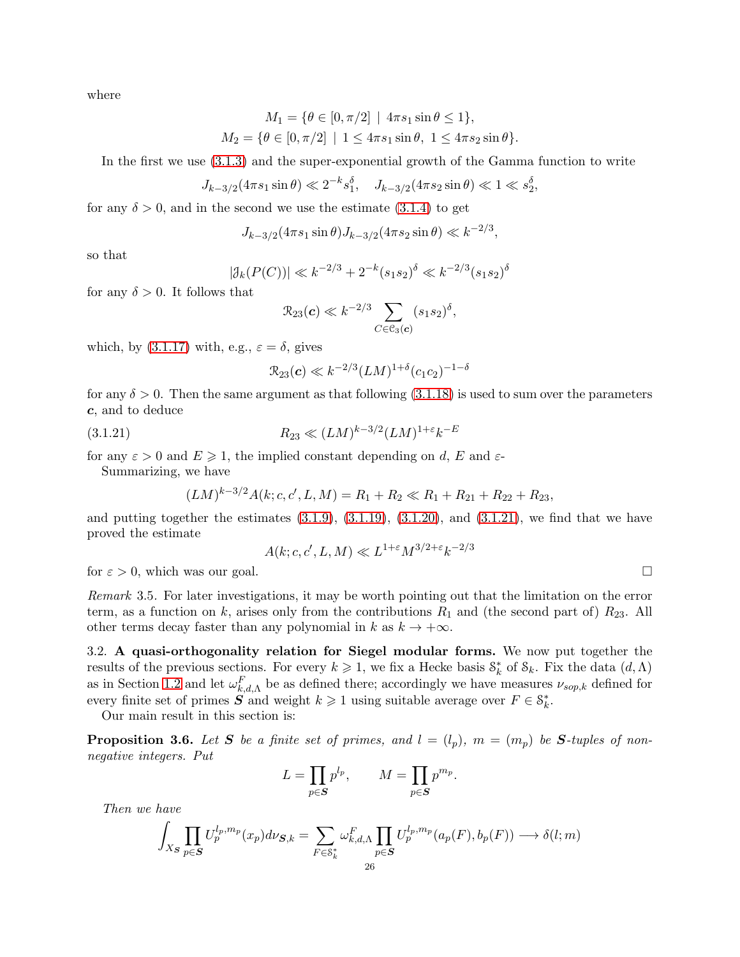where

$$
M_1 = \{ \theta \in [0, \pi/2] \mid 4\pi s_1 \sin \theta \le 1 \},
$$
  

$$
M_2 = \{ \theta \in [0, \pi/2] \mid 1 \le 4\pi s_1 \sin \theta, 1 \le 4\pi s_2 \sin \theta \}.
$$

In the first we use [\(3.1.3\)](#page-18-1) and the super-exponential growth of the Gamma function to write

$$
J_{k-3/2}(4\pi s_1 \sin \theta) \ll 2^{-k} s_1^{\delta}, \quad J_{k-3/2}(4\pi s_2 \sin \theta) \ll 1 \ll s_2^{\delta},
$$

for any  $\delta > 0$ , and in the second we use the estimate [\(3.1.4\)](#page-18-2) to get

$$
J_{k-3/2}(4\pi s_1 \sin \theta) J_{k-3/2}(4\pi s_2 \sin \theta) \ll k^{-2/3},
$$

so that

$$
|\mathcal{J}_k(P(C))| \ll k^{-2/3} + 2^{-k} (s_1 s_2)^{\delta} \ll k^{-2/3} (s_1 s_2)^{\delta}
$$

for any  $\delta > 0$ . It follows that

$$
\mathcal{R}_{23}(\boldsymbol{c}) \ll k^{-2/3} \sum_{C \in \mathcal{C}_3(\boldsymbol{c})} (s_1 s_2)^{\delta},
$$

which, by  $(3.1.17)$  with, e.g.,  $\varepsilon = \delta$ , gives

<span id="page-25-1"></span>
$$
\mathcal{R}_{23}(c) \ll k^{-2/3} (LM)^{1+\delta} (c_1c_2)^{-1-\delta}
$$

for any  $\delta > 0$ . Then the same argument as that following [\(3.1.18\)](#page-23-0) is used to sum over the parameters c, and to deduce

(3.1.21) 
$$
R_{23} \ll (LM)^{k-3/2} (LM)^{1+\varepsilon} k^{-E}
$$

for any  $\varepsilon > 0$  and  $E \ge 1$ , the implied constant depending on d, E and  $\varepsilon$ -

Summarizing, we have

$$
(LM)^{k-3/2}A(k;c,c',L,M) = R_1 + R_2 \ll R_1 + R_{21} + R_{22} + R_{23},
$$

and putting together the estimates  $(3.1.9)$ ,  $(3.1.19)$ ,  $(3.1.20)$ , and  $(3.1.21)$ , we find that we have proved the estimate

$$
A(k;c,c',L,M) \ll L^{1+\varepsilon} M^{3/2+\varepsilon} k^{-2/3}
$$

for  $\varepsilon > 0$ , which was our goal.

Remark 3.5. For later investigations, it may be worth pointing out that the limitation on the error term, as a function on k, arises only from the contributions  $R_1$  and (the second part of)  $R_{23}$ . All other terms decay faster than any polynomial in k as  $k \to +\infty$ .

3.2. A quasi-orthogonality relation for Siegel modular forms. We now put together the results of the previous sections. For every  $k \geq 1$ , we fix a Hecke basis  $S_k^*$  of  $S_k$ . Fix the data  $(d, \Lambda)$ as in Section [1.2](#page-3-2) and let  $\omega_{k,d,\Lambda}^F$  be as defined there; accordingly we have measures  $\nu_{sop,k}$  defined for every finite set of primes  $S$  and weight  $k \geq 1$  using suitable average over  $F \in \mathcal{S}_{k}^{*}$ .

Our main result in this section is:

<span id="page-25-0"></span>**Proposition 3.6.** Let S be a finite set of primes, and  $l = (l_p)$ ,  $m = (m_p)$  be S-tuples of nonnegative integers. Put

$$
L = \prod_{p \in S} p^{l_p}, \qquad M = \prod_{p \in S} p^{m_p}.
$$

Then we have

$$
\int_{X_{\mathcal{S}}} \prod_{p \in \mathcal{S}} U_p^{l_p, m_p}(x_p) d\nu_{\mathcal{S}, k} = \sum_{F \in \mathcal{S}_k^*} \omega_{k, d, \Lambda}^F \prod_{p \in \mathcal{S}} U_p^{l_p, m_p}(a_p(F), b_p(F)) \longrightarrow \delta(l; m)
$$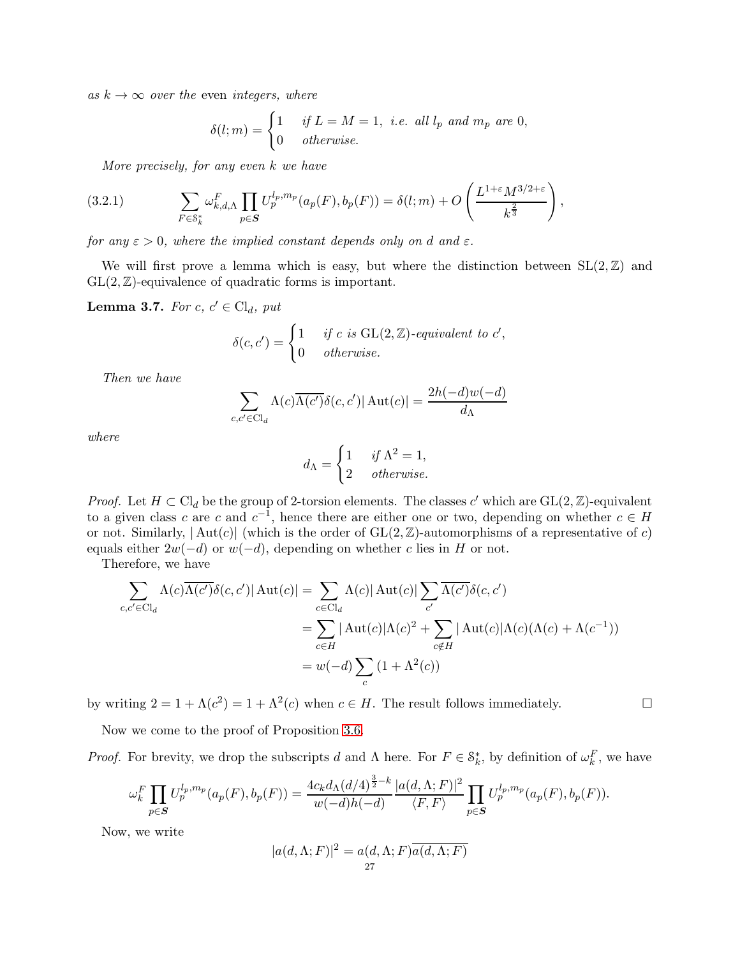as  $k \to \infty$  over the even integers, where

$$
\delta(l;m) = \begin{cases} 1 & \text{if } L = M = 1, \text{ i.e. all } l_p \text{ and } m_p \text{ are } 0, \\ 0 & \text{otherwise.} \end{cases}
$$

<span id="page-26-1"></span>More precisely, for any even k we have

$$
(3.2.1) \qquad \sum_{F \in \mathcal{S}_k^*} \omega_{k,d,\Lambda}^F \prod_{p \in \mathcal{S}} U_p^{l_p, m_p}(a_p(F), b_p(F)) = \delta(l;m) + O\left(\frac{L^{1+\varepsilon} M^{3/2+\varepsilon}}{k^{\frac{2}{3}}}\right),
$$

for any  $\varepsilon > 0$ , where the implied constant depends only on d and  $\varepsilon$ .

We will first prove a lemma which is easy, but where the distinction between  $SL(2,\mathbb{Z})$  and  $GL(2,\mathbb{Z})$ -equivalence of quadratic forms is important.

<span id="page-26-0"></span>**Lemma 3.7.** For  $c, c' \in \text{Cl}_d$ , put

$$
\delta(c, c') = \begin{cases} 1 & \text{if } c \text{ is GL}(2, \mathbb{Z})\text{-}equivalent to } c', \\ 0 & \text{otherwise.} \end{cases}
$$

Then we have

$$
\sum_{c,c' \in \text{Cl}_d} \Lambda(c) \overline{\Lambda(c')} \delta(c,c') |\operatorname{Aut}(c)| = \frac{2h(-d)w(-d)}{d_{\Lambda}}
$$

where

$$
d_{\Lambda} = \begin{cases} 1 & \text{if } \Lambda^2 = 1, \\ 2 & \text{otherwise.} \end{cases}
$$

*Proof.* Let  $H \subset \mathrm{Cl}_d$  be the group of 2-torsion elements. The classes c' which are  $GL(2,\mathbb{Z})$ -equivalent to a given class c are c and  $c^{-1}$ , hence there are either one or two, depending on whether  $c \in H$ or not. Similarly,  $|\text{Aut}(c)|$  (which is the order of  $GL(2,\mathbb{Z})$ -automorphisms of a representative of c) equals either  $2w(-d)$  or  $w(-d)$ , depending on whether c lies in H or not.

Therefore, we have

$$
\sum_{c,c'\in\text{Cl}_d} \Lambda(c)\overline{\Lambda(c')} \delta(c,c')|\operatorname{Aut}(c)| = \sum_{c\in\text{Cl}_d} \Lambda(c)|\operatorname{Aut}(c)| \sum_{c'} \overline{\Lambda(c')} \delta(c,c')
$$
  

$$
= \sum_{c\in H} |\operatorname{Aut}(c)|\Lambda(c)^2 + \sum_{c\notin H} |\operatorname{Aut}(c)|\Lambda(c)(\Lambda(c) + \Lambda(c^{-1}))
$$
  

$$
= w(-d) \sum_c (1 + \Lambda^2(c))
$$

by writing  $2 = 1 + \Lambda(c^2) = 1 + \Lambda^2(c)$  when  $c \in H$ . The result follows immediately.

Now we come to the proof of Proposition [3.6.](#page-25-0)

*Proof.* For brevity, we drop the subscripts d and  $\Lambda$  here. For  $F \in \mathcal{S}_k^*$ , by definition of  $\omega_k^F$ , we have

$$
\omega_{k}^{F} \prod_{p \in S} U_{p}^{l_{p},m_{p}}(a_{p}(F),b_{p}(F)) = \frac{4c_{k}d_{\Lambda}(d/4)^{\frac{3}{2}-k}}{w(-d)h(-d)} \frac{|a(d,\Lambda;F)|^{2}}{\langle F,F \rangle} \prod_{p \in S} U_{p}^{l_{p},m_{p}}(a_{p}(F),b_{p}(F)).
$$

Now, we write

$$
|a(d, \Lambda; F)|^2 = a(d, \Lambda; F)\overline{a(d, \Lambda; F)}
$$
<sup>27</sup>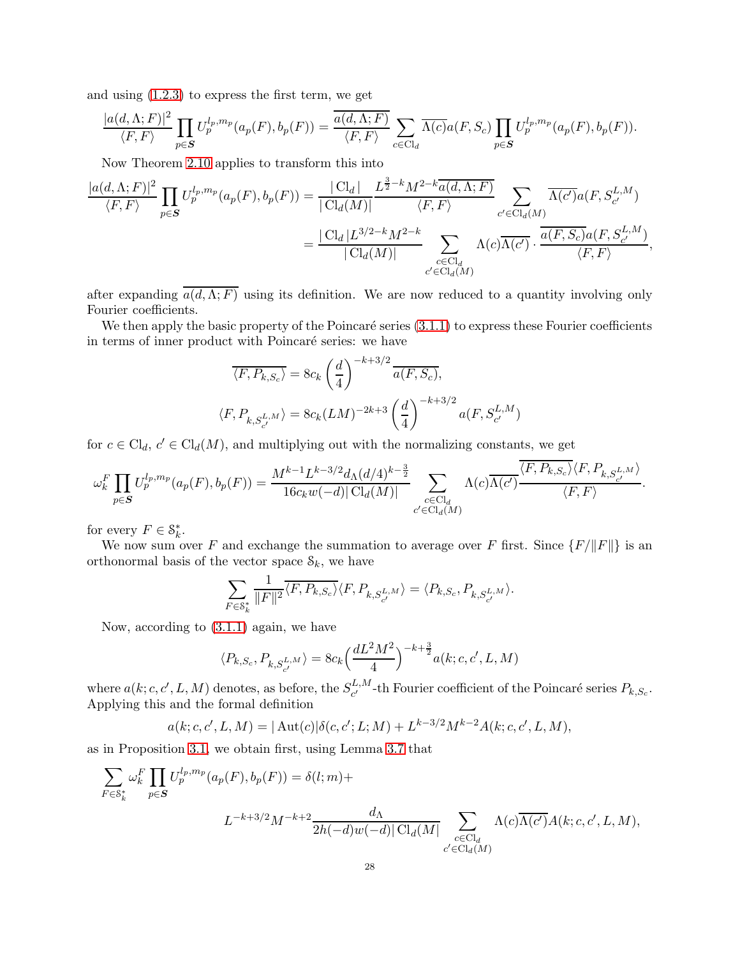and using [\(1.2.3\)](#page-5-0) to express the first term, we get

$$
\frac{|a(d,\Lambda;F)|^2}{\langle F,F\rangle}\prod_{p\in\mathcal{S}}U_p^{l_p,m_p}(a_p(F),b_p(F))=\frac{\overline{a(d,\Lambda;F)}}{\langle F,F\rangle}\sum_{c\in\text{Cl}_d}\overline{\Lambda(c)}a(F,S_c)\prod_{p\in\mathcal{S}}U_p^{l_p,m_p}(a_p(F),b_p(F)).
$$

Now Theorem [2.10](#page-16-2) applies to transform this into

$$
\frac{|a(d,\Lambda;F)|^2}{\langle F,F\rangle} \prod_{p\in\mathcal{S}} U_p^{l_p,m_p}(a_p(F),b_p(F)) = \frac{|\operatorname{Cl}_d|}{|\operatorname{Cl}_d(M)|} \frac{L^{\frac{3}{2}-k} M^{2-k} \overline{a(d,\Lambda;F)}}{\langle F,F\rangle} \sum_{c'\in\operatorname{Cl}_d(M)} \overline{\Lambda(c')a(F,S_{c'}^{L,M})}
$$

$$
= \frac{|\operatorname{Cl}_d|L^{3/2-k} M^{2-k}}{|\operatorname{Cl}_d(M)|} \sum_{\substack{c\in\operatorname{Cl}_d \\ c'\in\operatorname{Cl}_d(M)}} \Lambda(c) \overline{\Lambda(c')} \cdot \frac{\overline{a(F,S_c)}a(F,S_{c'}^{L,M})}{\langle F,F\rangle},
$$

after expanding  $\overline{a(d,\Lambda;F)}$  using its definition. We are now reduced to a quantity involving only Fourier coefficients.

We then apply the basic property of the Poincaré series  $(3.1.1)$  to express these Fourier coefficients in terms of inner product with Poincaré series: we have

$$
\overline{\langle F, P_{k,S_c} \rangle} = 8c_k \left(\frac{d}{4}\right)^{-k+3/2} \overline{a(F, S_c)},
$$
  

$$
\langle F, P_{k,S_{c'}^{L,M}} \rangle = 8c_k (LM)^{-2k+3} \left(\frac{d}{4}\right)^{-k+3/2} a(F, S_{c'}^{L,M})
$$

for  $c \in \text{Cl}_d$ ,  $c' \in \text{Cl}_d(M)$ , and multiplying out with the normalizing constants, we get

$$
\omega_k^F \prod_{p \in S} U_p^{l_p, m_p}(a_p(F), b_p(F)) = \frac{M^{k-1} L^{k-3/2} d_{\Lambda}(d/4)^{k-\frac{3}{2}}}{16 c_k w(-d) |\operatorname{Cl}_d(M)|} \sum_{\substack{c \in \operatorname{Cl}_d \\ c' \in \operatorname{Cl}_d(M)}} \Lambda(c) \overline{\Lambda(c')} \frac{\langle F, P_{k,S_c} \rangle \langle F, P_{k,S_{c'}} \rangle}{\langle F, F \rangle}.
$$

.

for every  $F \in \mathcal{S}_k^*$ .

We now sum over F and exchange the summation to average over F first. Since  $\{F/\Vert F\Vert\}$  is an orthonormal basis of the vector space  $S_k$ , we have

$$
\sum_{F \in \mathcal{S}_k^*} \frac{1}{\|F\|^2} \overline{\langle F, P_{k,S_c} \rangle} \langle F, P_{k,S_{c'}^{L,M}} \rangle = \langle P_{k,S_c}, P_{k,S_{c'}^{L,M}} \rangle.
$$

Now, according to [\(3.1.1\)](#page-17-1) again, we have

$$
\langle P_{k,S_c},P_{k,S_{c'}^{L,M}}\rangle=8c_k\Big(\frac{dL^2M^2}{4}\Big)^{-k+\frac{3}{2}}a(k;c,c',L,M)
$$

where  $a(k; c, c', L, M)$  denotes, as before, the  $S_{c'}^{L, M}$ <sup>L,M</sup>-th Fourier coefficient of the Poincaré series  $P_{k,S_c}$ . Applying this and the formal definition

$$
a(k;c,c',L,M) = |\operatorname{Aut}(c)|\delta(c,c';L;M) + L^{k-3/2}M^{k-2}A(k;c,c',L,M),
$$

as in Proposition [3.1,](#page-17-2) we obtain first, using Lemma [3.7](#page-26-0) that

$$
\sum_{F \in \mathcal{S}_k^*} \omega_k^F \prod_{p \in \mathcal{S}} U_p^{l_p, m_p}(a_p(F), b_p(F)) = \delta(l; m) +
$$
\n
$$
L^{-k+3/2} M^{-k+2} \frac{d_\Lambda}{2h(-d)w(-d)|\operatorname{Cl}_d(M)} \sum_{\substack{c \in \operatorname{Cl}_d \\ c' \in \operatorname{Cl}_d(M)}} \Lambda(c) \overline{\Lambda(c')} A(k; c, c', L, M),
$$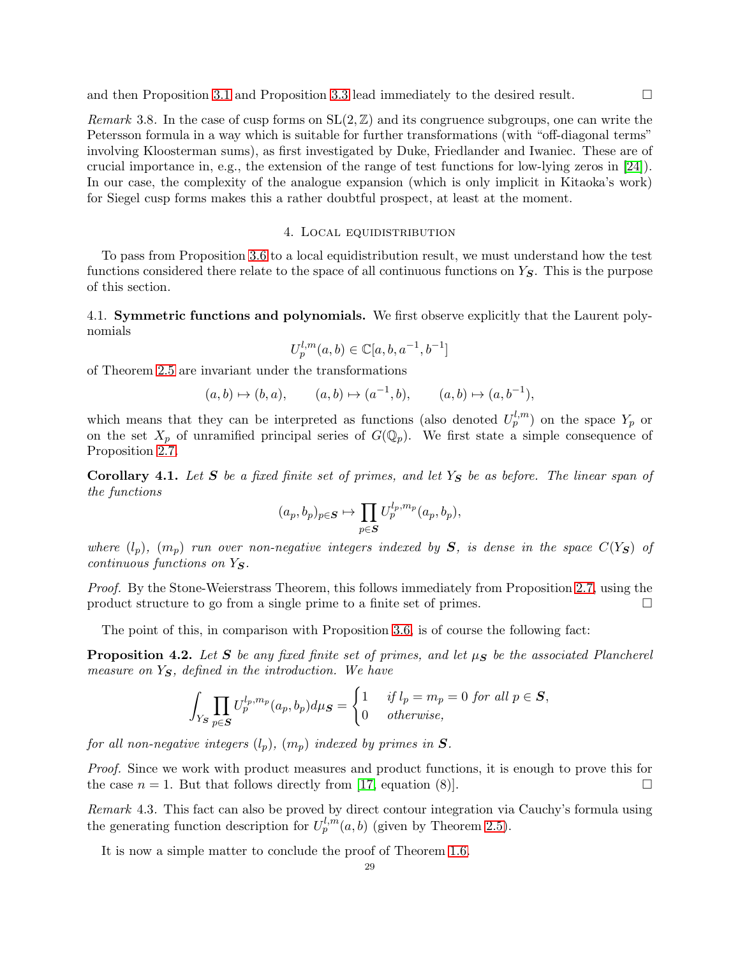Remark 3.8. In the case of cusp forms on  $SL(2,\mathbb{Z})$  and its congruence subgroups, one can write the Petersson formula in a way which is suitable for further transformations (with "off-diagonal terms" involving Kloosterman sums), as first investigated by Duke, Friedlander and Iwaniec. These are of crucial importance in, e.g., the extension of the range of test functions for low-lying zeros in [\[24\]](#page-44-2)). In our case, the complexity of the analogue expansion (which is only implicit in Kitaoka's work) for Siegel cusp forms makes this a rather doubtful prospect, at least at the moment.

## 4. Local equidistribution

<span id="page-28-0"></span>To pass from Proposition [3.6](#page-25-0) to a local equidistribution result, we must understand how the test functions considered there relate to the space of all continuous functions on  $Y<sub>S</sub>$ . This is the purpose of this section.

4.1. Symmetric functions and polynomials. We first observe explicitly that the Laurent polynomials

$$
U_p^{l,m}(a,b) \in \mathbb{C}[a,b,a^{-1},b^{-1}]
$$

of Theorem [2.5](#page-14-0) are invariant under the transformations

$$
(a,b) \mapsto (b,a), \qquad (a,b) \mapsto (a^{-1},b), \qquad (a,b) \mapsto (a,b^{-1}),
$$

which means that they can be interpreted as functions (also denoted  $U_p^{l,m}$ ) on the space  $Y_p$  or on the set  $X_p$  of unramified principal series of  $G(\mathbb{Q}_p)$ . We first state a simple consequence of Proposition [2.7.](#page-15-0)

<span id="page-28-1"></span>Corollary 4.1. Let  $S$  be a fixed finite set of primes, and let  $Y_S$  be as before. The linear span of the functions

$$
(a_p, b_p)_{p \in \mathcal{S}} \mapsto \prod_{p \in \mathcal{S}} U_p^{l_p, m_p}(a_p, b_p),
$$

where  $(l_p)$ ,  $(m_p)$  run over non-negative integers indexed by S, is dense in the space  $C(Y_S)$  of  $continuous$  functions on  $Y_{\mathbf{S}}$ .

Proof. By the Stone-Weierstrass Theorem, this follows immediately from Proposition [2.7,](#page-15-0) using the product structure to go from a single prime to a finite set of primes.

The point of this, in comparison with Proposition [3.6,](#page-25-0) is of course the following fact:

<span id="page-28-2"></span>**Proposition 4.2.** Let S be any fixed finite set of primes, and let  $\mu_S$  be the associated Plancherel measure on  $Y_{\mathbf{S}}$ , defined in the introduction. We have

$$
\int_{Y_{\mathcal{S}}} \prod_{p \in \mathcal{S}} U_p^{l_p, m_p}(a_p, b_p) d\mu_{\mathcal{S}} = \begin{cases} 1 & \text{if } l_p = m_p = 0 \text{ for all } p \in \mathcal{S}, \\ 0 & \text{otherwise}, \end{cases}
$$

for all non-negative integers  $(l_p)$ ,  $(m_p)$  indexed by primes in  $S$ .

Proof. Since we work with product measures and product functions, it is enough to prove this for the case  $n = 1$ . But that follows directly from [\[17,](#page-43-11) equation (8)].

Remark 4.3. This fact can also be proved by direct contour integration via Cauchy's formula using the generating function description for  $U_p^{l,m}(a, b)$  (given by Theorem [2.5\)](#page-14-0).

It is now a simple matter to conclude the proof of Theorem [1.6.](#page-7-0)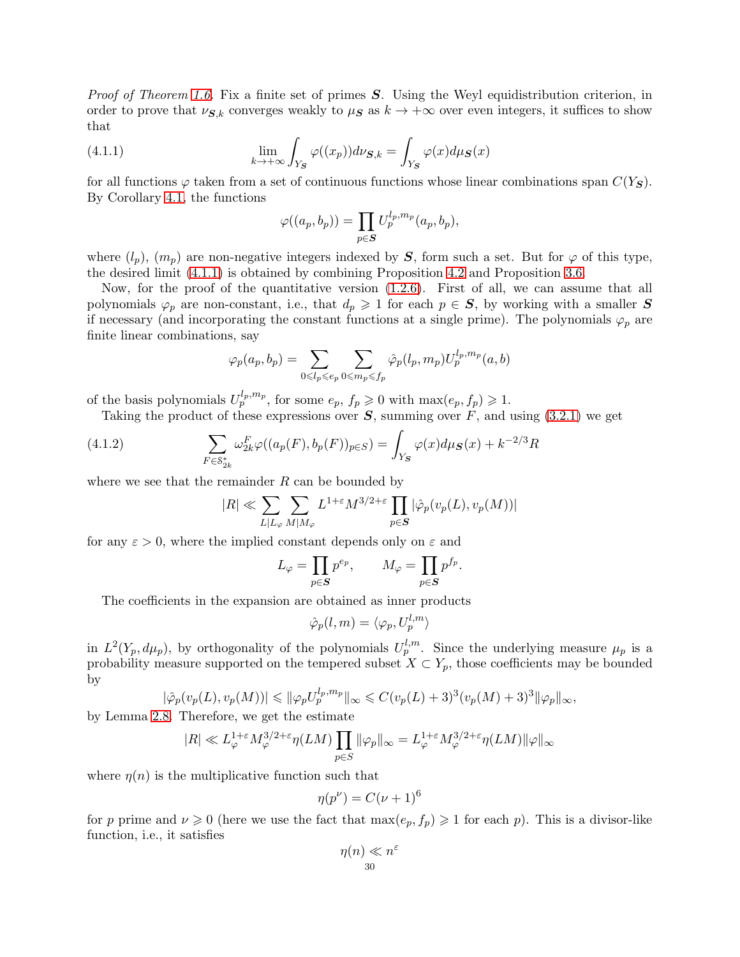*Proof of Theorem [1.6.](#page-7-0)* Fix a finite set of primes  $S$ . Using the Weyl equidistribution criterion, in order to prove that  $\nu_{\mathbf{S},k}$  converges weakly to  $\mu_{\mathbf{S}}$  as  $k \to +\infty$  over even integers, it suffices to show that

(4.1.1) 
$$
\lim_{k \to +\infty} \int_{Y_{\mathbf{S}}} \varphi((x_p)) d\nu_{\mathbf{S},k} = \int_{Y_{\mathbf{S}}} \varphi(x) d\mu_{\mathbf{S}}(x)
$$

for all functions  $\varphi$  taken from a set of continuous functions whose linear combinations span  $C(Y<sub>S</sub>)$ . By Corollary [4.1,](#page-28-1) the functions

<span id="page-29-0"></span>
$$
\varphi((a_p, b_p)) = \prod_{p \in S} U_p^{l_p, m_p}(a_p, b_p),
$$

where  $(l_p)$ ,  $(m_p)$  are non-negative integers indexed by S, form such a set. But for  $\varphi$  of this type, the desired limit [\(4.1.1\)](#page-29-0) is obtained by combining Proposition [4.2](#page-28-2) and Proposition [3.6.](#page-25-0)

Now, for the proof of the quantitative version [\(1.2.6\)](#page-7-1). First of all, we can assume that all polynomials  $\varphi_p$  are non-constant, i.e., that  $d_p \geq 1$  for each  $p \in S$ , by working with a smaller S if necessary (and incorporating the constant functions at a single prime). The polynomials  $\varphi_p$  are finite linear combinations, say

$$
\varphi_p(a_p,b_p)=\sum_{0\leqslant l_p\leqslant e_p}\sum_{0\leqslant m_p\leqslant f_p}\hat{\varphi}_p(l_p,m_p)U_p^{l_p,m_p}(a,b)
$$

of the basis polynomials  $U_p^{l_p, m_p}$ , for some  $e_p, f_p \geq 0$  with  $\max(e_p, f_p) \geq 1$ .

Taking the product of these expressions over  $S$ , summing over  $F$ , and using [\(3.2.1\)](#page-26-1) we get

(4.1.2) 
$$
\sum_{F \in \mathcal{S}_{2k}^*} \omega_{2k}^F \varphi((a_p(F), b_p(F))_{p \in S}) = \int_{Y_S} \varphi(x) d\mu_S(x) + k^{-2/3} R
$$

where we see that the remainder  $R$  can be bounded by

$$
|R| \ll \sum_{L|L_{\varphi}} \sum_{M|M_{\varphi}} L^{1+\varepsilon} M^{3/2+\varepsilon} \prod_{p \in \mathcal{\boldsymbol{S}}} |\hat{\varphi}_p(\boldsymbol{v}_p(L),\boldsymbol{v}_p(M))|
$$

for any  $\varepsilon > 0$ , where the implied constant depends only on  $\varepsilon$  and

$$
L_{\varphi} = \prod_{p \in S} p^{e_p}, \qquad M_{\varphi} = \prod_{p \in S} p^{f_p}.
$$

The coefficients in the expansion are obtained as inner products

$$
\hat{\varphi}_p(l,m) = \langle \varphi_p, U_p^{l,m} \rangle
$$

in  $L^2(Y_p, d\mu_p)$ , by orthogonality of the polynomials  $U_p^{l,m}$ . Since the underlying measure  $\mu_p$  is a probability measure supported on the tempered subset  $X \subset Y_p$ , those coefficients may be bounded by

$$
|\hat{\varphi}_p(v_p(L), v_p(M))| \leq \|\varphi_p U_p^{l_p, m_p}\|_{\infty} \leq C(v_p(L) + 3)^3 (v_p(M) + 3)^3 \|\varphi_p\|_{\infty},
$$

by Lemma [2.8.](#page-15-1) Therefore, we get the estimate

$$
|R| \ll L_{\varphi}^{1+\varepsilon} M_{\varphi}^{3/2+\varepsilon} \eta(LM) \prod_{p \in S} \|\varphi_p\|_{\infty} = L_{\varphi}^{1+\varepsilon} M_{\varphi}^{3/2+\varepsilon} \eta(LM) \|\varphi\|_{\infty}
$$

where  $\eta(n)$  is the multiplicative function such that

$$
\eta(p^{\nu}) = C(\nu+1)^6
$$

for p prime and  $\nu \geq 0$  (here we use the fact that  $\max(e_p, f_p) \geq 1$  for each p). This is a divisor-like function, i.e., it satisfies

$$
\eta(n) \ll n^{\varepsilon}
$$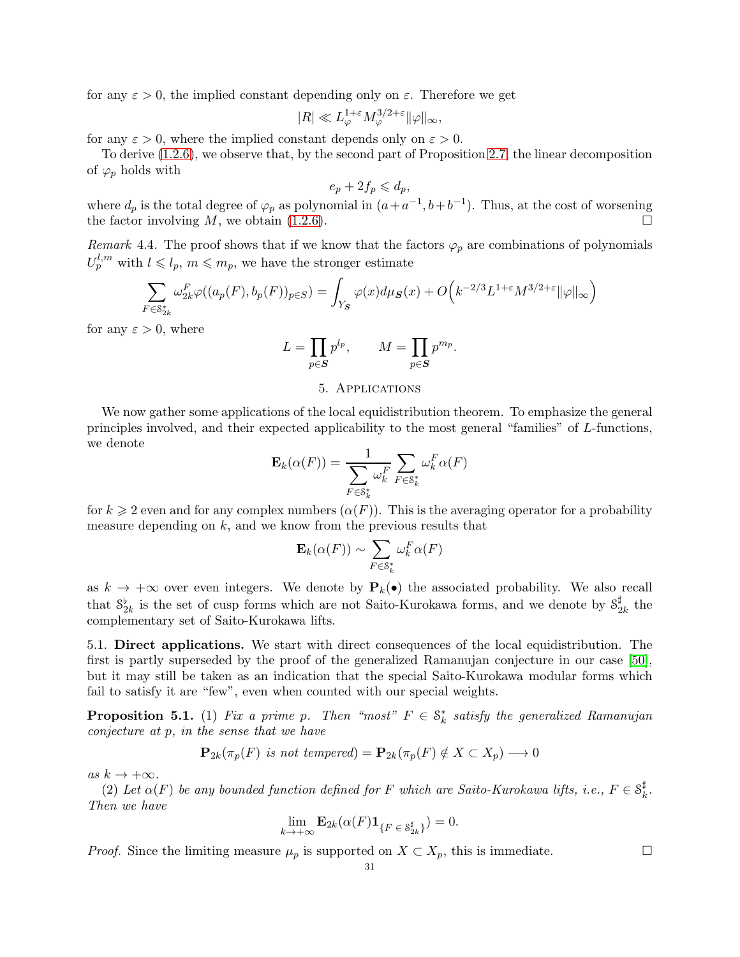for any  $\varepsilon > 0$ , the implied constant depending only on  $\varepsilon$ . Therefore we get

$$
|R| \ll L_{\varphi}^{1+\varepsilon} M_{\varphi}^{3/2+\varepsilon} \|\varphi\|_{\infty},
$$

for any  $\varepsilon > 0$ , where the implied constant depends only on  $\varepsilon > 0$ .

To derive [\(1.2.6\)](#page-7-1), we observe that, by the second part of Proposition [2.7,](#page-15-0) the linear decomposition of  $\varphi_p$  holds with

$$
e_p + 2f_p \leqslant d_p,
$$

where  $d_p$  is the total degree of  $\varphi_p$  as polynomial in  $(a+a^{-1},b+b^{-1})$ . Thus, at the cost of worsening the factor involving  $M$ , we obtain  $(1.2.6)$ .

Remark 4.4. The proof shows that if we know that the factors  $\varphi_p$  are combinations of polynomials  $U_p^{l,m}$  with  $l \leqslant l_p, m \leqslant m_p$ , we have the stronger estimate

$$
\sum_{F \in \mathcal{S}_{2k}^*} \omega_{2k}^F \varphi((a_p(F), b_p(F))_{p \in S}) = \int_{Y_{\mathbf{S}}} \varphi(x) d\mu_{\mathbf{S}}(x) + O\Big(k^{-2/3} L^{1+\varepsilon} M^{3/2+\varepsilon} \|\varphi\|_{\infty}\Big)
$$

for any  $\varepsilon > 0$ , where

$$
L = \prod_{p \in S} p^{l_p}, \qquad M = \prod_{p \in S} p^{m_p}.
$$

## 5. Applications

<span id="page-30-0"></span>We now gather some applications of the local equidistribution theorem. To emphasize the general principles involved, and their expected applicability to the most general "families" of L-functions, we denote

$$
\mathbf{E}_{k}(\alpha(F)) = \frac{1}{\sum_{F \in \mathcal{S}_{k}^{*}} \omega_{k}^{F}} \sum_{F \in \mathcal{S}_{k}^{*}} \omega_{k}^{F} \alpha(F)
$$

for  $k \geqslant 2$  even and for any complex numbers  $(\alpha(F))$ . This is the averaging operator for a probability measure depending on  $k$ , and we know from the previous results that

$$
\mathbf{E}_k(\alpha(F)) \sim \sum_{F \in \mathcal{S}_k^*} \omega_k^F \alpha(F)
$$

as  $k \to +\infty$  over even integers. We denote by  $P_k(\bullet)$  the associated probability. We also recall that  $S_{2k}^{\flat}$  is the set of cusp forms which are not Saito-Kurokawa forms, and we denote by  $S_{2k}^{\sharp}$  $\frac{1}{2k}$  the complementary set of Saito-Kurokawa lifts.

<span id="page-30-2"></span>5.1. Direct applications. We start with direct consequences of the local equidistribution. The first is partly superseded by the proof of the generalized Ramanujan conjecture in our case [\[50\]](#page-44-7), but it may still be taken as an indication that the special Saito-Kurokawa modular forms which fail to satisfy it are "few", even when counted with our special weights.

<span id="page-30-1"></span>**Proposition 5.1.** (1) Fix a prime p. Then "most"  $F \in \mathcal{S}_k^*$  satisfy the generalized Ramanujan conjecture at p, in the sense that we have

$$
\mathbf{P}_{2k}(\pi_p(F) \text{ is not tempered}) = \mathbf{P}_{2k}(\pi_p(F) \notin X \subset X_p) \longrightarrow 0
$$

as  $k \to +\infty$ .

(2) Let  $\alpha(F)$  be any bounded function defined for F which are Saito-Kurokawa lifts, i.e.,  $F \in \mathcal{S}_k^{\sharp}$  $\frac{1}{k}$ . Then we have

$$
\lim_{k \to +\infty} \mathbf{E}_{2k}(\alpha(F) \mathbf{1}_{\{F \in \mathcal{S}_{2k}^{\sharp}\}}) = 0.
$$

*Proof.* Since the limiting measure  $\mu_p$  is supported on  $X \subset X_p$ , this is immediate.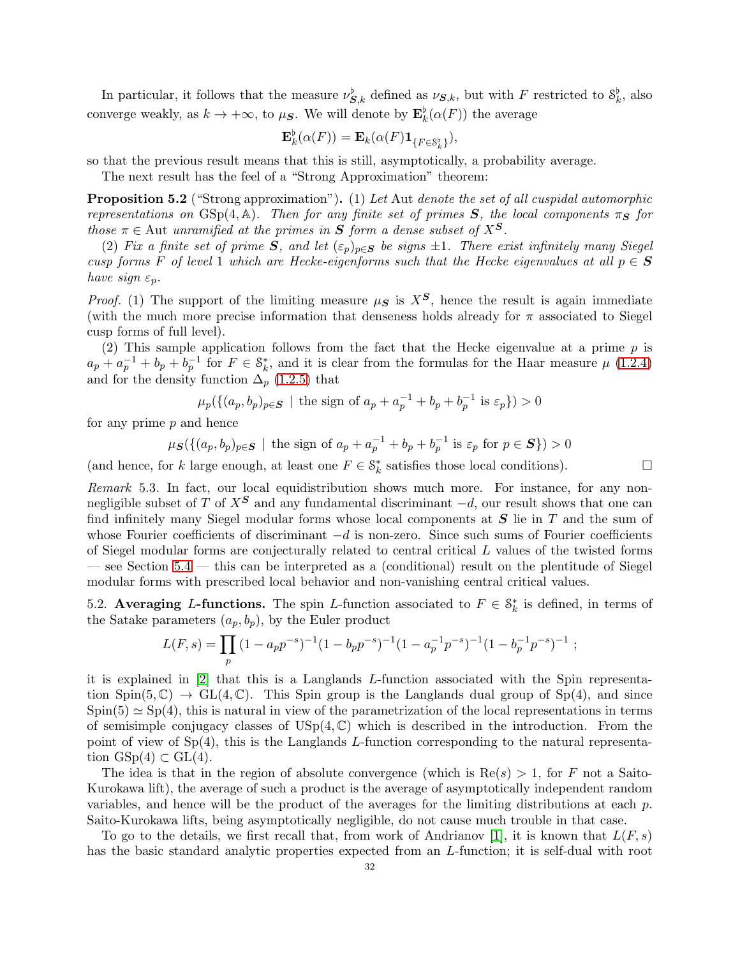In particular, it follows that the measure  $\nu_{S,k}^{\flat}$  defined as  $\nu_{S,k}$ , but with F restricted to  $S_k^{\flat}$ , also converge weakly, as  $k \to +\infty$ , to  $\mu_{\mathcal{S}}$ . We will denote by  $\mathbf{E}_k^{\flat}(\alpha(F))$  the average

$$
\mathbf{E}_{k}^{\flat}(\alpha(F)) = \mathbf{E}_{k}(\alpha(F)\mathbf{1}_{\{F \in \mathcal{S}_{k}^{\flat}\}}),
$$

so that the previous result means that this is still, asymptotically, a probability average.

The next result has the feel of a "Strong Approximation" theorem:

<span id="page-31-1"></span>Proposition 5.2 ("Strong approximation"). (1) Let Aut denote the set of all cuspidal automorphic representations on GSp(4, A). Then for any finite set of primes S, the local components  $\pi_S$  for those  $\pi \in$  Aut unramified at the primes in S form a dense subset of  $X^S$ .

(2) Fix a finite set of prime S, and let  $(\varepsilon_p)_{p\in\mathbf{S}}$  be signs  $\pm 1$ . There exist infinitely many Siegel cusp forms F of level 1 which are Hecke-eigenforms such that the Hecke eigenvalues at all  $p \in S$ have sign  $\varepsilon_p$ .

*Proof.* (1) The support of the limiting measure  $\mu$ s is  $X^S$ , hence the result is again immediate (with the much more precise information that denseness holds already for  $\pi$  associated to Siegel cusp forms of full level).

(2) This sample application follows from the fact that the Hecke eigenvalue at a prime  $p$  is  $a_p + a_p^{-1} + b_p + b_p^{-1}$  for  $F \in \mathcal{S}_k^*$ , and it is clear from the formulas for the Haar measure  $\mu$  [\(1.2.4\)](#page-6-0) and for the density function  $\Delta_p$  [\(1.2.5\)](#page-6-1) that

 $\mu_p(\{(a_p, b_p)_{p \in \mathcal{S}} \mid \text{the sign of } a_p + a_p^{-1} + b_p + b_p^{-1} \text{ is } \varepsilon_p\}) > 0$ 

for any prime  $p$  and hence

$$
\mu_S(\{(a_p, b_p)_{p\in S} \mid \text{the sign of } a_p + a_p^{-1} + b_p + b_p^{-1} \text{ is } \varepsilon_p \text{ for } p \in S\}) > 0
$$

(and hence, for k large enough, at least one  $F \in \mathcal{S}_k^*$  satisfies those local conditions).

Remark 5.3. In fact, our local equidistribution shows much more. For instance, for any nonnegligible subset of T of  $X^S$  and any fundamental discriminant  $-d$ , our result shows that one can find infinitely many Siegel modular forms whose local components at  $S$  lie in  $T$  and the sum of whose Fourier coefficients of discriminant  $-d$  is non-zero. Since such sums of Fourier coefficients of Siegel modular forms are conjecturally related to central critical L values of the twisted forms — see Section [5.4](#page-36-0) — this can be interpreted as a (conditional) result on the plentitude of Siegel modular forms with prescribed local behavior and non-vanishing central critical values.

<span id="page-31-0"></span>5.2. Averaging L-functions. The spin L-function associated to  $F \in \mathcal{S}_k^*$  is defined, in terms of the Satake parameters  $(a_p, b_p)$ , by the Euler product

$$
L(F,s) = \prod_p (1 - a_p p^{-s})^{-1} (1 - b_p p^{-s})^{-1} (1 - a_p^{-1} p^{-s})^{-1} (1 - b_p^{-1} p^{-s})^{-1} ;
$$

it is explained in [\[2\]](#page-43-13) that this is a Langlands L-function associated with the Spin representation  $Spin(5,\mathbb{C}) \rightarrow GL(4,\mathbb{C})$ . This Spin group is the Langlands dual group of  $Sp(4)$ , and since  $Spin(5) \simeq Sp(4)$ , this is natural in view of the parametrization of the local representations in terms of semisimple conjugacy classes of  $\mathrm{USp}(4,\mathbb{C})$  which is described in the introduction. From the point of view of  $Sp(4)$ , this is the Langlands L-function corresponding to the natural representation  $GSp(4) \subset GL(4)$ .

The idea is that in the region of absolute convergence (which is  $Re(s) > 1$ , for F not a Saito-Kurokawa lift), the average of such a product is the average of asymptotically independent random variables, and hence will be the product of the averages for the limiting distributions at each p. Saito-Kurokawa lifts, being asymptotically negligible, do not cause much trouble in that case.

To go to the details, we first recall that, from work of Andrianov [\[1\]](#page-43-14), it is known that  $L(F, s)$ has the basic standard analytic properties expected from an L-function; it is self-dual with root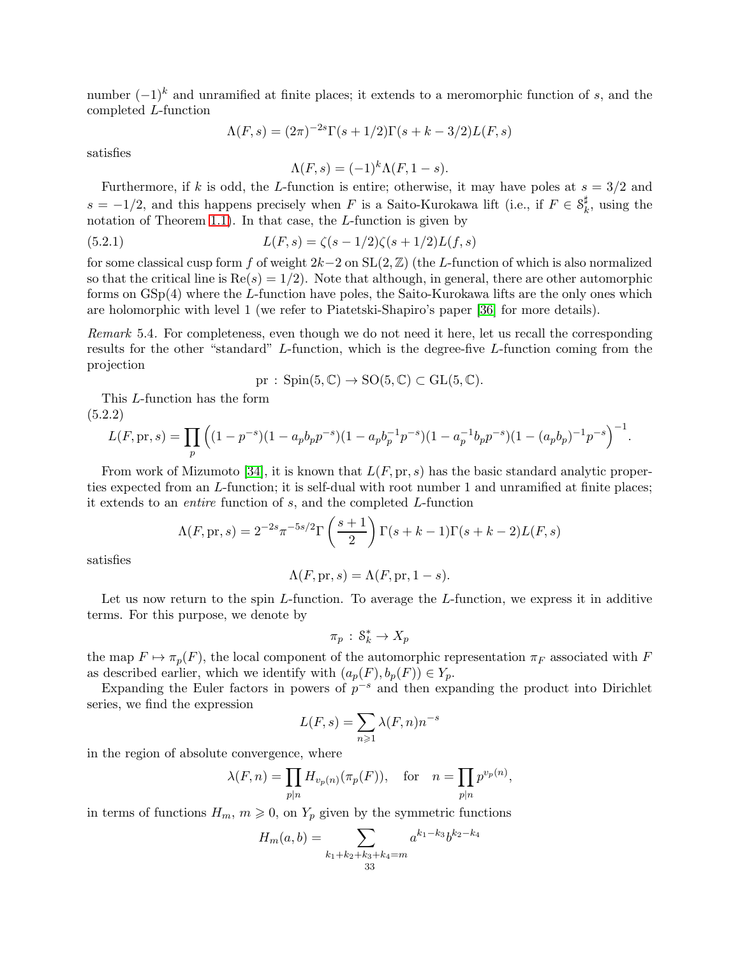number  $(-1)^k$  and unramified at finite places; it extends to a meromorphic function of s, and the completed L-function

$$
\Lambda(F,s) = (2\pi)^{-2s} \Gamma(s+1/2) \Gamma(s+k-3/2) L(F,s)
$$

satisfies

<span id="page-32-0"></span> $\Lambda(F,s) = (-1)^k \Lambda(F,1-s).$ 

Furthermore, if k is odd, the L-function is entire; otherwise, it may have poles at  $s = 3/2$  and  $s = -1/2$ , and this happens precisely when F is a Saito-Kurokawa lift (i.e., if  $F \in \mathcal{S}_k^{\sharp}$  $\frac{u}{k}$ , using the notation of Theorem [1.1\)](#page-0-1). In that case, the  $L$ -function is given by

(5.2.1) 
$$
L(F,s) = \zeta(s-1/2)\zeta(s+1/2)L(f,s)
$$

for some classical cusp form f of weight  $2k-2$  on  $SL(2,\mathbb{Z})$  (the L-function of which is also normalized so that the critical line is  $\text{Re}(s) = 1/2$ . Note that although, in general, there are other automorphic forms on GSp(4) where the L-function have poles, the Saito-Kurokawa lifts are the only ones which are holomorphic with level 1 (we refer to Piatetski-Shapiro's paper [\[36\]](#page-44-21) for more details).

Remark 5.4. For completeness, even though we do not need it here, let us recall the corresponding results for the other "standard" L-function, which is the degree-five L-function coming from the projection

$$
\text{pr}: \text{Spin}(5, \mathbb{C}) \to \text{SO}(5, \mathbb{C}) \subset \text{GL}(5, \mathbb{C}).
$$

This L-function has the form  $(5.9.9)$ 

<span id="page-32-1"></span>
$$
L(F, \text{pr}, s) = \prod_{p} \left( (1 - p^{-s})(1 - a_p b_p p^{-s})(1 - a_p b_p^{-1} p^{-s})(1 - a_p^{-1} b_p p^{-s})(1 - (a_p b_p)^{-1} p^{-s}) \right)^{-1}.
$$

From work of Mizumoto [\[34\]](#page-44-22), it is known that  $L(F, \text{pr}, s)$  has the basic standard analytic properties expected from an L-function; it is self-dual with root number 1 and unramified at finite places; it extends to an entire function of s, and the completed L-function

$$
\Lambda(F, \mathrm{pr}, s) = 2^{-2s} \pi^{-5s/2} \Gamma\left(\frac{s+1}{2}\right) \Gamma(s+k-1) \Gamma(s+k-2) L(F, s)
$$

satisfies

$$
\Lambda(F,\mathrm{pr},s) = \Lambda(F,\mathrm{pr},1-s).
$$

Let us now return to the spin  $L$ -function. To average the  $L$ -function, we express it in additive terms. For this purpose, we denote by

$$
\pi_p\,:\,\mathcal{S}_k^*\to X_p
$$

the map  $F \mapsto \pi_p(F)$ , the local component of the automorphic representation  $\pi_F$  associated with F as described earlier, which we identify with  $(a_p(F), b_p(F)) \in Y_p$ .

Expanding the Euler factors in powers of  $p^{-s}$  and then expanding the product into Dirichlet series, we find the expression

$$
L(F,s) = \sum_{n \geqslant 1} \lambda(F,n) n^{-s}
$$

in the region of absolute convergence, where

$$
\lambda(F,n) = \prod_{p|n} H_{v_p(n)}(\pi_p(F)), \quad \text{for} \quad n = \prod_{p|n} p^{v_p(n)},
$$

in terms of functions  $H_m$ ,  $m \geq 0$ , on  $Y_p$  given by the symmetric functions

$$
H_m(a,b) = \sum_{\substack{k_1+k_2+k_3+k_4=m\\33}} a^{k_1-k_3} b^{k_2-k_4}
$$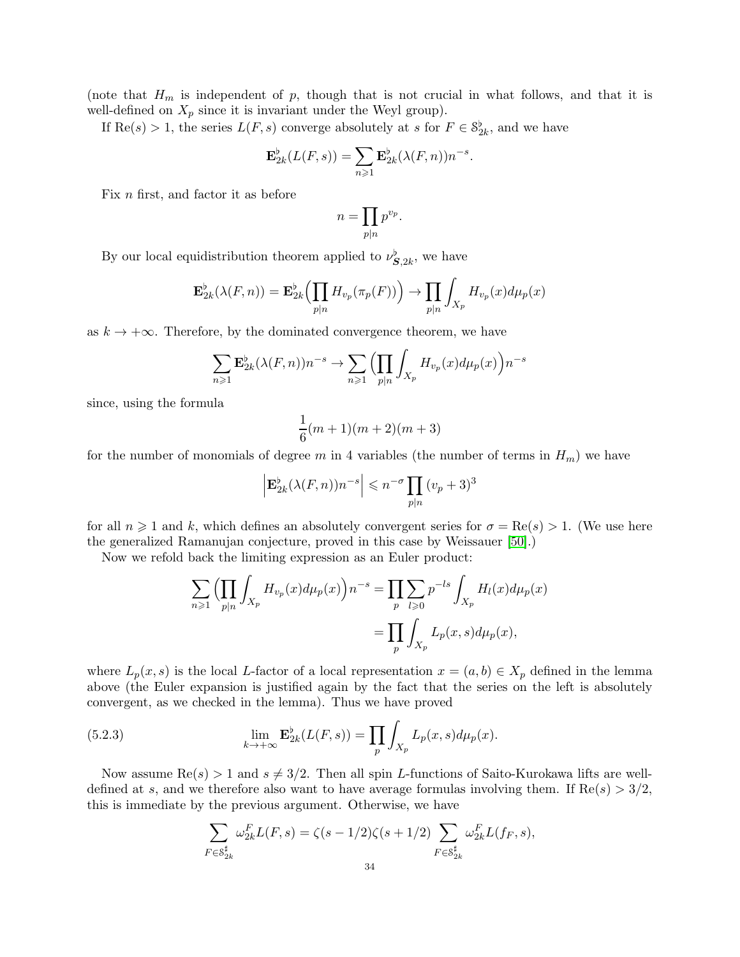(note that  $H_m$  is independent of p, though that is not crucial in what follows, and that it is well-defined on  $X_p$  since it is invariant under the Weyl group).

If  $\text{Re}(s) > 1$ , the series  $L(F, s)$  converge absolutely at s for  $F \in \mathcal{S}_{2k}^{\flat}$ , and we have

$$
\mathbf{E}_{2k}^{\flat}(L(F,s)) = \sum_{n\geq 1} \mathbf{E}_{2k}^{\flat}(\lambda(F,n))n^{-s}.
$$

Fix n first, and factor it as before

$$
n = \prod_{p|n} p^{v_p}.
$$

By our local equidistribution theorem applied to  $\nu_{\mathbf{S},2k}^{\flat}$ , we have

$$
\mathbf{E}_{2k}^{\flat}(\lambda(F,n)) = \mathbf{E}_{2k}^{\flat} \Big( \prod_{p|n} H_{v_p}(\pi_p(F)) \Big) \to \prod_{p|n} \int_{X_p} H_{v_p}(x) d\mu_p(x)
$$

as  $k \to +\infty$ . Therefore, by the dominated convergence theorem, we have

$$
\sum_{n\geqslant 1} \mathbf{E}_{2k}^{\flat}(\lambda(F,n))n^{-s} \to \sum_{n\geqslant 1} \left(\prod_{p|n} \int_{X_p} H_{v_p}(x)d\mu_p(x)\right)n^{-s}
$$

since, using the formula

$$
\frac{1}{6}(m+1)(m+2)(m+3)
$$

for the number of monomials of degree m in 4 variables (the number of terms in  $H_m$ ) we have

$$
\left| \mathbf{E}_{2k}^{\flat}(\lambda(F,n))n^{-s} \right| \leqslant n^{-\sigma} \prod_{p|n} (v_p + 3)^3
$$

for all  $n \geq 1$  and k, which defines an absolutely convergent series for  $\sigma = \text{Re}(s) > 1$ . (We use here the generalized Ramanujan conjecture, proved in this case by Weissauer [\[50\]](#page-44-7).)

Now we refold back the limiting expression as an Euler product:

$$
\sum_{n\geqslant 1} \left( \prod_{p|n} \int_{X_p} H_{v_p}(x) d\mu_p(x) \right) n^{-s} = \prod_p \sum_{l\geqslant 0} p^{-ls} \int_{X_p} H_l(x) d\mu_p(x)
$$

$$
= \prod_p \int_{X_p} L_p(x, s) d\mu_p(x),
$$

where  $L_p(x, s)$  is the local L-factor of a local representation  $x = (a, b) \in X_p$  defined in the lemma above (the Euler expansion is justified again by the fact that the series on the left is absolutely convergent, as we checked in the lemma). Thus we have proved

(5.2.3) 
$$
\lim_{k \to +\infty} \mathbf{E}_{2k}^{\flat}(L(F,s)) = \prod_{p} \int_{X_p} L_p(x,s) d\mu_p(x).
$$

Now assume  $\text{Re}(s) > 1$  and  $s \neq 3/2$ . Then all spin L-functions of Saito-Kurokawa lifts are welldefined at s, and we therefore also want to have average formulas involving them. If  $\text{Re}(s) > 3/2$ , this is immediate by the previous argument. Otherwise, we have

<span id="page-33-0"></span>
$$
\sum_{F \in \mathcal{S}_{2k}^{\sharp}} \omega_{2k}^{F} L(F, s) = \zeta(s - 1/2) \zeta(s + 1/2) \sum_{F \in \mathcal{S}_{2k}^{\sharp}} \omega_{2k}^{F} L(f_F, s),
$$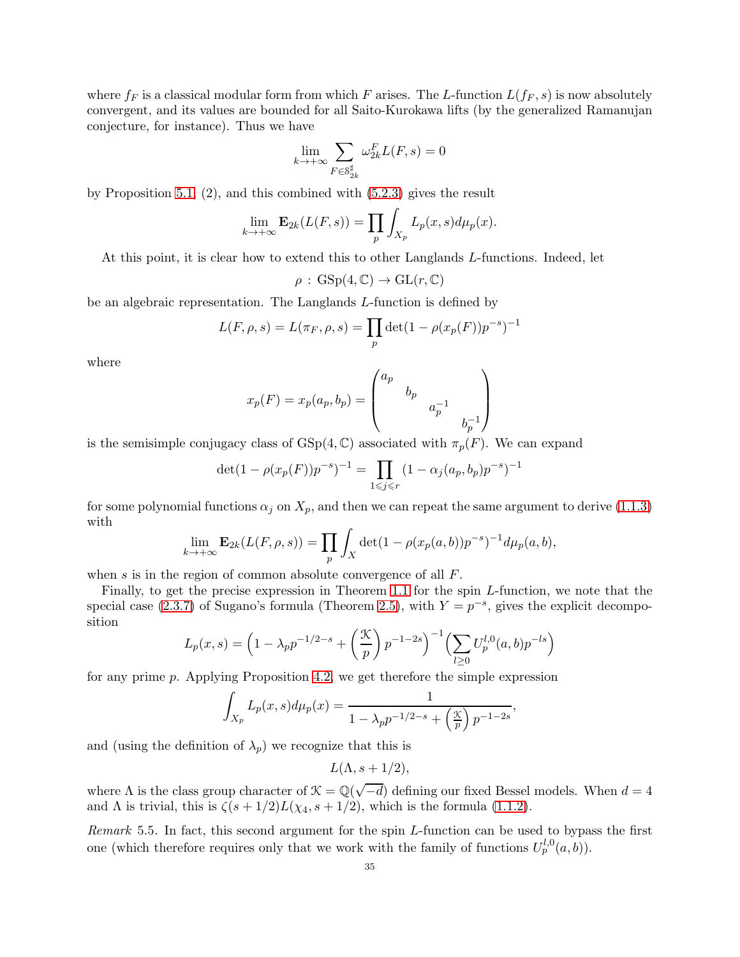where  $f_F$  is a classical modular form from which F arises. The L-function  $L(f_F, s)$  is now absolutely convergent, and its values are bounded for all Saito-Kurokawa lifts (by the generalized Ramanujan conjecture, for instance). Thus we have

$$
\lim_{k \to +\infty} \sum_{F \in \mathcal{S}_{2k}^{\sharp}} \omega_{2k}^{F} L(F, s) = 0
$$

by Proposition [5.1,](#page-30-1) (2), and this combined with [\(5.2.3\)](#page-33-0) gives the result

$$
\lim_{k \to +\infty} \mathbf{E}_{2k}(L(F,s)) = \prod_{p} \int_{X_p} L_p(x,s) d\mu_p(x).
$$

At this point, it is clear how to extend this to other Langlands L-functions. Indeed, let

$$
\rho : GSp(4,\mathbb{C}) \to GL(r,\mathbb{C})
$$

be an algebraic representation. The Langlands L-function is defined by

$$
L(F, \rho, s) = L(\pi_F, \rho, s) = \prod_p \det(1 - \rho(x_p(F))p^{-s})^{-1}
$$

where

$$
x_p(F) = x_p(a_p, b_p) = \begin{pmatrix} a_p & & & \\ & b_p & & \\ & & a_p^{-1} & \\ & & & b_p^{-1} \end{pmatrix}
$$

is the semisimple conjugacy class of  $GSp(4,\mathbb{C})$  associated with  $\pi_p(F)$ . We can expand

$$
\det(1 - \rho(x_p(F))p^{-s})^{-1} = \prod_{1 \le j \le r} (1 - \alpha_j(a_p, b_p)p^{-s})^{-1}
$$

for some polynomial functions  $\alpha_j$  on  $X_p$ , and then we can repeat the same argument to derive [\(1.1.3\)](#page-1-1) with

$$
\lim_{k \to +\infty} \mathbf{E}_{2k}(L(F,\rho,s)) = \prod_p \int_X \det(1 - \rho(x_p(a,b))p^{-s})^{-1} d\mu_p(a,b),
$$

when s is in the region of common absolute convergence of all F.

Finally, to get the precise expression in Theorem [1.1](#page-0-1) for the spin L-function, we note that the special case [\(2.3.7\)](#page-14-2) of Sugano's formula (Theorem [2.5\)](#page-14-0), with  $Y = p^{-s}$ , gives the explicit decomposition

$$
L_p(x,s) = \left(1 - \lambda_p p^{-1/2-s} + \left(\frac{\mathcal{K}}{p}\right) p^{-1-2s}\right)^{-1} \left(\sum_{l \ge 0} U_p^{l,0}(a,b) p^{-ls}\right)
$$

for any prime p. Applying Proposition [4.2,](#page-28-2) we get therefore the simple expression

$$
\int_{X_p} L_p(x, s) d\mu_p(x) = \frac{1}{1 - \lambda_p p^{-1/2 - s} + \left(\frac{x}{p}\right) p^{-1 - 2s}},
$$

and (using the definition of  $\lambda_p$ ) we recognize that this is

 $L(\Lambda, s+1/2),$ 

where  $\Lambda$  is the class group character of  $\mathcal{K} = \mathbb{Q}(\sqrt{-d})$  defining our fixed Bessel models. When  $d = 4$ and  $\Lambda$  is trivial, this is  $\zeta(s+1/2)L(\chi_4,s+1/2)$ , which is the formula [\(1.1.2\)](#page-1-2).

Remark 5.5. In fact, this second argument for the spin L-function can be used to bypass the first one (which therefore requires only that we work with the family of functions  $U_p^{l,0}(a, b)$ ).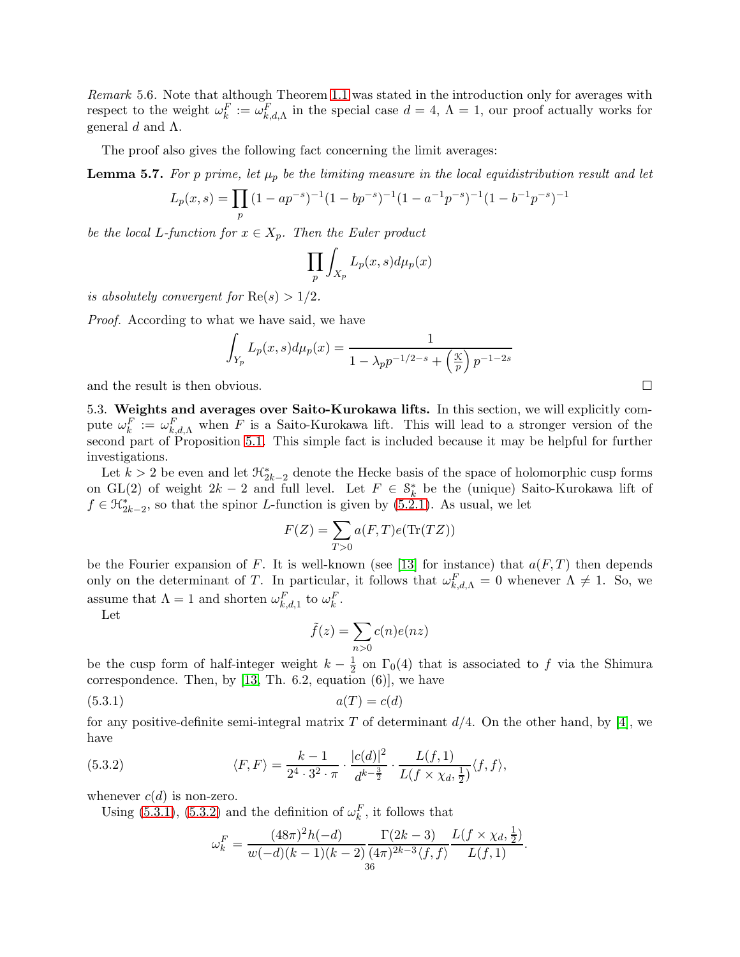Remark 5.6. Note that although Theorem [1.1](#page-0-1) was stated in the introduction only for averages with respect to the weight  $\omega_k^F := \omega_{k,d,\Lambda}^F$  in the special case  $d = 4, \Lambda = 1$ , our proof actually works for general d and  $Λ$ .

The proof also gives the following fact concerning the limit averages:

**Lemma 5.7.** For p prime, let  $\mu_p$  be the limiting measure in the local equidistribution result and let

$$
L_p(x,s) = \prod_p (1 - ap^{-s})^{-1} (1 - bp^{-s})^{-1} (1 - a^{-1}p^{-s})^{-1} (1 - b^{-1}p^{-s})^{-1}
$$

be the local L-function for  $x \in X_p$ . Then the Euler product

$$
\prod_{p}\int_{X_p}L_p(x,s)d\mu_p(x)
$$

is absolutely convergent for  $\text{Re}(s) > 1/2$ .

Proof. According to what we have said, we have

$$
\int_{Y_p} L_p(x, s) d\mu_p(x) = \frac{1}{1 - \lambda_p p^{-1/2 - s} + \left(\frac{x}{p}\right) p^{-1 - 2s}}
$$

and the result is then obvious.

5.3. Weights and averages over Saito-Kurokawa lifts. In this section, we will explicitly compute  $\omega_k^F := \omega_{k,d,\Lambda}^F$  when F is a Saito-Kurokawa lift. This will lead to a stronger version of the second part of Proposition [5.1.](#page-30-1) This simple fact is included because it may be helpful for further investigations.

Let  $k > 2$  be even and let  $\mathcal{H}_{2k-2}^*$  denote the Hecke basis of the space of holomorphic cusp forms on GL(2) of weight  $2k-2$  and full level. Let  $F \in \mathcal{S}_k^*$  be the (unique) Saito-Kurokawa lift of  $f \in \mathfrak{H}_{2k-2}^*$ , so that the spinor L-function is given by [\(5.2.1\)](#page-32-0). As usual, we let

$$
F(Z) = \sum_{T>0} a(F,T)e(\text{Tr}(TZ))
$$

be the Fourier expansion of F. It is well-known (see [\[13\]](#page-43-5) for instance) that  $a(F,T)$  then depends only on the determinant of T. In particular, it follows that  $\omega_{k,d,\Lambda}^F = 0$  whenever  $\Lambda \neq 1$ . So, we assume that  $\Lambda = 1$  and shorten  $\omega_{k,d,1}^F$  to  $\omega_k^F$ .

Let

<span id="page-35-0"></span>
$$
\tilde{f}(z) = \sum_{n>0} c(n)e(nz)
$$

be the cusp form of half-integer weight  $k - \frac{1}{2}$  on  $\Gamma_0(4)$  that is associated to f via the Shimura correspondence. Then, by  $[13, Th. 6.2, equation (6)],$  we have

$$
(5.3.1) \qquad \qquad a(T) = c(d)
$$

for any positive-definite semi-integral matrix T of determinant  $d/4$ . On the other hand, by [\[4\]](#page-43-15), we have

(5.3.2) 
$$
\langle F, F \rangle = \frac{k-1}{2^4 \cdot 3^2 \cdot \pi} \cdot \frac{|c(d)|^2}{d^{k-\frac{3}{2}}} \cdot \frac{L(f, 1)}{L(f \times \chi_d, \frac{1}{2})} \langle f, f \rangle,
$$

whenever  $c(d)$  is non-zero.

Using [\(5.3.1\)](#page-35-0), [\(5.3.2\)](#page-35-1) and the definition of  $\omega_k^F$ , it follows that

<span id="page-35-1"></span>
$$
\omega_k^F = \frac{(48\pi)^2 h(-d)}{w(-d)(k-1)(k-2)} \frac{\Gamma(2k-3)}{(4\pi)^{2k-3} \langle f, f \rangle} \frac{L(f \times \chi_d, \frac{1}{2})}{L(f, 1)}.
$$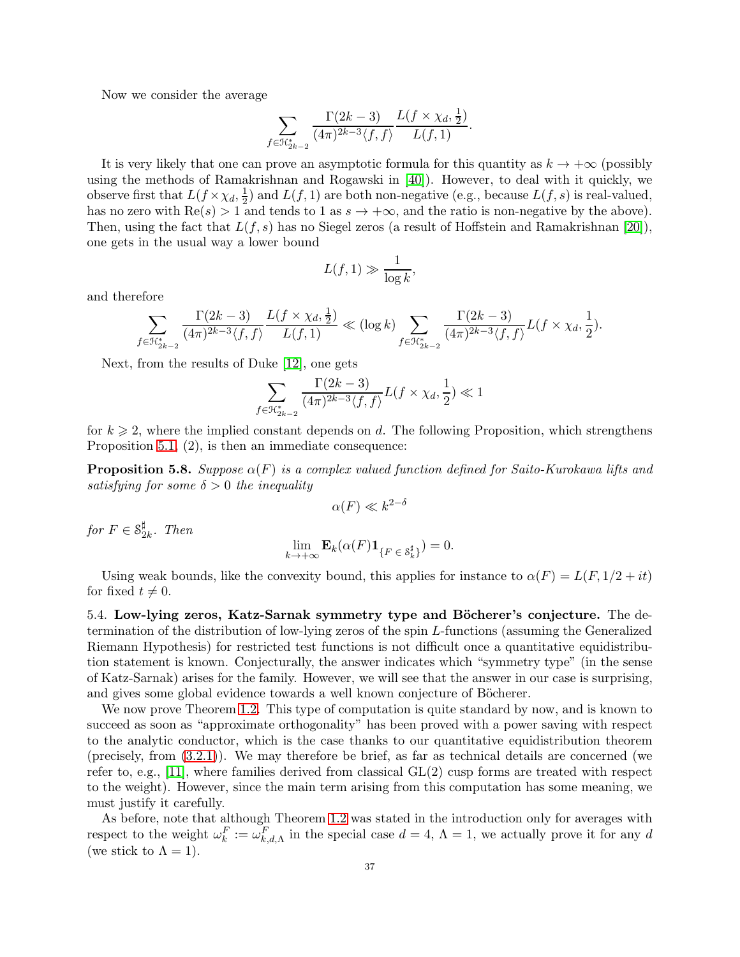Now we consider the average

$$
\sum_{f \in \mathcal{H}_{2k-2}^*} \frac{\Gamma(2k-3)}{(4\pi)^{2k-3} \langle f, f \rangle} \frac{L(f \times \chi_d, \frac{1}{2})}{L(f, 1)}.
$$

It is very likely that one can prove an asymptotic formula for this quantity as  $k \to +\infty$  (possibly using the methods of Ramakrishnan and Rogawski in [\[40\]](#page-44-23)). However, to deal with it quickly, we observe first that  $L(f \times \chi_d, \frac{1}{2})$  $\frac{1}{2}$ ) and  $L(f, 1)$  are both non-negative (e.g., because  $L(f, s)$  is real-valued, has no zero with  $\text{Re}(s) > 1$  and tends to 1 as  $s \to +\infty$ , and the ratio is non-negative by the above). Then, using the fact that  $L(f, s)$  has no Siegel zeros (a result of Hoffstein and Ramakrishnan [\[20\]](#page-43-16)), one gets in the usual way a lower bound

$$
L(f, 1) \gg \frac{1}{\log k},
$$

and therefore

$$
\sum_{f \in \mathfrak{K}_{2k-2}^*} \frac{\Gamma(2k-3)}{(4\pi)^{2k-3}\langle f,f \rangle} \frac{L(f \times \chi_d, \frac{1}{2})}{L(f,1)} \ll (\log k) \sum_{f \in \mathfrak{K}_{2k-2}^*} \frac{\Gamma(2k-3)}{(4\pi)^{2k-3}\langle f,f \rangle} L(f \times \chi_d, \frac{1}{2}).
$$

Next, from the results of Duke [\[12\]](#page-43-17), one gets

$$
\sum_{f \in \mathcal{H}_{2k-2}^*} \frac{\Gamma(2k-3)}{(4\pi)^{2k-3} \langle f, f \rangle} L(f \times \chi_d, \frac{1}{2}) \ll 1
$$

for  $k \geqslant 2$ , where the implied constant depends on d. The following Proposition, which strengthens Proposition [5.1,](#page-30-1) (2), is then an immediate consequence:

**Proposition 5.8.** Suppose  $\alpha(F)$  is a complex valued function defined for Saito-Kurokawa lifts and satisfying for some  $\delta > 0$  the inequality

$$
\alpha(F) \ll k^{2-\delta}
$$

for  $F \in \mathcal{S}_2^{\sharp}$  $\frac{1}{2k}$ . Then

$$
\lim_{k \to +\infty} \mathbf{E}_k(\alpha(F) \mathbf{1}_{\{F \in \mathcal{S}_k^{\sharp}\}}) = 0.
$$

Using weak bounds, like the convexity bound, this applies for instance to  $\alpha(F) = L(F, 1/2 + it)$ for fixed  $t \neq 0$ .

<span id="page-36-0"></span>5.4. Low-lying zeros, Katz-Sarnak symmetry type and Böcherer's conjecture. The determination of the distribution of low-lying zeros of the spin L-functions (assuming the Generalized Riemann Hypothesis) for restricted test functions is not difficult once a quantitative equidistribution statement is known. Conjecturally, the answer indicates which "symmetry type" (in the sense of Katz-Sarnak) arises for the family. However, we will see that the answer in our case is surprising, and gives some global evidence towards a well known conjecture of Böcherer.

We now prove Theorem [1.2.](#page-1-0) This type of computation is quite standard by now, and is known to succeed as soon as "approximate orthogonality" has been proved with a power saving with respect to the analytic conductor, which is the case thanks to our quantitative equidistribution theorem (precisely, from [\(3.2.1\)](#page-26-1)). We may therefore be brief, as far as technical details are concerned (we refer to, e.g., [\[11\]](#page-43-0), where families derived from classical  $GL(2)$  cusp forms are treated with respect to the weight). However, since the main term arising from this computation has some meaning, we must justify it carefully.

As before, note that although Theorem [1.2](#page-1-0) was stated in the introduction only for averages with respect to the weight  $\omega_k^F := \omega_{k,d,\Lambda}^F$  in the special case  $d = 4, \Lambda = 1$ , we actually prove it for any d (we stick to  $\Lambda = 1$ ).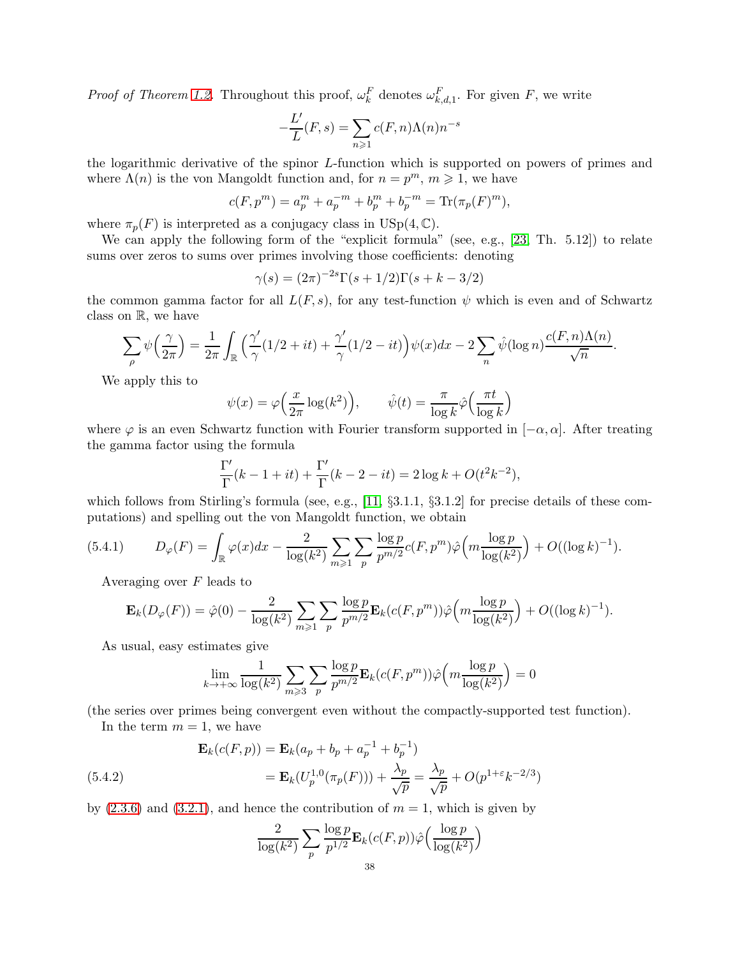*Proof of Theorem [1.2.](#page-1-0)* Throughout this proof,  $\omega_k^F$  denotes  $\omega_{k,d,1}^F$ . For given F, we write

$$
-\frac{L'}{L}(F,s) = \sum_{n\geq 1} c(F,n)\Lambda(n)n^{-s}
$$

the logarithmic derivative of the spinor L-function which is supported on powers of primes and where  $\Lambda(n)$  is the von Mangoldt function and, for  $n = p^m$ ,  $m \geq 1$ , we have

$$
c(F, pm) = a_pm + a_p-m + b_pm + b_p-m = \text{Tr}(\pi_p(F)m),
$$

where  $\pi_p(F)$  is interpreted as a conjugacy class in USp(4, C).

We can apply the following form of the "explicit formula" (see, e.g., [\[23,](#page-44-4) Th. 5.12]) to relate sums over zeros to sums over primes involving those coefficients: denoting

$$
\gamma(s) = (2\pi)^{-2s} \Gamma(s+1/2) \Gamma(s+k-3/2)
$$

the common gamma factor for all  $L(F, s)$ , for any test-function  $\psi$  which is even and of Schwartz class on R, we have

$$
\sum_{\rho} \psi\left(\frac{\gamma}{2\pi}\right) = \frac{1}{2\pi} \int_{\mathbb{R}} \left(\frac{\gamma'}{\gamma} (1/2 + it) + \frac{\gamma'}{\gamma} (1/2 - it)\right) \psi(x) dx - 2 \sum_{n} \hat{\psi}(\log n) \frac{c(F, n) \Lambda(n)}{\sqrt{n}}.
$$

We apply this to

$$
\psi(x) = \varphi\left(\frac{x}{2\pi} \log(k^2)\right), \qquad \hat{\psi}(t) = \frac{\pi}{\log k} \hat{\varphi}\left(\frac{\pi t}{\log k}\right)
$$

where  $\varphi$  is an even Schwartz function with Fourier transform supported in  $[-\alpha, \alpha]$ . After treating the gamma factor using the formula

$$
\frac{\Gamma'}{\Gamma}(k-1+it) + \frac{\Gamma'}{\Gamma}(k-2-it) = 2\log k + O(t^2k^{-2}),
$$

which follows from Stirling's formula (see, e.g.,  $[11, \S3.1.1, \S3.1.2]$  for precise details of these computations) and spelling out the von Mangoldt function, we obtain

$$
(5.4.1) \t D_{\varphi}(F) = \int_{\mathbb{R}} \varphi(x) dx - \frac{2}{\log(k^2)} \sum_{m \geq 1} \sum_{p} \frac{\log p}{p^{m/2}} c(F, p^m) \hat{\varphi}\Big( m \frac{\log p}{\log(k^2)} \Big) + O((\log k)^{-1}).
$$

Averaging over  $F$  leads to

$$
\mathbf{E}_{k}(D_{\varphi}(F)) = \hat{\varphi}(0) - \frac{2}{\log(k^2)} \sum_{m \geq 1} \sum_{p} \frac{\log p}{p^{m/2}} \mathbf{E}_{k}(c(F, p^m)) \hat{\varphi}\left(m \frac{\log p}{\log(k^2)}\right) + O((\log k)^{-1}).
$$

As usual, easy estimates give

$$
\lim_{k \to +\infty} \frac{1}{\log(k^2)} \sum_{m \ge 3} \sum_{p} \frac{\log p}{p^{m/2}} \mathbf{E}_k(c(F, p^m)) \hat{\varphi}\left(m \frac{\log p}{\log(k^2)}\right) = 0
$$

(the series over primes being convergent even without the compactly-supported test function).

In the term  $m = 1$ , we have

<span id="page-37-0"></span>(5.4.2)  
\n
$$
\mathbf{E}_k(c(F, p)) = \mathbf{E}_k(a_p + b_p + a_p^{-1} + b_p^{-1})
$$
\n
$$
= \mathbf{E}_k(U_p^{1,0}(\pi_p(F))) + \frac{\lambda_p}{\sqrt{p}} = \frac{\lambda_p}{\sqrt{p}} + O(p^{1+\epsilon}k^{-2/3})
$$

by  $(2.3.6)$  and  $(3.2.1)$ , and hence the contribution of  $m = 1$ , which is given by

$$
\frac{2}{\log(k^2)} \sum_{p} \frac{\log p}{p^{1/2}} \mathbf{E}_k(c(F, p)) \hat{\varphi} \left( \frac{\log p}{\log(k^2)} \right)
$$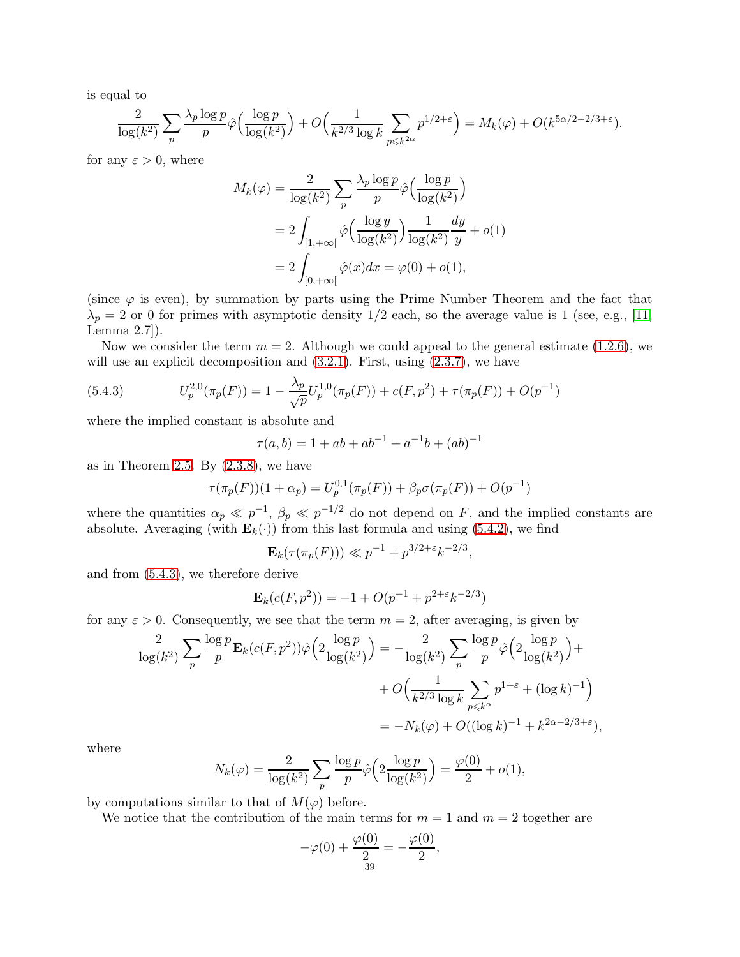is equal to

$$
\frac{2}{\log(k^2)}\sum_{p}\frac{\lambda_p \log p}{p}\hat{\varphi}\Big(\frac{\log p}{\log(k^2)}\Big) + O\Big(\frac{1}{k^{2/3}\log k}\sum_{p \leq k^{2\alpha}} p^{1/2+\varepsilon}\Big) = M_k(\varphi) + O(k^{5\alpha/2 - 2/3 + \varepsilon}).
$$

for any  $\varepsilon > 0$ , where

$$
M_k(\varphi) = \frac{2}{\log(k^2)} \sum_p \frac{\lambda_p \log p}{p} \hat{\varphi} \left( \frac{\log p}{\log(k^2)} \right)
$$
  
= 
$$
2 \int_{[1, +\infty[} \hat{\varphi} \left( \frac{\log y}{\log(k^2)} \right) \frac{1}{\log(k^2)} \frac{dy}{y} + o(1)
$$
  
= 
$$
2 \int_{[0, +\infty[} \hat{\varphi}(x) dx = \varphi(0) + o(1),
$$

(since  $\varphi$  is even), by summation by parts using the Prime Number Theorem and the fact that  $\lambda_p = 2$  or 0 for primes with asymptotic density 1/2 each, so the average value is 1 (see, e.g., [\[11,](#page-43-0) Lemma 2.7]).

Now we consider the term  $m = 2$ . Although we could appeal to the general estimate [\(1.2.6\)](#page-7-1), we will use an explicit decomposition and  $(3.2.1)$ . First, using  $(2.3.7)$ , we have

<span id="page-38-0"></span>(5.4.3) 
$$
U_p^{2,0}(\pi_p(F)) = 1 - \frac{\lambda_p}{\sqrt{p}} U_p^{1,0}(\pi_p(F)) + c(F, p^2) + \tau(\pi_p(F)) + O(p^{-1})
$$

where the implied constant is absolute and

$$
\tau(a,b) = 1 + ab + ab^{-1} + a^{-1}b + (ab)^{-1}
$$

as in Theorem [2.5.](#page-14-0) By  $(2.3.8)$ , we have

$$
\tau(\pi_p(F))(1+\alpha_p) = U_p^{0,1}(\pi_p(F)) + \beta_p \sigma(\pi_p(F)) + O(p^{-1})
$$

where the quantities  $\alpha_p \ll p^{-1}$ ,  $\beta_p \ll p^{-1/2}$  do not depend on F, and the implied constants are absolute. Averaging (with  $\mathbf{E}_k(\cdot)$ ) from this last formula and using [\(5.4.2\)](#page-37-0), we find

$$
\mathbf{E}_k(\tau(\pi_p(F))) \ll p^{-1} + p^{3/2 + \varepsilon} k^{-2/3},
$$

and from [\(5.4.3\)](#page-38-0), we therefore derive

$$
\mathbf{E}_k(c(F, p^2)) = -1 + O(p^{-1} + p^{2+\epsilon}k^{-2/3})
$$

for any  $\varepsilon > 0$ . Consequently, we see that the term  $m = 2$ , after averaging, is given by

$$
\frac{2}{\log(k^2)} \sum_{p} \frac{\log p}{p} \mathbf{E}_k(c(F, p^2)) \hat{\varphi} \left( 2 \frac{\log p}{\log(k^2)} \right) = -\frac{2}{\log(k^2)} \sum_{p} \frac{\log p}{p} \hat{\varphi} \left( 2 \frac{\log p}{\log(k^2)} \right) +
$$

$$
+ O \left( \frac{1}{k^{2/3} \log k} \sum_{p \le k^{\alpha}} p^{1+\varepsilon} + (\log k)^{-1} \right)
$$

$$
= -N_k(\varphi) + O((\log k)^{-1} + k^{2\alpha - 2/3 + \varepsilon}),
$$

where

$$
N_k(\varphi) = \frac{2}{\log(k^2)} \sum_{p} \frac{\log p}{p} \hat{\varphi} \left( 2 \frac{\log p}{\log(k^2)} \right) = \frac{\varphi(0)}{2} + o(1),
$$

by computations similar to that of  $M(\varphi)$  before.

We notice that the contribution of the main terms for  $m = 1$  and  $m = 2$  together are

$$
-\varphi(0) + \frac{\varphi(0)}{\frac{2}{39}} = -\frac{\varphi(0)}{2},
$$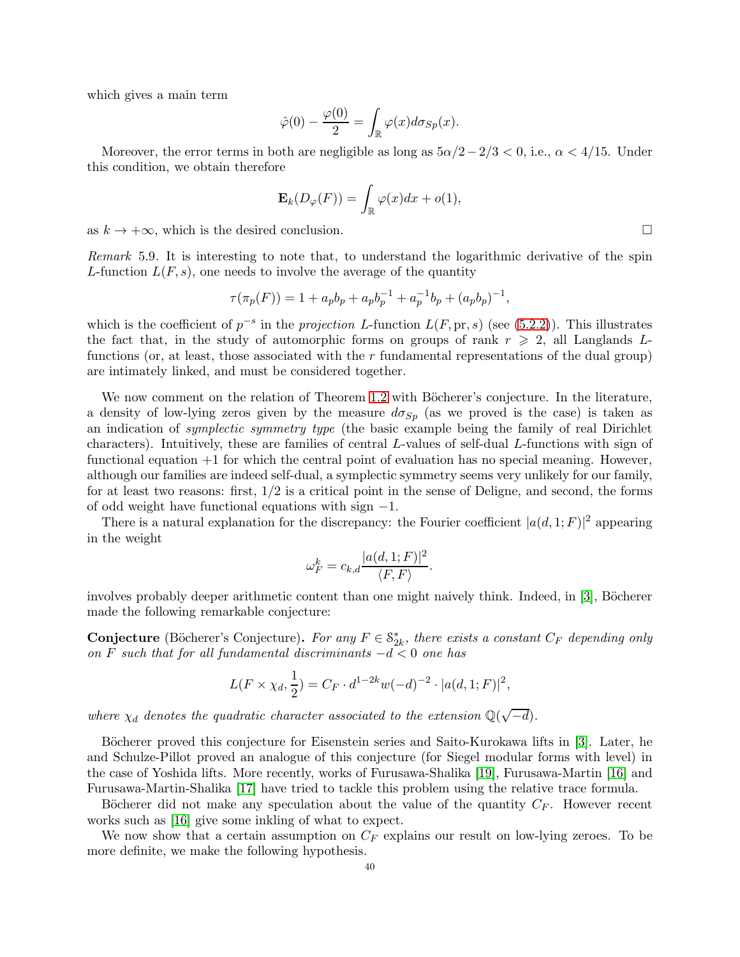which gives a main term

$$
\hat{\varphi}(0) - \frac{\varphi(0)}{2} = \int_{\mathbb{R}} \varphi(x) d\sigma_{Sp}(x).
$$

Moreover, the error terms in both are negligible as long as  $5\alpha/2-2/3 < 0$ , i.e.,  $\alpha < 4/15$ . Under this condition, we obtain therefore

$$
\mathbf{E}_k(D_\varphi(F)) = \int_{\mathbb{R}} \varphi(x) dx + o(1),
$$

as  $k \to +\infty$ , which is the desired conclusion.

Remark 5.9. It is interesting to note that, to understand the logarithmic derivative of the spin L-function  $L(F, s)$ , one needs to involve the average of the quantity

$$
\tau(\pi_p(F)) = 1 + a_p b_p + a_p b_p^{-1} + a_p^{-1} b_p + (a_p b_p)^{-1},
$$

which is the coefficient of  $p^{-s}$  in the projection L-function  $L(F, \text{pr}, s)$  (see [\(5.2.2\)](#page-32-1)). This illustrates the fact that, in the study of automorphic forms on groups of rank  $r \geq 2$ , all Langlands Lfunctions (or, at least, those associated with the  $r$  fundamental representations of the dual group) are intimately linked, and must be considered together.

We now comment on the relation of Theorem [1.2](#page-1-0) with Böcherer's conjecture. In the literature, a density of low-lying zeros given by the measure  $d\sigma_{Sp}$  (as we proved is the case) is taken as an indication of symplectic symmetry type (the basic example being the family of real Dirichlet characters). Intuitively, these are families of central L-values of self-dual L-functions with sign of functional equation +1 for which the central point of evaluation has no special meaning. However, although our families are indeed self-dual, a symplectic symmetry seems very unlikely for our family, for at least two reasons: first,  $1/2$  is a critical point in the sense of Deligne, and second, the forms of odd weight have functional equations with sign −1.

There is a natural explanation for the discrepancy: the Fourier coefficient  $|a(d, 1; F)|^2$  appearing in the weight

$$
\omega_F^k = c_{k,d} \frac{|a(d, 1; F)|^2}{\langle F, F \rangle}.
$$

involves probably deeper arithmetic content than one might naively think. Indeed, in [\[3\]](#page-43-1), Böcherer made the following remarkable conjecture:

**Conjecture** (Böcherer's Conjecture). For any  $F \in \mathcal{S}_{2k}^*$ , there exists a constant  $C_F$  depending only on F such that for all fundamental discriminants  $-d < 0$  one has

$$
L(F \times \chi_d, \frac{1}{2}) = C_F \cdot d^{1-2k} w(-d)^{-2} \cdot |a(d, 1; F)|^2,
$$

where  $\chi_d$  denotes the quadratic character associated to the extension  $\mathbb{Q}(\sqrt{-d})$ .

Böcherer proved this conjecture for Eisenstein series and Saito-Kurokawa lifts in [\[3\]](#page-43-1). Later, he and Schulze-Pillot proved an analogue of this conjecture (for Siegel modular forms with level) in the case of Yoshida lifts. More recently, works of Furusawa-Shalika [\[19\]](#page-43-2), Furusawa-Martin [\[16\]](#page-43-3) and Furusawa-Martin-Shalika [\[17\]](#page-43-11) have tried to tackle this problem using the relative trace formula.

Böcherer did not make any speculation about the value of the quantity  $C_F$ . However recent works such as [\[16\]](#page-43-3) give some inkling of what to expect.

We now show that a certain assumption on  $C_F$  explains our result on low-lying zeroes. To be more definite, we make the following hypothesis.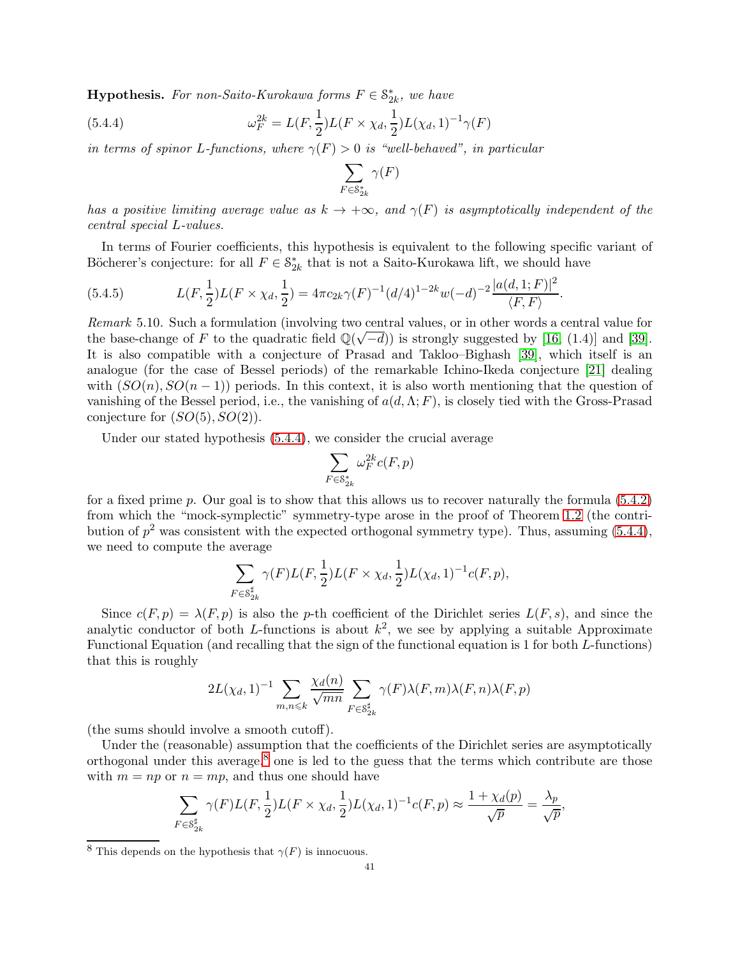**Hypothesis.** For non-Saito-Kurokawa forms  $F \in \mathcal{S}_{2k}^*$ , we have

(5.4.4) 
$$
\omega_F^{2k} = L(F, \frac{1}{2})L(F \times \chi_d, \frac{1}{2})L(\chi_d, 1)^{-1} \gamma(F)
$$

in terms of spinor L-functions, where  $\gamma(F) > 0$  is "well-behaved", in particular

<span id="page-40-0"></span>
$$
\sum_{F\in \mathbf{S}_{2k}^*}\gamma(F)
$$

has a positive limiting average value as  $k \to +\infty$ , and  $\gamma(F)$  is asymptotically independent of the central special L-values.

In terms of Fourier coefficients, this hypothesis is equivalent to the following specific variant of Böcherer's conjecture: for all  $F \in \mathcal{S}_{2k}^*$  that is not a Saito-Kurokawa lift, we should have

<span id="page-40-2"></span>(5.4.5) 
$$
L(F, \frac{1}{2})L(F \times \chi_d, \frac{1}{2}) = 4\pi c_{2k}\gamma(F)^{-1}(d/4)^{1-2k}w(-d)^{-2}\frac{|a(d, 1; F)|^2}{\langle F, F \rangle}.
$$

Remark 5.10. Such a formulation (involving two central values, or in other words a central value for the base-change of F to the quadratic field  $\mathbb{Q}(\sqrt{-d})$  is strongly suggested by [\[16,](#page-43-3) (1.4)] and [\[39\]](#page-44-24). It is also compatible with a conjecture of Prasad and Takloo–Bighash [\[39\]](#page-44-24), which itself is an analogue (for the case of Bessel periods) of the remarkable Ichino-Ikeda conjecture [\[21\]](#page-43-18) dealing with  $(SO(n), SO(n-1))$  periods. In this context, it is also worth mentioning that the question of vanishing of the Bessel period, i.e., the vanishing of  $a(d, \Lambda; F)$ , is closely tied with the Gross-Prasad conjecture for  $(SO(5), SO(2))$ .

Under our stated hypothesis [\(5.4.4\)](#page-40-0), we consider the crucial average

$$
\sum_{F\in \mathcal{S}_{2k}^*}\omega_F^{2k}c(F,p)
$$

for a fixed prime p. Our goal is to show that this allows us to recover naturally the formula  $(5.4.2)$ from which the "mock-symplectic" symmetry-type arose in the proof of Theorem [1.2](#page-1-0) (the contribution of  $p^2$  was consistent with the expected orthogonal symmetry type). Thus, assuming  $(5.4.4)$ , we need to compute the average

$$
\sum_{F \in \mathcal{S}_{2k}^{\sharp}} \gamma(F) L(F, \frac{1}{2}) L(F \times \chi_d, \frac{1}{2}) L(\chi_d, 1)^{-1} c(F, p),
$$

Since  $c(F, p) = \lambda(F, p)$  is also the p-th coefficient of the Dirichlet series  $L(F, s)$ , and since the analytic conductor of both L-functions is about  $k^2$ , we see by applying a suitable Approximate Functional Equation (and recalling that the sign of the functional equation is 1 for both L-functions) that this is roughly

$$
2L(\chi_d, 1)^{-1} \sum_{m,n \leq k} \frac{\chi_d(n)}{\sqrt{mn}} \sum_{F \in \mathcal{S}_{2k}^{\sharp}} \gamma(F) \lambda(F, m) \lambda(F, n) \lambda(F, p)
$$

(the sums should involve a smooth cutoff).

Under the (reasonable) assumption that the coefficients of the Dirichlet series are asymptotically orthogonal under this average,<sup>[8](#page-40-1)</sup> one is led to the guess that the terms which contribute are those with  $m = np$  or  $n = mp$ , and thus one should have

$$
\sum_{F \in \mathcal{S}_{2k}^{\sharp}} \gamma(F)L(F, \frac{1}{2})L(F \times \chi_d, \frac{1}{2})L(\chi_d, 1)^{-1}c(F, p) \approx \frac{1 + \chi_d(p)}{\sqrt{p}} = \frac{\lambda_p}{\sqrt{p}}
$$

,

<span id="page-40-1"></span><sup>&</sup>lt;sup>8</sup> This depends on the hypothesis that  $\gamma(F)$  is innocuous.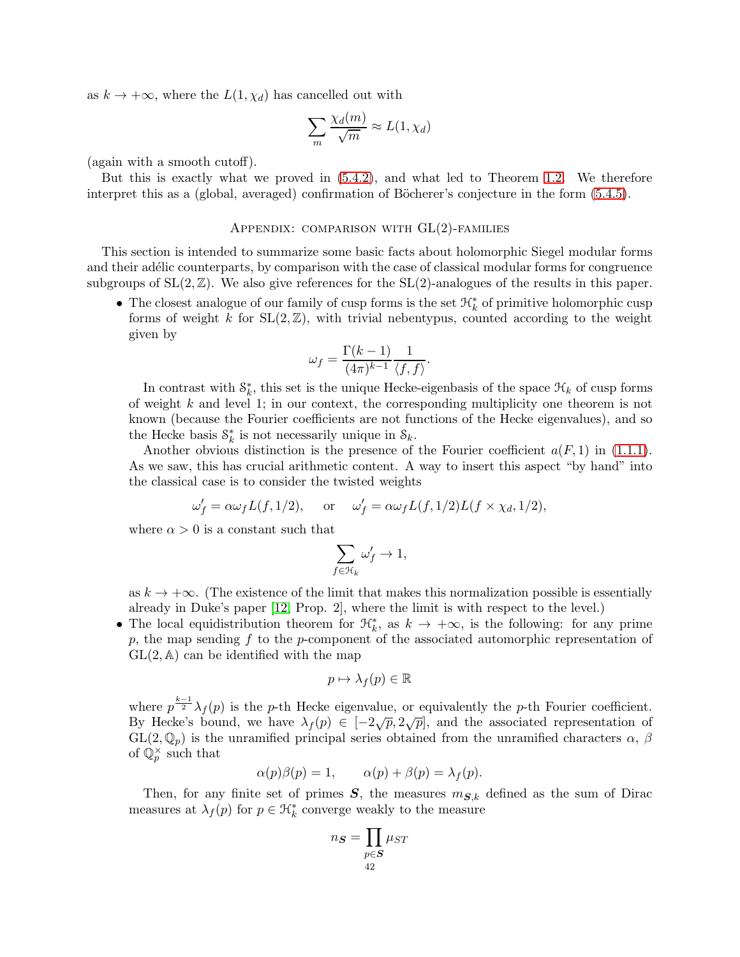as  $k \to +\infty$ , where the  $L(1, \chi_d)$  has cancelled out with

$$
\sum_{m} \frac{\chi_d(m)}{\sqrt{m}} \approx L(1, \chi_d)
$$

(again with a smooth cutoff).

But this is exactly what we proved in [\(5.4.2\)](#page-37-0), and what led to Theorem [1.2.](#page-1-0) We therefore interpret this as a (global, averaged) confirmation of Böcherer's conjecture in the form  $(5.4.5)$ .

## APPENDIX: COMPARISON WITH  $GL(2)$ -FAMILIES

This section is intended to summarize some basic facts about holomorphic Siegel modular forms and their adélic counterparts, by comparison with the case of classical modular forms for congruence subgroups of  $SL(2,\mathbb{Z})$ . We also give references for the  $SL(2)$ -analogues of the results in this paper.

• The closest analogue of our family of cusp forms is the set  $\mathcal{H}_k^*$  of primitive holomorphic cusp forms of weight k for  $SL(2, \mathbb{Z})$ , with trivial nebentypus, counted according to the weight given by

$$
\omega_f = \frac{\Gamma(k-1)}{(4\pi)^{k-1}} \frac{1}{\langle f, f \rangle}.
$$

In contrast with  $S_k^*$ , this set is the unique Hecke-eigenbasis of the space  $\mathcal{H}_k$  of cusp forms of weight  $k$  and level 1; in our context, the corresponding multiplicity one theorem is not known (because the Fourier coefficients are not functions of the Hecke eigenvalues), and so the Hecke basis  $S_k^*$  is not necessarily unique in  $S_k$ .

Another obvious distinction is the presence of the Fourier coefficient  $a(F, 1)$  in [\(1.1.1\)](#page-0-2). As we saw, this has crucial arithmetic content. A way to insert this aspect "by hand" into the classical case is to consider the twisted weights

$$
\omega'_f = \alpha \omega_f L(f, 1/2)
$$
, or  $\omega'_f = \alpha \omega_f L(f, 1/2) L(f \times \chi_d, 1/2)$ ,

where  $\alpha > 0$  is a constant such that

$$
\sum_{f\in\mathfrak{H}_k}\omega'_f\to 1,
$$

as  $k \to +\infty$ . (The existence of the limit that makes this normalization possible is essentially already in Duke's paper [\[12,](#page-43-17) Prop. 2], where the limit is with respect to the level.)

• The local equidistribution theorem for  $\mathfrak{R}_k^*$ , as  $k \to +\infty$ , is the following: for any prime p, the map sending f to the p-component of the associated automorphic representation of  $GL(2, A)$  can be identified with the map

$$
p \mapsto \lambda_f(p) \in \mathbb{R}
$$

where  $p^{\frac{k-1}{2}}\lambda_f(p)$  is the p-th Hecke eigenvalue, or equivalently the p-th Fourier coefficient. By Hecke's bound, we have  $\lambda_f(p) \in [-2\sqrt{p}, 2\sqrt{p}]$ , and the associated representation of  $GL(2,\mathbb{Q}_p)$  is the unramified principal series obtained from the unramified characters  $\alpha$ ,  $\beta$ of  $\mathbb{Q}_p^{\times}$  such that

$$
\alpha(p)\beta(p) = 1, \qquad \alpha(p) + \beta(p) = \lambda_f(p).
$$

Then, for any finite set of primes  $S$ , the measures  $m_{S,k}$  defined as the sum of Dirac measures at  $\lambda_f(p)$  for  $p \in \mathcal{H}_k^*$  converge weakly to the measure

$$
n_{\boldsymbol{S}} = \prod_{\substack{p \in \boldsymbol{S} \\ 42}} \mu_{ST}
$$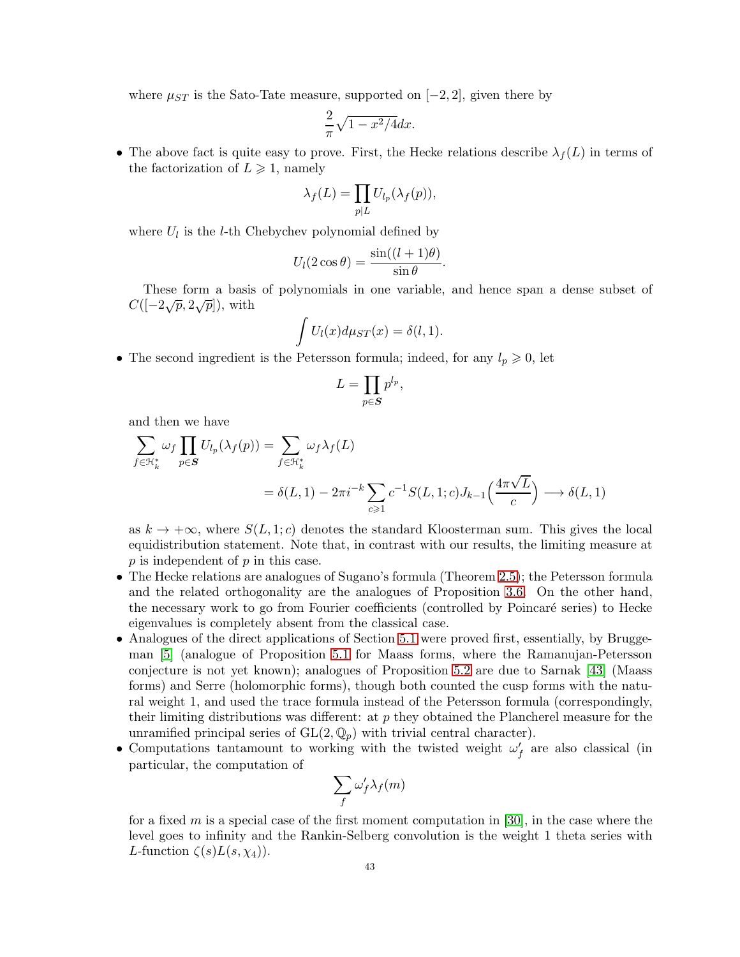where  $\mu_{ST}$  is the Sato-Tate measure, supported on [−2, 2], given there by

$$
\frac{2}{\pi}\sqrt{1-x^2/4}dx.
$$

• The above fact is quite easy to prove. First, the Hecke relations describe  $\lambda_f(L)$  in terms of the factorization of  $L \geq 1$ , namely

$$
\lambda_f(L) = \prod_{p|L} U_{l_p}(\lambda_f(p)),
$$

where  $U_l$  is the *l*-th Chebychev polynomial defined by

$$
U_l(2\cos\theta) = \frac{\sin((l+1)\theta)}{\sin\theta}.
$$

These form a basis of polynomials in one variable, and hence span a dense subset of  $C([-2\sqrt{p}, 2\sqrt{p}]),$  with

$$
\int U_l(x)d\mu_{ST}(x) = \delta(l,1).
$$

• The second ingredient is the Petersson formula; indeed, for any  $l_p \geq 0$ , let

$$
L=\prod_{p\in \boldsymbol{S}}p^{l_p},
$$

and then we have

$$
\sum_{f \in \mathcal{H}_k^*} \omega_f \prod_{p \in S} U_{l_p}(\lambda_f(p)) = \sum_{f \in \mathcal{H}_k^*} \omega_f \lambda_f(L)
$$
  
=  $\delta(L, 1) - 2\pi i^{-k} \sum_{c \ge 1} c^{-1} S(L, 1; c) J_{k-1}\left(\frac{4\pi\sqrt{L}}{c}\right) \longrightarrow \delta(L, 1)$ 

as  $k \to +\infty$ , where  $S(L, 1; c)$  denotes the standard Kloosterman sum. This gives the local equidistribution statement. Note that, in contrast with our results, the limiting measure at  $p$  is independent of  $p$  in this case.

- The Hecke relations are analogues of Sugano's formula (Theorem [2.5\)](#page-14-0); the Petersson formula and the related orthogonality are the analogues of Proposition [3.6.](#page-25-0) On the other hand, the necessary work to go from Fourier coefficients (controlled by Poincaré series) to Hecke eigenvalues is completely absent from the classical case.
- Analogues of the direct applications of Section [5.1](#page-30-2) were proved first, essentially, by Bruggeman [\[5\]](#page-43-19) (analogue of Proposition [5.1](#page-30-1) for Maass forms, where the Ramanujan-Petersson conjecture is not yet known); analogues of Proposition [5.2](#page-31-1) are due to Sarnak [\[43\]](#page-44-25) (Maass forms) and Serre (holomorphic forms), though both counted the cusp forms with the natural weight 1, and used the trace formula instead of the Petersson formula (correspondingly, their limiting distributions was different: at  $p$  they obtained the Plancherel measure for the unramified principal series of  $GL(2,\mathbb{Q}_p)$  with trivial central character).
- Computations tantamount to working with the twisted weight  $\omega'_{f}$  are also classical (in particular, the computation of

$$
\sum_f \omega_f' \lambda_f(m)
$$

for a fixed m is a special case of the first moment computation in [\[30\]](#page-44-26), in the case where the level goes to infinity and the Rankin-Selberg convolution is the weight 1 theta series with L-function  $\zeta(s)L(s,\chi_4)$ ).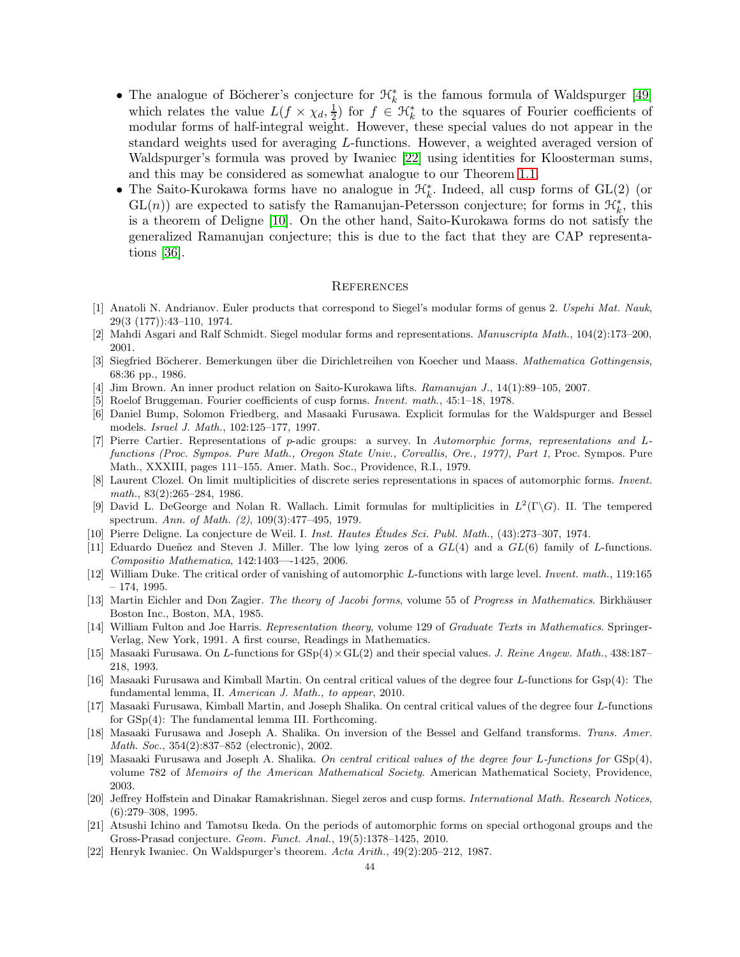- The analogue of Böcherer's conjecture for  $\mathcal{H}_k^*$  is the famous formula of Waldspurger [\[49\]](#page-44-27) which relates the value  $L(f \times \chi_d, \frac{1}{2})$  $\frac{1}{2}$  for  $f \in \mathcal{H}_k^*$  to the squares of Fourier coefficients of modular forms of half-integral weight. However, these special values do not appear in the standard weights used for averaging L-functions. However, a weighted averaged version of Waldspurger's formula was proved by Iwaniec [\[22\]](#page-43-20) using identities for Kloosterman sums, and this may be considered as somewhat analogue to our Theorem [1.1.](#page-0-1)
- The Saito-Kurokawa forms have no analogue in  $\mathcal{H}_k^*$ . Indeed, all cusp forms of GL(2) (or  $GL(n)$  are expected to satisfy the Ramanujan-Petersson conjecture; for forms in  $\mathcal{H}_k^*$ , this is a theorem of Deligne [\[10\]](#page-43-21). On the other hand, Saito-Kurokawa forms do not satisfy the generalized Ramanujan conjecture; this is due to the fact that they are CAP representations [\[36\]](#page-44-21).

## **REFERENCES**

- <span id="page-43-14"></span>[1] Anatoli N. Andrianov. Euler products that correspond to Siegel's modular forms of genus 2. Uspehi Mat. Nauk, 29(3 (177)):43–110, 1974.
- <span id="page-43-13"></span><span id="page-43-1"></span>[2] Mahdi Asgari and Ralf Schmidt. Siegel modular forms and representations. Manuscripta Math., 104(2):173–200, 2001.
- <span id="page-43-15"></span>[3] Siegfried Böcherer. Bemerkungen über die Dirichletreihen von Koecher und Maass. Mathematica Gottingensis, 68:36 pp., 1986.
- <span id="page-43-19"></span>[4] Jim Brown. An inner product relation on Saito-Kurokawa lifts. Ramanujan J., 14(1):89–105, 2007.
- <span id="page-43-10"></span>[5] Roelof Bruggeman. Fourier coefficients of cusp forms. Invent. math., 45:1–18, 1978.
- [6] Daniel Bump, Solomon Friedberg, and Masaaki Furusawa. Explicit formulas for the Waldspurger and Bessel models. Israel J. Math., 102:125–177, 1997.
- <span id="page-43-4"></span>[7] Pierre Cartier. Representations of p-adic groups: a survey. In Automorphic forms, representations and Lfunctions (Proc. Sympos. Pure Math., Oregon State Univ., Corvallis, Ore., 1977), Part 1, Proc. Sympos. Pure Math., XXXIII, pages 111–155. Amer. Math. Soc., Providence, R.I., 1979.
- <span id="page-43-9"></span>[8] Laurent Clozel. On limit multiplicities of discrete series representations in spaces of automorphic forms. Invent. math., 83(2):265–284, 1986.
- <span id="page-43-8"></span>[9] David L. DeGeorge and Nolan R. Wallach. Limit formulas for multiplicities in  $L^2(\Gamma \backslash G)$ . II. The tempered spectrum. Ann. of Math. (2), 109(3):477–495, 1979.
- <span id="page-43-21"></span><span id="page-43-0"></span>[10] Pierre Deligne. La conjecture de Weil. I. Inst. Hautes Études Sci. Publ. Math.,  $(43):273-307$ , 1974.
- [11] Eduardo Dueñez and Steven J. Miller. The low lying zeros of a  $GL(4)$  and a  $GL(6)$  family of L-functions. Compositio Mathematica, 142:1403—-1425, 2006.
- <span id="page-43-17"></span>[12] William Duke. The critical order of vanishing of automorphic L-functions with large level. Invent. math., 119:165 – 174, 1995.
- <span id="page-43-5"></span>[13] Martin Eichler and Don Zagier. The theory of Jacobi forms, volume 55 of Progress in Mathematics. Birkhäuser Boston Inc., Boston, MA, 1985.
- <span id="page-43-6"></span>[14] William Fulton and Joe Harris. Representation theory, volume 129 of Graduate Texts in Mathematics. Springer-Verlag, New York, 1991. A first course, Readings in Mathematics.
- <span id="page-43-12"></span>[15] Masaaki Furusawa. On L-functions for  $GSp(4) \times GL(2)$  and their special values. J. Reine Angew. Math., 438:187– 218, 1993.
- <span id="page-43-3"></span>[16] Masaaki Furusawa and Kimball Martin. On central critical values of the degree four L-functions for Gsp(4): The fundamental lemma, II. American J. Math., to appear, 2010.
- <span id="page-43-11"></span>[17] Masaaki Furusawa, Kimball Martin, and Joseph Shalika. On central critical values of the degree four L-functions for GSp(4): The fundamental lemma III. Forthcoming.
- <span id="page-43-7"></span>[18] Masaaki Furusawa and Joseph A. Shalika. On inversion of the Bessel and Gelfand transforms. Trans. Amer. Math. Soc., 354(2):837–852 (electronic), 2002.
- <span id="page-43-2"></span>[19] Masaaki Furusawa and Joseph A. Shalika. On central critical values of the degree four L-functions for GSp(4), volume 782 of Memoirs of the American Mathematical Society. American Mathematical Society, Providence, 2003.
- <span id="page-43-16"></span>[20] Jeffrey Hoffstein and Dinakar Ramakrishnan. Siegel zeros and cusp forms. International Math. Research Notices,  $(6):279-308, 1995.$
- <span id="page-43-18"></span>[21] Atsushi Ichino and Tamotsu Ikeda. On the periods of automorphic forms on special orthogonal groups and the Gross-Prasad conjecture. Geom. Funct. Anal., 19(5):1378–1425, 2010.
- <span id="page-43-20"></span>[22] Henryk Iwaniec. On Waldspurger's theorem. Acta Arith., 49(2):205–212, 1987.